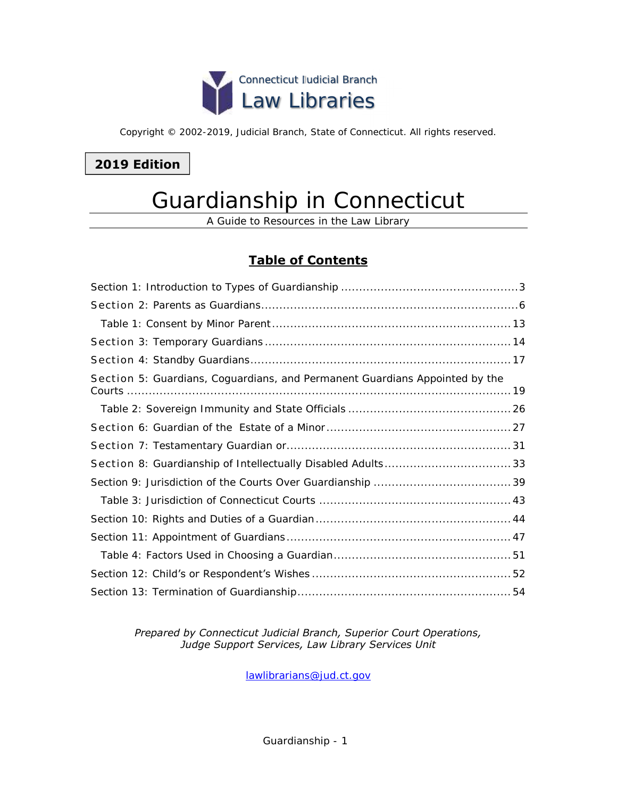

Copyright © 2002-2019, Judicial Branch, State of Connecticut. All rights reserved.

## **2019 Edition**

# Guardianship in Connecticut

A Guide to Resources in the Law Library

## **Table of Contents**

| Section 5: Guardians, Coguardians, and Permanent Guardians Appointed by the |
|-----------------------------------------------------------------------------|
|                                                                             |
|                                                                             |
|                                                                             |
|                                                                             |
|                                                                             |
|                                                                             |
|                                                                             |
|                                                                             |
|                                                                             |
|                                                                             |
|                                                                             |

### *Prepared by Connecticut Judicial Branch, Superior Court Operations, Judge Support Services, Law Library Services Unit*

[lawlibrarians@jud.ct.gov](mailto:lawlibrarians@jud.ct.gov)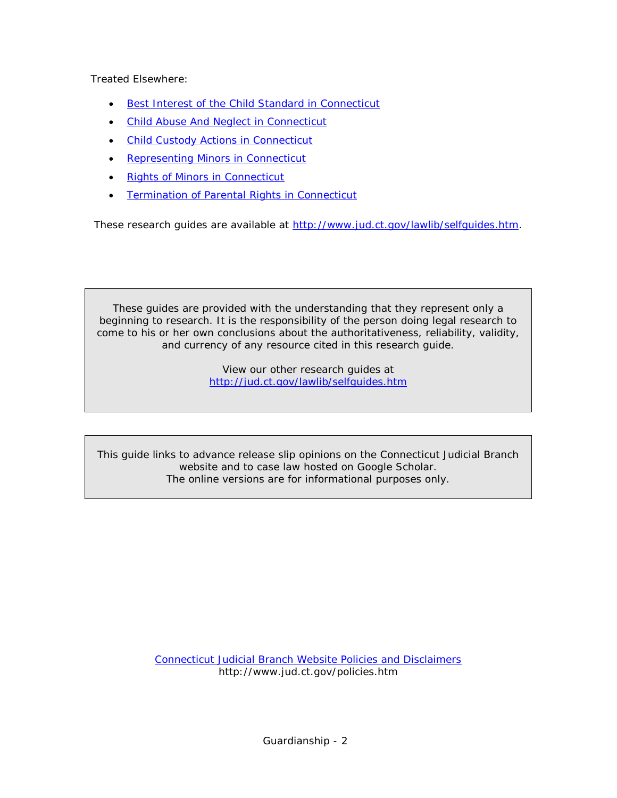Treated Elsewhere:

- [Best Interest of the Child Standard in Connecticut](http://www.jud.ct.gov/lawlib/Notebooks/Pathfinders/BestInterest.pdf)
- [Child Abuse And Neglect in Connecticut](http://www.jud.ct.gov/lawlib/Notebooks/Pathfinders/ChildAbuseandNeglect/childabuse.pdf)
- [Child Custody Actions in Connecticut](http://www.jud.ct.gov/lawlib/Notebooks/Pathfinders/ChildCustody/childcustody.pdf)
- [Representing Minors in Connecticut](http://www.jud.ct.gov/lawlib/Notebooks/Pathfinders/RepresentingMinorsinCT/Representingminors.pdf)
- [Rights of Minors in Connecticut](http://www.jud.ct.gov/lawlib/Notebooks/Pathfinders/Rightsofminors.pdf)
- **[Termination of Parental Rights in Connecticut](http://www.jud.ct.gov/lawlib/Notebooks/Pathfinders/TerminationofParentalRightsinCT/termination.pdf)**

These research guides are available at [http://www.jud.ct.gov/lawlib/selfguides.htm.](http://www.jud.ct.gov/lawlib/selfguides.htm)

These guides are provided with the understanding that they represent only a beginning to research. It is the responsibility of the person doing legal research to come to his or her own conclusions about the authoritativeness, reliability, validity, and currency of any resource cited in this research guide.

> View our other research guides at <http://jud.ct.gov/lawlib/selfguides.htm>

This guide links to advance release slip opinions on the Connecticut Judicial Branch website and to case law hosted on Google Scholar. The online versions are for informational purposes only.

> [Connecticut Judicial Branch Website Policies and Disclaimers](http://www.jud.ct.gov/policies.htm) http://www.jud.ct.gov/policies.htm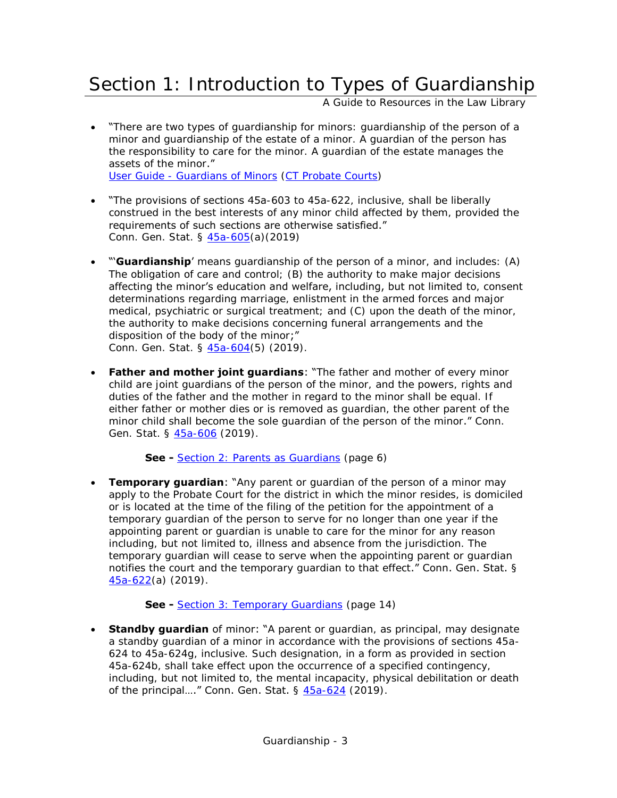# <span id="page-2-0"></span>Section 1: Introduction to Types of Guardianship

A Guide to Resources in the Law Library

 "There are two types of guardianship for minors: guardianship of the person of a minor and guardianship of the estate of a minor. A guardian of the person has the responsibility to care for the minor. A guardian of the estate manages the assets of the minor."

User Guide - [Guardians of Minors](http://www.ctprobate.gov/Documents/User%20Guide%20-%20Guardians%20of%20Minors.pdf) [\(CT Probate Courts\)](http://www.ctprobate.gov/Pages/Welcome.aspx)

- "The provisions of sections 45a-603 to 45a-622, inclusive, shall be liberally construed in the best interests of any minor child affected by them, provided the requirements of such sections are otherwise satisfied." Conn. Gen. Stat. § [45a-605\(](https://www.cga.ct.gov/current/pub/chap_802h.htm#sec_45a-605)a)(2019)
- "'**Guardianship**' means guardianship of the person of a minor, and includes: (A) The obligation of care and control; (B) the authority to make major decisions affecting the minor's education and welfare, including, but not limited to, consent determinations regarding marriage, enlistment in the armed forces and major medical, psychiatric or surgical treatment; and (C) upon the death of the minor, the authority to make decisions concerning funeral arrangements and the disposition of the body of the minor;" Conn. Gen. Stat. § [45a-604\(](https://www.cga.ct.gov/current/pub/chap_802h.htm#sec_45a-604)5) (2019).
- **Father and mother joint guardians**: "The father and mother of every minor child are joint guardians of the person of the minor, and the powers, rights and duties of the father and the mother in regard to the minor shall be equal. If either father or mother dies or is removed as guardian, the other parent of the minor child shall become the sole guardian of the person of the minor." Conn. Gen. Stat. § [45a-606](https://www.cga.ct.gov/current/pub/chap_802h.htm#sec_45a-606) (2019).

**See -** [Section 2: Parents as Guardians](#page-5-1) (page 6)

**Temporary guardian:** "Any parent or guardian of the person of a minor may apply to the Probate Court for the district in which the minor resides, is domiciled or is located at the time of the filing of the petition for the appointment of a temporary guardian of the person to serve for no longer than one year if the appointing parent or guardian is unable to care for the minor for any reason including, but not limited to, illness and absence from the jurisdiction. The temporary guardian will cease to serve when the appointing parent or guardian notifies the court and the temporary quardian to that effect." Conn. Gen. Stat. § [45a-622\(](https://www.cga.ct.gov/current/pub/chap_802h.htm#sec_45a-622)a) (2019).

**See -** [Section 3: Temporary Guardians](#page-13-0) (page 14)

 **Standby guardian** of minor: "A parent or guardian, as principal, may designate a standby guardian of a minor in accordance with the provisions of sections 45a-624 to 45a-624g, inclusive. Such designation, in a form as provided in section 45a-624b, shall take effect upon the occurrence of a specified contingency, including, but not limited to, the mental incapacity, physical debilitation or death of the principal...." Conn. Gen. Stat.  $\S$   $45a-624$  (2019).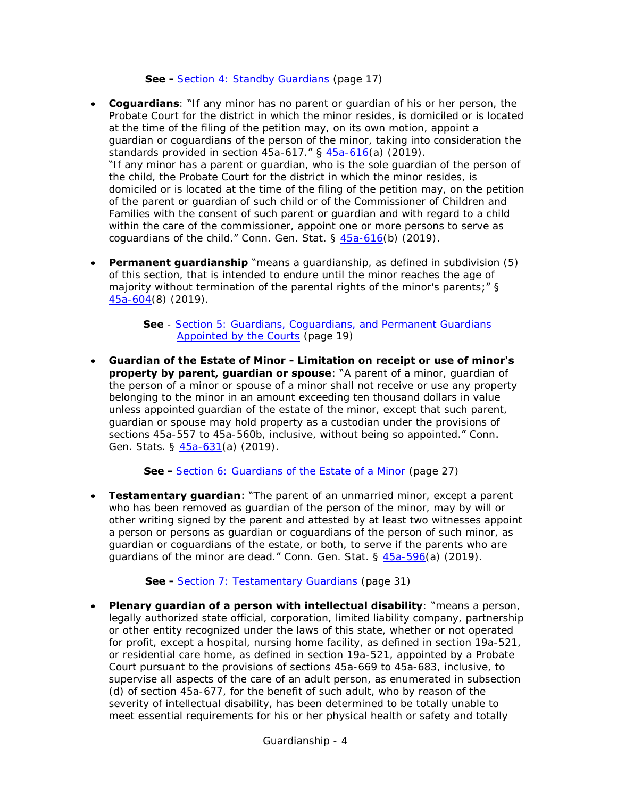**See -** [Section 4: Standby Guardians](#page-16-0) (page 17)

- **Coguardians**: "If any minor has no parent or guardian of his or her person, the Probate Court for the district in which the minor resides, is domiciled or is located at the time of the filing of the petition may, on its own motion, appoint a guardian or coguardians of the person of the minor, taking into consideration the standards provided in section  $45a-617$ ." §  $45a-616(a)$  $45a-616(a)$  (2019). "If any minor has a parent or guardian, who is the sole guardian of the person of the child, the Probate Court for the district in which the minor resides, is domiciled or is located at the time of the filing of the petition may, on the petition of the parent or guardian of such child or of the Commissioner of Children and Families with the consent of such parent or guardian and with regard to a child within the care of the commissioner, appoint one or more persons to serve as coguardians of the child." Conn. Gen. Stat.  $\S$   $45a-616(b)$  (2019).
- **Permanent guardianship** "means a guardianship, as defined in subdivision (5) of this section, that is intended to endure until the minor reaches the age of majority without termination of the parental rights of the minor's parents;" § [45a-604\(](https://www.cga.ct.gov/current/pub/chap_802h.htm#sec_45a-604)8) (2019).

**See** - Section 5: Guardians, Coguardians, and Permanent Guardians [Appointed by the Courts](#page-18-0) (page 19)

 **Guardian of the Estate of Minor - Limitation on receipt or use of minor's property by parent, guardian or spouse**: "A parent of a minor, guardian of the person of a minor or spouse of a minor shall not receive or use any property belonging to the minor in an amount exceeding ten thousand dollars in value unless appointed guardian of the estate of the minor, except that such parent, guardian or spouse may hold property as a custodian under the provisions of sections 45a-557 to 45a-560b, inclusive, without being so appointed." Conn. Gen. Stats. § [45a-631\(](https://www.cga.ct.gov/current/pub/chap_802h.htm#sec_45a-631)a) (2019).

**See -** [Section 6: Guardians of the Estate of a Minor](#page-26-1) (page 27)

 **Testamentary guardian**: "The parent of an unmarried minor, except a parent who has been removed as guardian of the person of the minor, may by will or other writing signed by the parent and attested by at least two witnesses appoint a person or persons as guardian or coguardians of the person of such minor, as guardian or coguardians of the estate, or both, to serve if the parents who are guardians of the minor are dead." Conn. Gen. Stat. § [45a-596\(](https://www.cga.ct.gov/current/pub/chap_802h.htm#sec_45a-596)a) (2019).

**See -** [Section 7: Testamentary Guardians](#page-30-1) (page 31)

 **Plenary guardian of a person with intellectual disability**: "means a person, legally authorized state official, corporation, limited liability company, partnership or other entity recognized under the laws of this state, whether or not operated for profit, except a hospital, nursing home facility, as defined in section 19a-521, or residential care home, as defined in section 19a-521, appointed by a Probate Court pursuant to the provisions of sections 45a-669 to 45a-683, inclusive, to supervise all aspects of the care of an adult person, as enumerated in subsection (d) of section 45a-677, for the benefit of such adult, who by reason of the severity of intellectual disability, has been determined to be totally unable to meet essential requirements for his or her physical health or safety and totally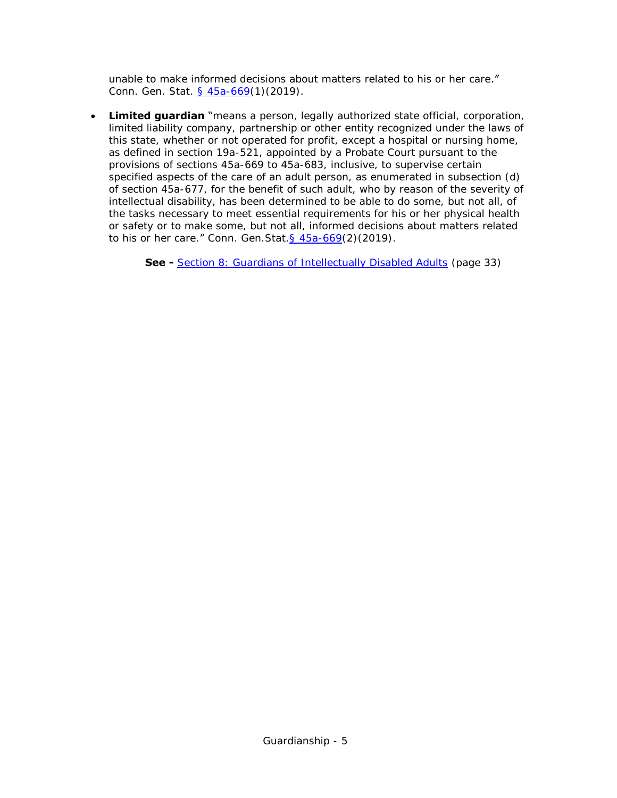unable to make informed decisions about matters related to his or her care." Conn. Gen. Stat. [§ 45a-669\(](https://www.cga.ct.gov/current/pub/chap_802h.htm#sec_45a-669)1)(2019).

**Limited guardian** "means a person, legally authorized state official, corporation, limited liability company, partnership or other entity recognized under the laws of this state, whether or not operated for profit, except a hospital or nursing home, as defined in section 19a-521, appointed by a Probate Court pursuant to the provisions of sections 45a-669 to 45a-683, inclusive, to supervise certain specified aspects of the care of an adult person, as enumerated in subsection (d) of section 45a-677, for the benefit of such adult, who by reason of the severity of intellectual disability, has been determined to be able to do some, but not all, of the tasks necessary to meet essential requirements for his or her physical health or safety or to make some, but not all, informed decisions about matters related to his or her care." Conn. Gen. Stat.  $\frac{645a-669(2)(2019)}{640(2019)}$ .

**See -** [Section 8: Guardians of Intellectually Disabled Adults](#page-32-0) (page 33)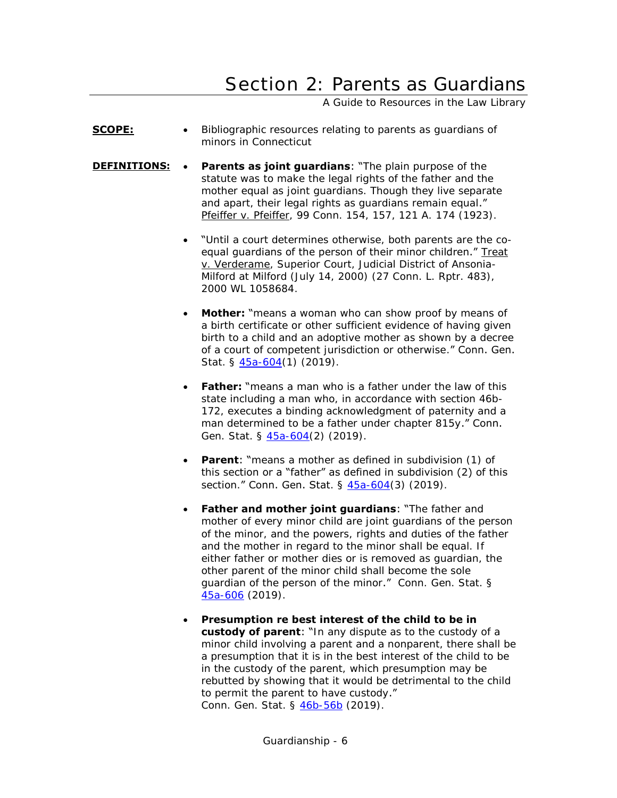# <span id="page-5-0"></span>Section 2: Parents as Guardians

A Guide to Resources in the Law Library

- <span id="page-5-1"></span>**SCOPE:**  $\bullet$  Bibliographic resources relating to parents as quardians of minors in Connecticut
- **DEFINITIONS:** Parents as joint guardians: "The plain purpose of the statute was to make the legal rights of the father and the mother equal as joint guardians. Though they live separate and apart, their legal rights as guardians remain equal." Pfeiffer v. Pfeiffer, 99 Conn. 154, 157, 121 A. 174 (1923).
	- "Until a court determines otherwise, both parents are the coequal guardians of the person of their minor children." Treat v. Verderame, Superior Court, Judicial District of Ansonia-Milford at Milford (July 14, 2000) (27 Conn. L. Rptr. 483), 2000 WL 1058684.
	- **Mother:** "means a woman who can show proof by means of a birth certificate or other sufficient evidence of having given birth to a child and an adoptive mother as shown by a decree of a court of competent jurisdiction or otherwise." Conn. Gen. Stat. § [45a-604\(](https://www.cga.ct.gov/current/pub/chap_802h.htm#sec_45a-604)1) (2019).
	- **Father:** "means a man who is a father under the law of this state including a man who, in accordance with section 46b-172, executes a binding acknowledgment of paternity and a man determined to be a father under chapter 815y." Conn. Gen. Stat. § [45a-604\(](https://www.cga.ct.gov/current/pub/chap_802h.htm#sec_45a-604)2) (2019).
	- **Parent:** "means a mother as defined in subdivision (1) of this section or a "father" as defined in subdivision (2) of this section." Conn. Gen. Stat. § [45a-604\(](https://www.cga.ct.gov/current/pub/chap_802h.htm#sec_45a-604)3) (2019).
	- **Father and mother joint guardians**: "The father and mother of every minor child are joint guardians of the person of the minor, and the powers, rights and duties of the father and the mother in regard to the minor shall be equal. If either father or mother dies or is removed as guardian, the other parent of the minor child shall become the sole guardian of the person of the minor." Conn. Gen. Stat. § [45a-606](https://www.cga.ct.gov/current/pub/chap_802h.htm#sec_45a-606) (2019).
	- **Presumption re best interest of the child to be in custody of parent**: "In any dispute as to the custody of a minor child involving a parent and a nonparent, there shall be a presumption that it is in the best interest of the child to be in the custody of the parent, which presumption may be rebutted by showing that it would be detrimental to the child to permit the parent to have custody." Conn. Gen. Stat. § [46b-56b](https://www.cga.ct.gov/current/pub/chap_815j.htm#sec_46b-56b) (2019).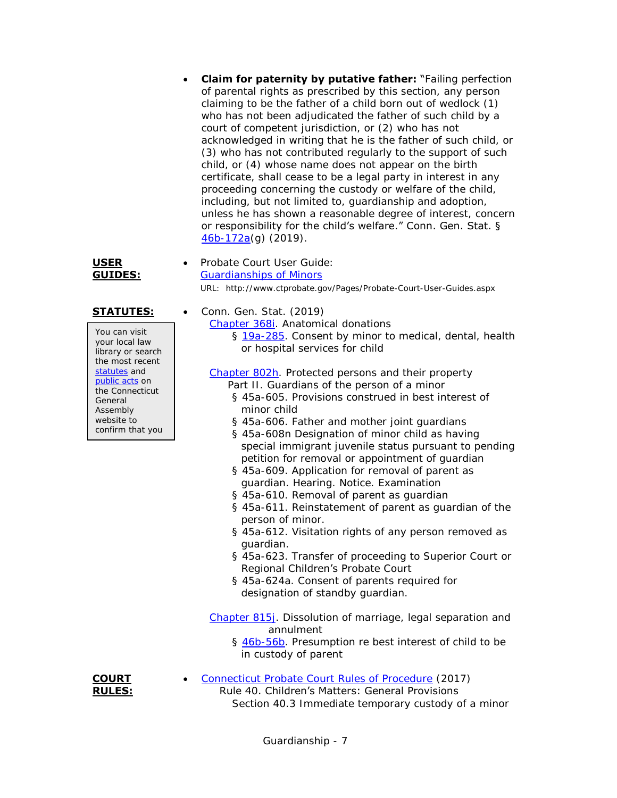**Claim for paternity by putative father:** "Failing perfection of parental rights as prescribed by this section, any person claiming to be the father of a child born out of wedlock (1) who has not been adjudicated the father of such child by a court of competent jurisdiction, or (2) who has not acknowledged in writing that he is the father of such child, or (3) who has not contributed regularly to the support of such child, or (4) whose name does not appear on the birth certificate, shall cease to be a legal party in interest in any proceeding concerning the custody or welfare of the child, including, but not limited to, guardianship and adoption, unless he has shown a reasonable degree of interest, concern or responsibility for the child's welfare." Conn. Gen. Stat. § [46b-172a\(](https://www.cga.ct.gov/current/pub/chap_815y.htm#sec_46b-172a)g) (2019).

**USER GUIDES:**

[Guardianships of Minors](http://www.ctprobate.gov/Documents/User%20Guide%20-%20Guardians%20of%20Minors.pdf) URL: http://www.ctprobate.gov/Pages/Probate-Court-User-Guides.aspx **STATUTES:** • Conn. Gen. Stat. (2019)

Probate Court User Guide:

[Chapter 368i.](http://www.cga.ct.gov/current/pub/chap_368i.htm) Anatomical donations § [19a-285.](https://www.cga.ct.gov/current/pub/chap_368i.htm#sec_19a-285) Consent by minor to medical, dental, health or hospital services for child

[Chapter 802h.](http://www.cga.ct.gov/current/pub/chap_802h.htm) Protected persons and their property

- Part II. Guardians of the person of a minor
	- § 45a-605. Provisions construed in best interest of minor child
	- § 45a-606. Father and mother joint guardians
	- § 45a-608n Designation of minor child as having special immigrant juvenile status pursuant to pending petition for removal or appointment of guardian
	- § 45a-609. Application for removal of parent as guardian. Hearing. Notice. Examination
	- § 45a-610. Removal of parent as guardian
	- § 45a-611. Reinstatement of parent as guardian of the person of minor.
	- § 45a-612. Visitation rights of any person removed as guardian.
	- § 45a-623. Transfer of proceeding to Superior Court or Regional Children's Probate Court
	- § 45a-624a. Consent of parents required for designation of standby guardian.

[Chapter 815j.](http://www.cga.ct.gov/current/pub/chap_815j.htm) Dissolution of marriage, legal separation and annulment

§ [46b-56b.](https://www.cga.ct.gov/current/pub/chap_815j.htm#sec_46b-56b) Presumption re best interest of child to be in custody of parent



[Connecticut Probate Court Rules of Procedure](http://www.ctprobate.gov/Pages/Statutes-and-Rules-of-Procedure.aspx) (2017)

Rule 40. Children's Matters: General Provisions

Section 40.3 Immediate temporary custody of a minor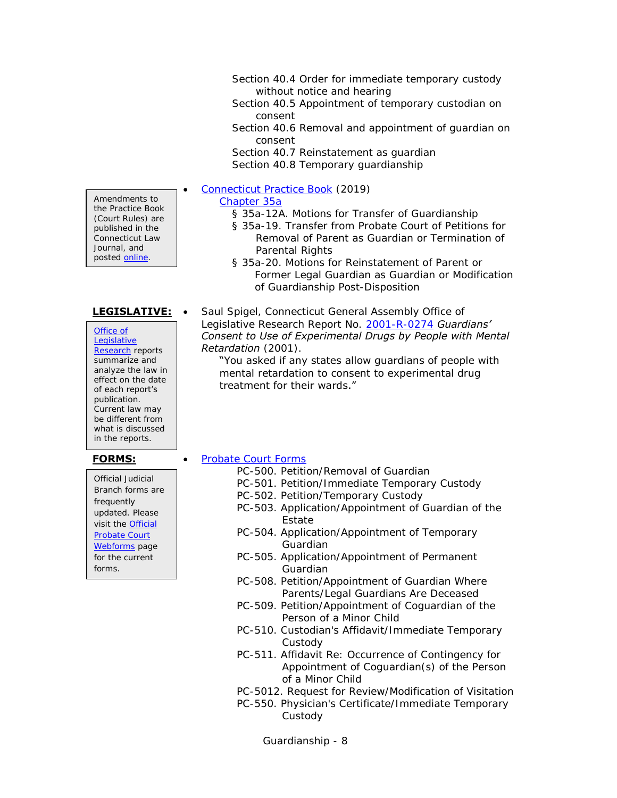Section 40.4 Order for immediate temporary custody without notice and hearing

Section 40.5 Appointment of temporary custodian on consent

Section 40.6 Removal and appointment of guardian on consent

Section 40.7 Reinstatement as guardian Section 40.8 Temporary guardianship

[Connecticut Practice Book](http://www.jud.ct.gov/pb.htm) (2019)

### [Chapter 35a](https://www.jud.ct.gov/Publications/PracticeBook/PB.pdf#page=366)

- § 35a-12A. Motions for Transfer of Guardianship
- § 35a-19. Transfer from Probate Court of Petitions for Removal of Parent as Guardian or Termination of Parental Rights
- § 35a-20. Motions for Reinstatement of Parent or Former Legal Guardian as Guardian or Modification of Guardianship Post-Disposition

**LEGISLATIVE:** • Saul Spigel, Connecticut General Assembly Office of Legislative Research Report No. [2001-R-0274](http://www.cga.ct.gov/2001/rpt/2001-R-0274.htm) *Guardians' Consent to Use of Experimental Drugs by People with Mental Retardation* (2001).

"You asked if any states allow guardians of people with mental retardation to consent to experimental drug treatment for their wards."

Amendments to the Practice Book (Court Rules) are published in the Connecticut Law Journal, and posted [online.](http://www.jud.ct.gov/pb.htm)

| Office of          |
|--------------------|
| Legislative        |
| Research reports   |
| summarize and      |
| analyze the law in |
| effect on the date |
|                    |
| of each report's   |
| publication.       |
| Current law may    |
| be different from  |
| what is discussed  |

Official Judicial Branch forms are frequently updated. Please visit the [Official](http://www.ctprobate.gov/Pages/Probate-Court-Forms.aspx)  [Probate Court](http://www.ctprobate.gov/Pages/Probate-Court-Forms.aspx)  [Webforms](http://www.ctprobate.gov/Pages/Probate-Court-Forms.aspx) page for the current forms.

### **FORMS:** • [Probate Court Forms](http://www.ctprobate.gov/Pages/Probate-Court-Forms.aspx)

- PC-500. Petition/Removal of Guardian
- PC-501. Petition/Immediate Temporary Custody
- PC-502. Petition/Temporary Custody
- PC-503. Application/Appointment of Guardian of the Estate
- PC-504. Application/Appointment of Temporary Guardian
- PC-505. Application/Appointment of Permanent Guardian
- PC-508. Petition/Appointment of Guardian Where Parents/Legal Guardians Are Deceased
- PC-509. Petition/Appointment of Coguardian of the Person of a Minor Child
- PC-510. Custodian's Affidavit/Immediate Temporary Custody
- PC-511. Affidavit Re: Occurrence of Contingency for Appointment of Coguardian(s) of the Person of a Minor Child
- PC-5012. Request for Review/Modification of Visitation
- PC-550. Physician's Certificate/Immediate Temporary Custody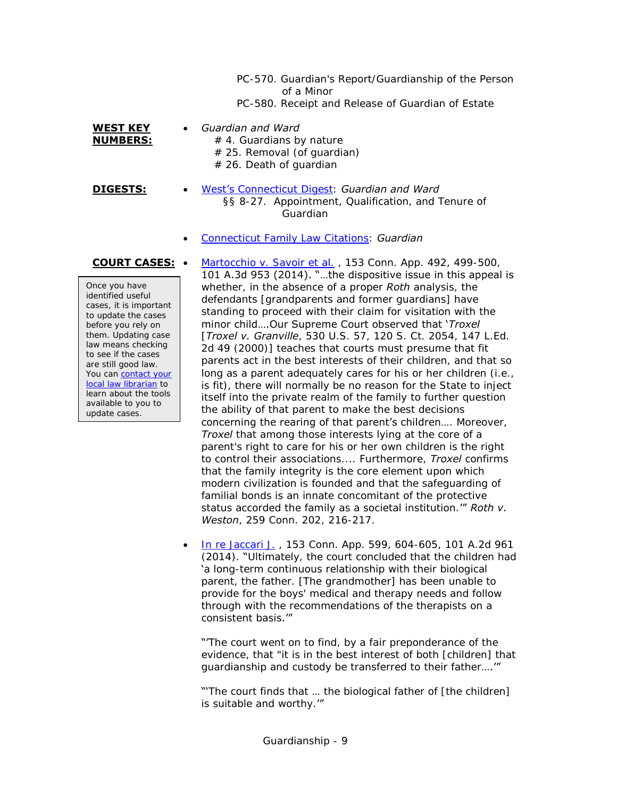PC-570. Guardian's Report/Guardianship of the Person of a Minor PC-580. Receipt and Release of Guardian of Estate

**WEST KEY NUMBERS:**

### *Guardian and Ward*

- $# 4.$  Guardians by nature # 25. Removal (of guardian)  $# 26.$  Death of quardian
- **DIGESTS:** [West's Connecticut](https://csjd-agent.auto-graphics.com/mvc/PersistentLink?key=7xRYMSc0f%2frp9qRBQzD1uQ%3d%3d) Digest: *Guardian and Ward* §§ 8-27. Appointment, Qualification, and Tenure of Guardian
	- [Connecticut Family Law Citations:](https://csjd-agent.auto-graphics.com/mvc/PersistentLink?key=h7WZzLbelDiyLSMaQS6igw%3d%3d) *Guardian*

Once you have identified useful cases, it is important to update the cases before you rely on them. Updating case law means checking to see if the cases are still good law. You can contact your [local law librarian](https://www.jud.ct.gov/lawlib/staff.htm) to learn about the tools available to you to update cases.

**COURT CASES:** • Martocchio [v. Savoir et al.](https://scholar.google.com/scholar_case?case=17598660022941366778), 153 Conn. App. 492, 499-500, 101 A.3d 953 (2014). "…the dispositive issue in this appeal is whether, in the absence of a proper *Roth* analysis, the defendants [grandparents and former guardians] have standing to proceed with their claim for visitation with the minor child….Our Supreme Court observed that '*Troxel* [*Troxel v. Granville*, 530 U.S. 57, 120 S. Ct. 2054, 147 L.Ed. 2d 49 (2000)] teaches that courts must presume that fit parents act in the best interests of their children, and that so long as a parent adequately cares for his or her children (i.e., is fit), there will normally be no reason for the State to inject itself into the private realm of the family to further question the ability of that parent to make the best decisions concerning the rearing of that parent's children…. Moreover, *Troxel* that among those interests lying at the core of a parent's right to care for his or her own children is the right to control their associations.... Furthermore, *Troxel* confirms that the family integrity is the core element upon which modern civilization is founded and that the safeguarding of familial bonds is an innate concomitant of the protective status accorded the family as a societal institution.'" *Roth v. Weston*, 259 Conn. 202, 216-217.

> [In re Jaccari J.](https://scholar.google.com/scholar_case?case=11870461904116483525) , 153 Conn. App. 599, 604-605, 101 A.2d 961 (2014). "Ultimately, the court concluded that the children had 'a long-term continuous relationship with their biological parent, the father. [The grandmother] has been unable to provide for the boys' medical and therapy needs and follow through with the recommendations of the therapists on a consistent basis.'"

"The court went on to find, by a fair preponderance of the evidence, that "it is in the best interest of both [children] that guardianship and custody be transferred to their father….'"

"The court finds that ... the biological father of [the children] is suitable and worthy.'"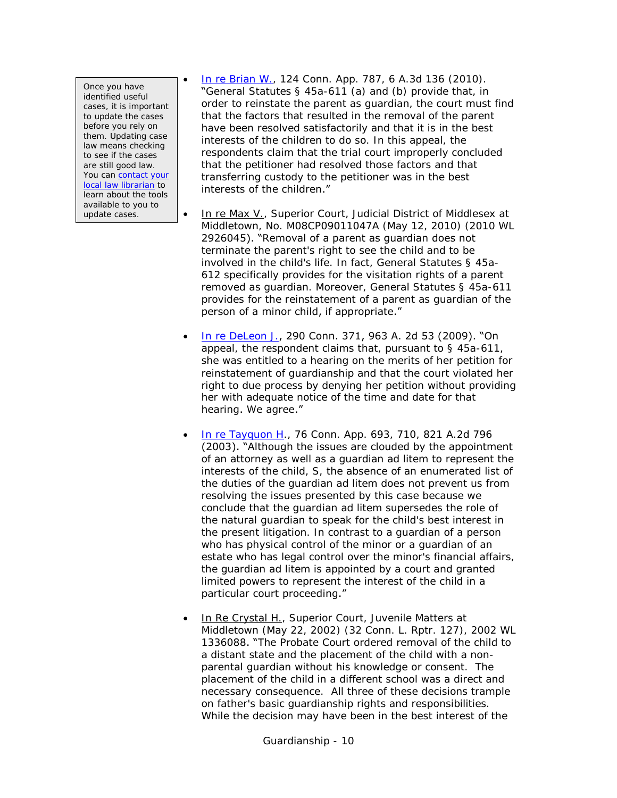Once you have identified useful cases, it is important to update the cases before you rely on them. Updating case law means checking to see if the cases are still good law. You can contact your [local law librarian](https://www.jud.ct.gov/lawlib/staff.htm) to learn about the tools available to you to update cases.

- [In re Brian W.,](http://scholar.google.com/scholar_case?case=6440893004058207344) 124 Conn. App. 787, 6 A.3d 136 (2010). "General Statutes § 45a-611 (a) and (b) provide that, in order to reinstate the parent as guardian, the court must find that the factors that resulted in the removal of the parent have been resolved satisfactorily and that it is in the best interests of the children to do so. In this appeal, the respondents claim that the trial court improperly concluded that the petitioner had resolved those factors and that transferring custody to the petitioner was in the best interests of the children."
- In re Max V., Superior Court, Judicial District of Middlesex at Middletown, No. M08CP09011047A (May 12, 2010) (2010 WL 2926045). "Removal of a parent as guardian does not terminate the parent's right to see the child and to be involved in the child's life. In fact, General Statutes § 45a-612 specifically provides for the visitation rights of a parent removed as guardian. Moreover, General Statutes § 45a-611 provides for the reinstatement of a parent as guardian of the person of a minor child, if appropriate."
- **[In re DeLeon J.](http://scholar.google.com/scholar_case?case=12581313593520456969), 290 Conn. 371, 963 A. 2d 53 (2009). "On** appeal, the respondent claims that, pursuant to § 45a-611, she was entitled to a hearing on the merits of her petition for reinstatement of guardianship and that the court violated her right to due process by denying her petition without providing her with adequate notice of the time and date for that hearing. We agree."
- [In re Tayquon H.](http://scholar.google.com/scholar_case?case=6357548246863401273), 76 Conn. App. 693, 710, 821 A.2d 796 (2003). "Although the issues are clouded by the appointment of an attorney as well as a guardian ad litem to represent the interests of the child, S, the absence of an enumerated list of the duties of the guardian ad litem does not prevent us from resolving the issues presented by this case because we conclude that the guardian ad litem supersedes the role of the natural guardian to speak for the child's best interest in the present litigation. In contrast to a guardian of a person who has physical control of the minor or a guardian of an estate who has legal control over the minor's financial affairs, the guardian ad litem is appointed by a court and granted limited powers to represent the interest of the child in a particular court proceeding."
- In Re Crystal H., Superior Court, Juvenile Matters at Middletown (May 22, 2002) (32 Conn. L. Rptr. 127), 2002 WL 1336088. "The Probate Court ordered removal of the child to a distant state and the placement of the child with a nonparental guardian without his knowledge or consent. The placement of the child in a different school was a direct and necessary consequence. All three of these decisions trample on father's basic guardianship rights and responsibilities. While the decision may have been in the best interest of the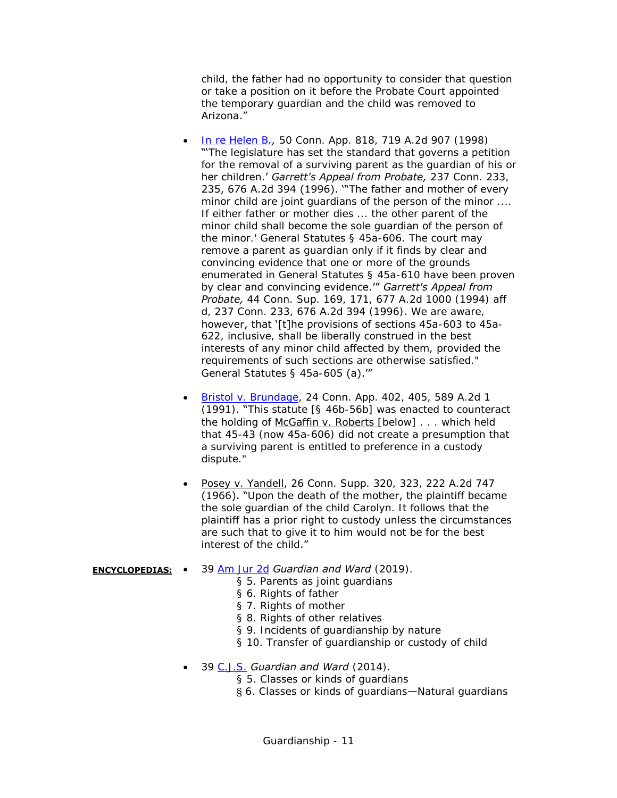child, the father had no opportunity to consider that question or take a position on it before the Probate Court appointed the temporary guardian and the child was removed to Arizona."

- [In re Helen B](http://scholar.google.com/scholar_case?case=4519882624592969620)*.,* 50 Conn. App. 818, 719 A.2d 907 (1998) "'The legislature has set the standard that governs a petition for the removal of a surviving parent as the guardian of his or her children.' *Garrett's Appeal from Probate,* 237 Conn. 233, 235, 676 A.2d 394 (1996). '"The father and mother of every minor child are joint guardians of the person of the minor .... If either father or mother dies ... the other parent of the minor child shall become the sole guardian of the person of the minor.' General Statutes § 45a-606. The court may remove a parent as guardian only if it finds by clear and convincing evidence that one or more of the grounds enumerated in General Statutes § 45a-610 have been proven by clear and convincing evidence.'" *Garrett's Appeal from Probate,* 44 Conn. Sup. 169, 171, 677 A.2d 1000 (1994) aff d, 237 Conn. 233, 676 A.2d 394 (1996). We are aware, however, that '[t]he provisions of sections 45a-603 to 45a-622, inclusive, shall be liberally construed in the best interests of any minor child affected by them, provided the requirements of such sections are otherwise satisfied." General Statutes § 45a-605 (a).'"
- [Bristol v. Brundage,](http://scholar.google.com/scholar_case?q=24+Conn.+App.+402&hl=en&as_sdt=2,7&case=14287962493801002291) 24 Conn. App. 402, 405, 589 A.2d 1 (1991). "This statute [§ 46b-56b] was enacted to counteract the holding of McGaffin v. Roberts [below] . . . which held that 45-43 (now 45a-606) did not create a presumption that a surviving parent is entitled to preference in a custody dispute."
- Posey v. Yandell, 26 Conn. Supp. 320, 323, 222 A.2d 747 (1966). "Upon the death of the mother, the plaintiff became the sole guardian of the child Carolyn. It follows that the plaintiff has a prior right to custody unless the circumstances are such that to give it to him would not be for the best interest of the child."

### **ENCYCLOPEDIAS:** 39 [Am Jur 2d](https://csjd-agent.auto-graphics.com/mvc/PersistentLink?key=X5EzqROsd%2bgrxaHpaRO7FQ%3d%3d) *Guardian and Ward* (2019).

- § 5. Parents as joint quardians
- § 6. Rights of father
- § 7. Rights of mother
- § 8. Rights of other relatives
- § 9. Incidents of guardianship by nature
- § 10. Transfer of guardianship or custody of child
- 39 [C.J.S.](https://csjd-agent.auto-graphics.com/mvc/PersistentLink?key=ZlMU9tKV61M6Oo%2fA1nSmsw%3d%3d) *Guardian and Ward* (2014).
	- § 5. Classes or kinds of guardians
	- § 6. Classes or kinds of guardians—Natural guardians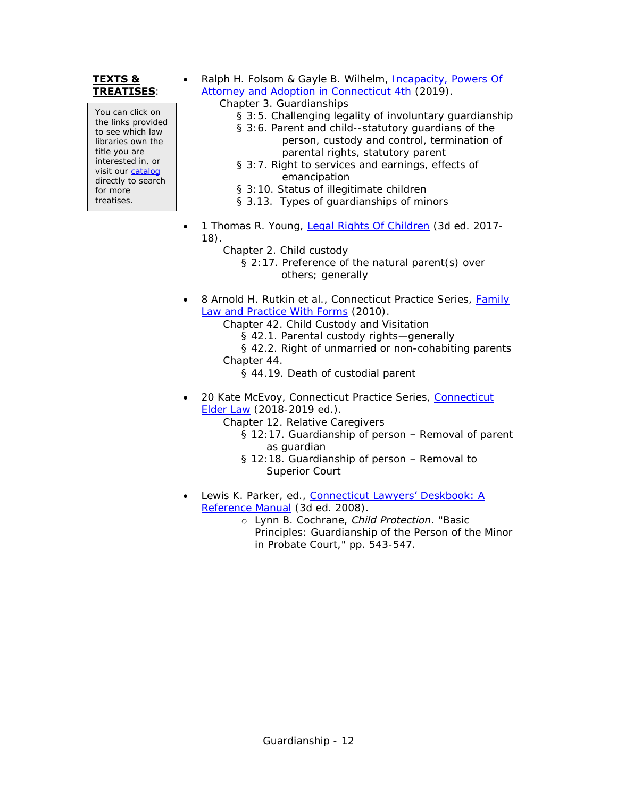### **TEXTS & TREATISES**:

You can click on the links provided to see which law libraries own the title you are interested in, or visit our [catalog](http://csjd-agent.auto-graphics.com/MVC/) directly to search for more treatises.

- Ralph H. Folsom & Gayle B. Wilhelm, [Incapacity, Powers Of](https://csjd-agent.auto-graphics.com/mvc/PersistentLink?key=aVgSacx4J%2bZA2ZSA6zr9I1dzpfs%2bOLNMviAQRIEmmOs%3d)  [Attorney and Adoption in Connecticut 4th](https://csjd-agent.auto-graphics.com/mvc/PersistentLink?key=aVgSacx4J%2bZA2ZSA6zr9I1dzpfs%2bOLNMviAQRIEmmOs%3d) (2019).
	- Chapter 3. Guardianships
		- § 3:5. Challenging legality of involuntary guardianship
		- § 3:6. Parent and child--statutory guardians of the person, custody and control, termination of parental rights, statutory parent
		- § 3:7. Right to services and earnings, effects of emancipation
		- § 3:10. Status of illegitimate children
		- § 3.13. Types of guardianships of minors
- 1 Thomas R. Young, [Legal Rights Of Children](https://csjd-agent.auto-graphics.com/mvc/PersistentLink?key=2b0EAbCpvbU%2frVLMWO7v2u9SPNgxeCw5Lo7SWjIJpVE%3d) (3d ed. 2017- 18).
	- Chapter 2. Child custody
		- § 2:17. Preference of the natural parent(s) over others; generally
- 8 Arnold H. Rutkin et al., Connecticut Practice Series, Family [Law and Practice With Forms](https://csjd-agent.auto-graphics.com/mvc/PersistentLink?key=btBYhDs2yx50fRFzDjrsljjHS5OIlh4amCW1BuvGTkY%3d) (2010).
	- Chapter 42. Child Custody and Visitation
		- § 42.1. Parental custody rights-generally
	- § 42.2. Right of unmarried or non-cohabiting parents
	- Chapter 44.
		- § 44.19. Death of custodial parent
- 20 Kate McEvoy, [Connecticut](https://csjd-agent.auto-graphics.com/mvc/PersistentLink?key=bVMUhTkiLh5hUldSr5Q2Cqt3xQn8CBkt3YNV0Y%2bfWnA%3d) Practice Series, Connecticut [Elder Law](https://csjd-agent.auto-graphics.com/mvc/PersistentLink?key=bVMUhTkiLh5hUldSr5Q2Cqt3xQn8CBkt3YNV0Y%2bfWnA%3d) (2018-2019 ed.).
	- Chapter 12. Relative Caregivers
		- § 12:17. Guardianship of person Removal of parent as guardian
		- § 12:18. Guardianship of person Removal to Superior Court
- Lewis K. Parker, ed., Connecticut [Lawyers' Deskbook: A](http://csjd-agent.auto-graphics.com/mvc/PersistentLink?key=KK1YeBKPl6uT8wock214gEuuamxxzyRE5jYNBdoIZRY%3d) [Reference Manual](http://csjd-agent.auto-graphics.com/mvc/PersistentLink?key=KK1YeBKPl6uT8wock214gEuuamxxzyRE5jYNBdoIZRY%3d)</u> (3d ed. 2008).
	- o Lynn B. Cochrane, *Child Protection*. "Basic Principles: Guardianship of the Person of the Minor in Probate Court," pp. 543-547.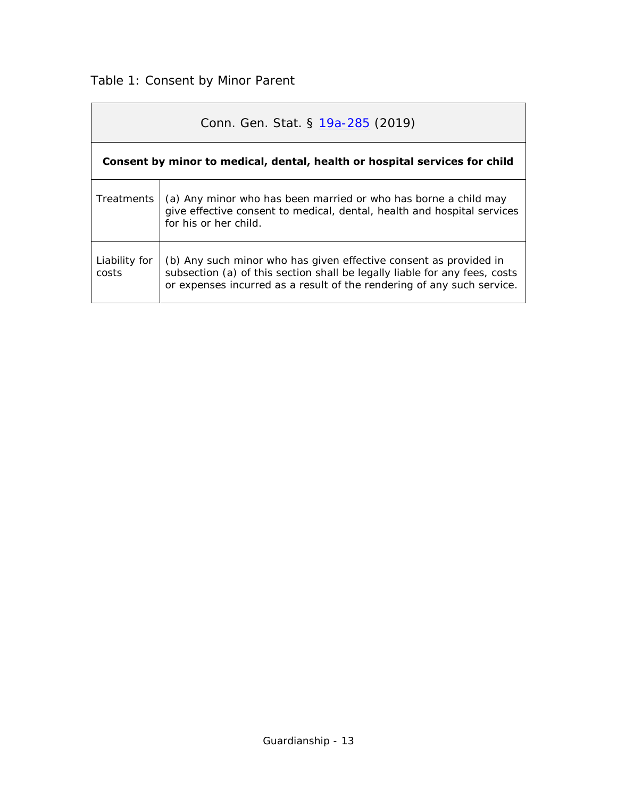## <span id="page-12-0"></span>Table 1: Consent by Minor Parent

|                        | Conn. Gen. Stat. § 19a-285 (2019)                                                                                                                                                                                         |
|------------------------|---------------------------------------------------------------------------------------------------------------------------------------------------------------------------------------------------------------------------|
|                        | Consent by minor to medical, dental, health or hospital services for child                                                                                                                                                |
| Treatments             | (a) Any minor who has been married or who has borne a child may<br>give effective consent to medical, dental, health and hospital services<br>for his or her child.                                                       |
| Liability for<br>costs | (b) Any such minor who has given effective consent as provided in<br>subsection (a) of this section shall be legally liable for any fees, costs<br>or expenses incurred as a result of the rendering of any such service. |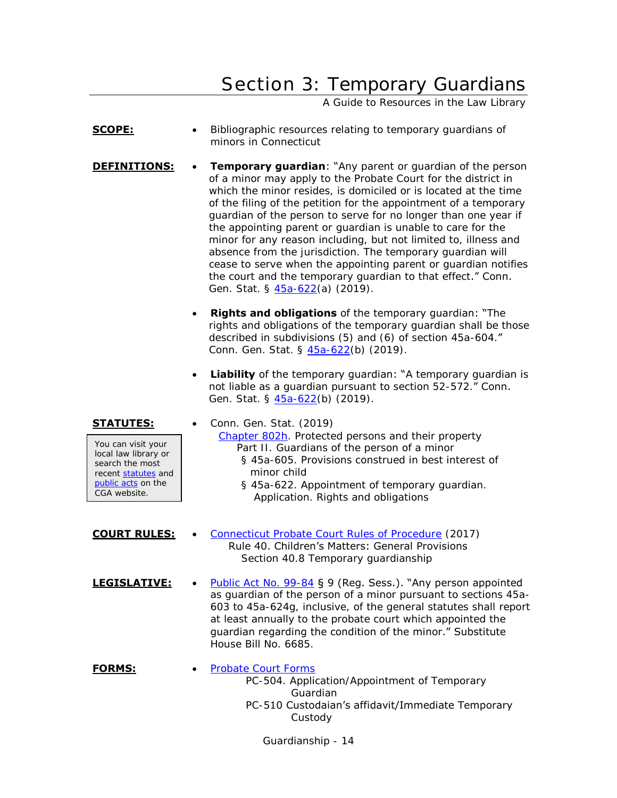# Section 3: Temporary Guardians

A Guide to Resources in the Law Library

- <span id="page-13-0"></span>**SCOPE:** • Bibliographic resources relating to temporary quardians of minors in Connecticut
- **DEFINITIONS:** Temporary guardian: "Any parent or guardian of the person of a minor may apply to the Probate Court for the district in which the minor resides, is domiciled or is located at the time of the filing of the petition for the appointment of a temporary guardian of the person to serve for no longer than one year if the appointing parent or guardian is unable to care for the minor for any reason including, but not limited to, illness and absence from the jurisdiction. The temporary guardian will cease to serve when the appointing parent or guardian notifies the court and the temporary guardian to that effect." Conn. Gen. Stat. § [45a-622\(](https://www.cga.ct.gov/current/pub/chap_802h.htm#sec_45a-622)a) (2019).
	- **Rights and obligations** of the temporary guardian: "The rights and obligations of the temporary guardian shall be those described in subdivisions (5) and (6) of section 45a-604." Conn. Gen. Stat. § [45a-622\(](https://www.cga.ct.gov/current/pub/chap_802h.htm#sec_45a-622)b) (2019).
	- **Liability** of the temporary quardian: "A temporary quardian is not liable as a guardian pursuant to section 52-572." Conn. Gen. Stat. § [45a-622\(](https://www.cga.ct.gov/current/pub/chap_802h.htm#sec_45a-622)b) (2019).

**STATUTES:** • Conn. Gen. Stat. (2019) [Chapter 802h.](http://www.cga.ct.gov/current/pub/chap_802h.htm) Protected persons and their property Part II. Guardians of the person of a minor § 45a-605. Provisions construed in best interest of minor child § 45a-622. Appointment of temporary guardian. Application. Rights and obligations You can visit your local law library or search the most recent [statutes](http://search.cga.state.ct.us/r/statute/dtsearch_form.asp) and [public acts](http://search.cga.state.ct.us/r/adv/dtsearch_form.asp) on the CGA website.

- **COURT RULES:** . [Connecticut Probate Court Rules of Procedure](http://www.ctprobate.gov/Documents/Probate%20Court%20Rules%20of%20Procedure.pdf) (2017) Rule 40. Children's Matters: General Provisions Section 40.8 Temporary guardianship
- LEGISLATIVE: . [Public Act No. 99-84](http://cga.ct.gov/ps99/Act/pa/1999PA-00084-R00HB-06685-PA.htm) § 9 (Reg. Sess.). "Any person appointed as guardian of the person of a minor pursuant to sections 45a-603 to 45a-624g, inclusive, of the general statutes shall report at least annually to the probate court which appointed the guardian regarding the condition of the minor." Substitute House Bill No. 6685.
- **FORMS:** [Probate Court Forms](http://www.ctprobate.gov/Pages/Probate-Court-Forms.aspx) PC-504. Application/Appointment of Temporary Guardian PC-510 Custodaian's affidavit/Immediate Temporary Custody

Guardianship - 14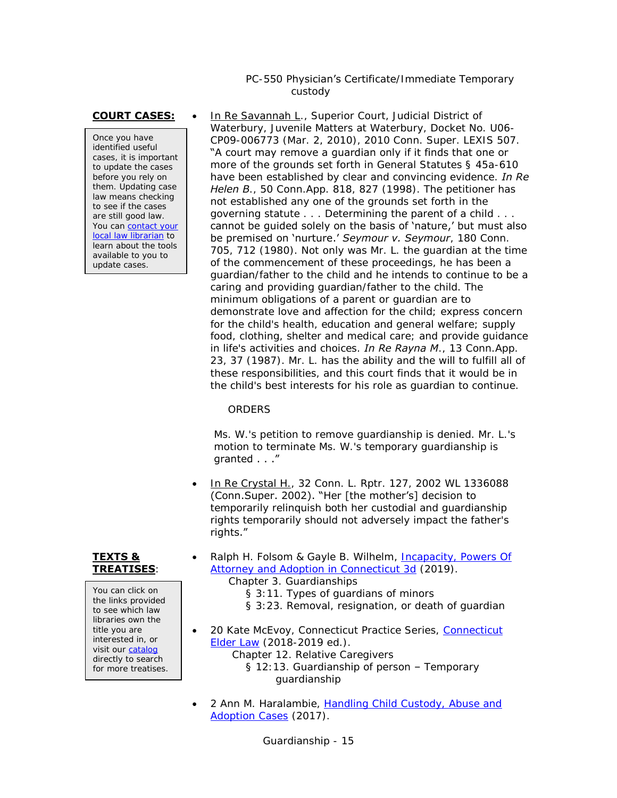### PC-550 Physician's Certificate/Immediate Temporary custody

Once you have identified useful cases, it is important to update the cases before you rely on them. Updating case law means checking to see if the cases are still good law. You can contact your [local law librarian](https://www.jud.ct.gov/lawlib/staff.htm) to learn about the tools available to you to update cases.

**COURT CASES:** . In Re Savannah L., Superior Court, Judicial District of Waterbury, Juvenile Matters at Waterbury, Docket No. U06- CP09-006773 (Mar. 2, 2010), 2010 Conn. Super. LEXIS 507. "A court may remove a guardian only if it finds that one or more of the grounds set forth in General Statutes § 45a-610 have been established by clear and convincing evidence. *In Re Helen B*., 50 Conn.App. 818, 827 (1998). The petitioner has not established any one of the grounds set forth in the governing statute . . . Determining the parent of a child . . . cannot be guided solely on the basis of 'nature,' but must also be premised on 'nurture.' *Seymour v. Seymour*, 180 Conn. 705, 712 (1980). Not only was Mr. L. the guardian at the time of the commencement of these proceedings, he has been a guardian/father to the child and he intends to continue to be a caring and providing guardian/father to the child. The minimum obligations of a parent or guardian are to demonstrate love and affection for the child; express concern for the child's health, education and general welfare; supply food, clothing, shelter and medical care; and provide guidance in life's activities and choices. *In Re Rayna M*., 13 Conn.App. 23, 37 (1987). Mr. L. has the ability and the will to fulfill all of these responsibilities, and this court finds that it would be in the child's best interests for his role as guardian to continue.

### **ORDERS**

Ms. W.'s petition to remove guardianship is denied. Mr. L.'s motion to terminate Ms. W.'s temporary guardianship is granted . . ."

• In Re Crystal H., 32 Conn. L. Rptr. 127, 2002 WL 1336088 (Conn.Super. 2002). "Her [the mother's] decision to temporarily relinquish both her custodial and guardianship rights temporarily should not adversely impact the father's rights."

### **TEXTS & TREATISES**:

You can click on the links provided to see which law libraries own the title you are interested in, or visit our [catalog](http://csjd-agent.auto-graphics.com/MVC/) directly to search for more treatises.

- Ralph H. Folsom & Gayle B. Wilhelm, Incapacity, Powers Of [Attorney and Adoption in Connecticut 3d](https://csjd-agent.auto-graphics.com/mvc/PersistentLink?key=6SSJucBiEyoD%2fj0eB8IGxA%3d%3d) (2019).
	- Chapter 3. Guardianships
		- § 3:11. Types of guardians of minors
		- § 3:23. Removal, resignation, or death of guardian
- 20 Kate McEvoy, [Connecticut](https://csjd-agent.auto-graphics.com/mvc/PersistentLink?key=bVMUhTkiLh5hUldSr5Q2Cqt3xQn8CBkt3YNV0Y%2bfWnA%3d) Practice Series, Connecticut [Elder Law](https://csjd-agent.auto-graphics.com/mvc/PersistentLink?key=bVMUhTkiLh5hUldSr5Q2Cqt3xQn8CBkt3YNV0Y%2bfWnA%3d) (2018-2019 ed.). Chapter 12. Relative Caregivers § 12:13. Guardianship of person – Temporary guardianship
- 2 Ann M. Haralambie, Handling Child Custody, Abuse and [Adoption Cases](https://csjd-agent.auto-graphics.com/mvc/PersistentLink?key=sTH7wVy%2bf9fjOjNsgaMsSu848QFZKTIkehJn5XVmFw0%3d) (2017).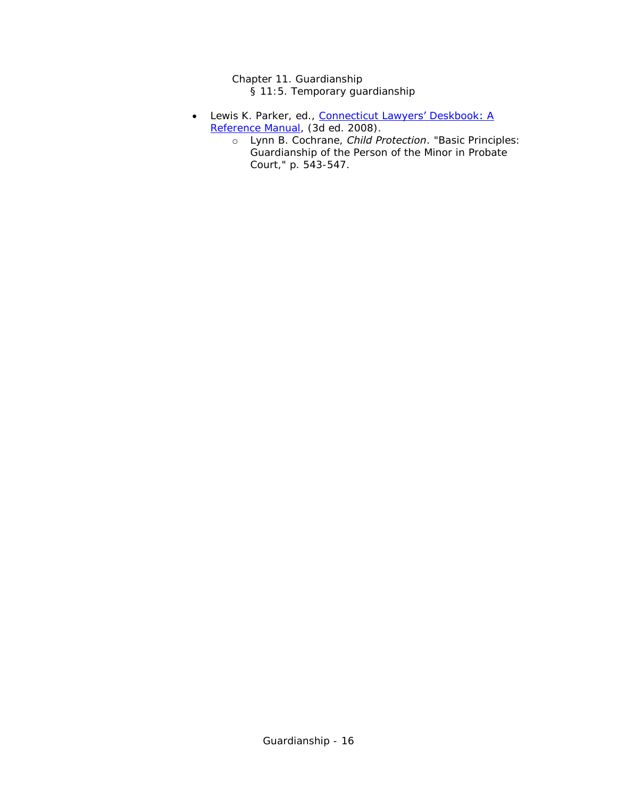Chapter 11. Guardianship § 11:5. Temporary guardianship

- Lewis K. Parker, ed., Connecticut Lawyers' Deskbook: A [Reference Manual,](http://csjd-agent.auto-graphics.com/mvc/PersistentLink?key=KK1YeBKPl6uT8wock214gEuuamxxzyRE5jYNBdoIZRY%3d) (3d ed. 2008).
	- o Lynn B. Cochrane, *Child Protection*. "Basic Principles: Guardianship of the Person of the Minor in Probate Court," p. 543-547.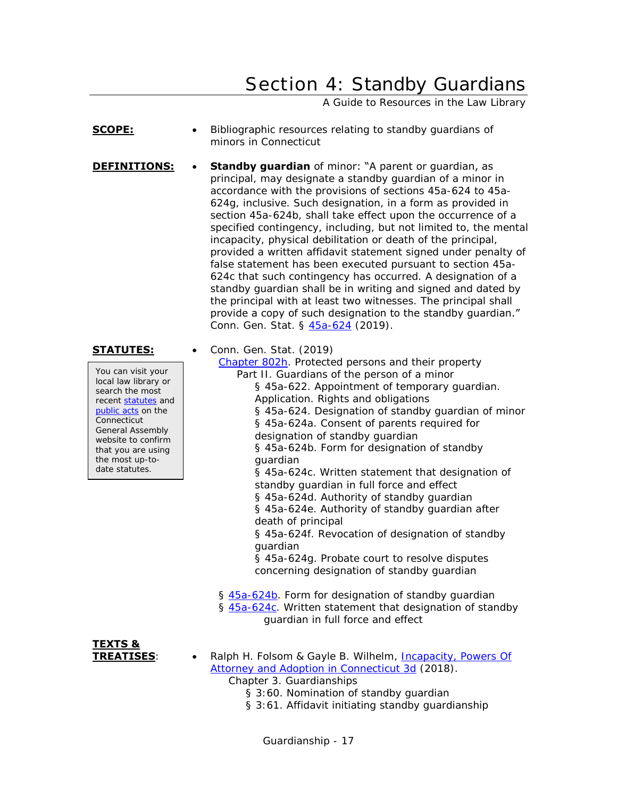## Section 4: Standby Guardians

A Guide to Resources in the Law Library

- <span id="page-16-0"></span>**SCOPE:** • Bibliographic resources relating to standby quardians of minors in Connecticut
- **DEFINITIONS:** Standby guardian of minor: "A parent or guardian, as principal, may designate a standby guardian of a minor in accordance with the provisions of sections 45a-624 to 45a-624g, inclusive. Such designation, in a form as provided in section 45a-624b, shall take effect upon the occurrence of a specified contingency, including, but not limited to, the mental incapacity, physical debilitation or death of the principal, provided a written affidavit statement signed under penalty of false statement has been executed pursuant to section 45a-624c that such contingency has occurred. A designation of a standby guardian shall be in writing and signed and dated by the principal with at least two witnesses. The principal shall provide a copy of such designation to the standby guardian." Conn. Gen. Stat. § [45a-624](https://www.cga.ct.gov/current/pub/chap_802h.htm#sec_45a-624) (2019).

### **STATUTES:** • Conn. Gen. Stat. (2019)

You can visit your local law library or search the most recent [statutes](http://search.cga.state.ct.us/r/statute/dtsearch_form.asp) and [public acts](http://search.cga.state.ct.us/r/adv/dtsearch_form.asp) on the **Connecticut** General Assembly website to confirm that you are using the most up-todate statutes.

### [Chapter 802h.](http://www.cga.ct.gov/current/pub/chap_802h.htm) Protected persons and their property Part II. Guardians of the person of a minor § 45a-622. Appointment of temporary guardian. Application. Rights and obligations § 45a-624. Designation of standby guardian of minor § 45a-624a. Consent of parents required for designation of standby guardian § 45a-624b. Form for designation of standby

guardian § 45a-624c. Written statement that designation of standby guardian in full force and effect

§ 45a-624d. Authority of standby guardian

§ 45a-624e. Authority of standby guardian after death of principal

§ 45a-624f. Revocation of designation of standby guardian

§ 45a-624g. Probate court to resolve disputes concerning designation of standby guardian

- § [45a-624b.](https://www.cga.ct.gov/current/pub/chap_802h.htm#sec_45a-624b) Form for designation of standby guardian § [45a-624c.](https://www.cga.ct.gov/current/pub/chap_802h.htm#sec_45a-624c) Written statement that designation of standby guardian in full force and effect
- **TEXTS &**
- **TREATISES**: Ralph H. Folsom & Gayle B. Wilhelm, [Incapacity, Powers Of](https://csjd-agent.auto-graphics.com/mvc/PersistentLink?key=6SSJucBiEyoD%2fj0eB8IGxA%3d%3d)  [Attorney and Adoption in Connecticut 3d](https://csjd-agent.auto-graphics.com/mvc/PersistentLink?key=6SSJucBiEyoD%2fj0eB8IGxA%3d%3d) (2018).

Chapter 3. Guardianships

- § 3:60. Nomination of standby guardian
- § 3:61. Affidavit initiating standby guardianship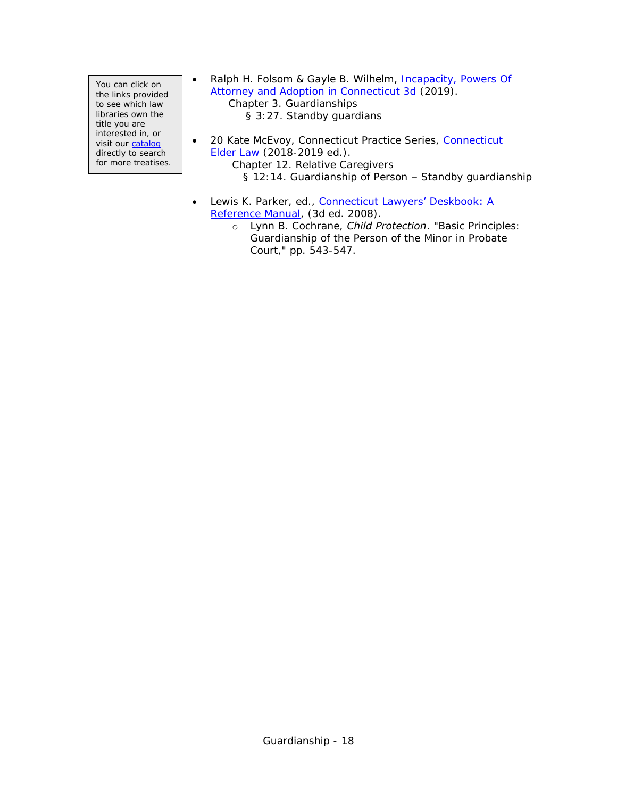You can click on the links provided to see which law libraries own the title you are interested in, or visit our [catalog](http://csjd-agent.auto-graphics.com/MVC/) directly to search for more treatises. • Ralph H. Folsom & Gayle B. Wilhelm, Incapacity, Powers Of [Attorney and Adoption in Connecticut 3d](https://csjd-agent.auto-graphics.com/mvc/PersistentLink?key=6SSJucBiEyoD%2fj0eB8IGxA%3d%3d) (2019).

Chapter 3. Guardianships § 3:27. Standby guardians

- 20 Kate McEvoy, [Connecticut](https://csjd-agent.auto-graphics.com/mvc/PersistentLink?key=bVMUhTkiLh5hUldSr5Q2Cqt3xQn8CBkt3YNV0Y%2bfWnA%3d) Practice Series, Connecticut [Elder Law](https://csjd-agent.auto-graphics.com/mvc/PersistentLink?key=bVMUhTkiLh5hUldSr5Q2Cqt3xQn8CBkt3YNV0Y%2bfWnA%3d) (2018-2019 ed.). Chapter 12. Relative Caregivers § 12:14. Guardianship of Person – Standby guardianship
- Lewis K. Parker, ed., **Connecticut Lawyers' Deskbook: A** [Reference Manual,](http://csjd-agent.auto-graphics.com/mvc/PersistentLink?key=KK1YeBKPl6uT8wock214gEuuamxxzyRE5jYNBdoIZRY%3d) (3d ed. 2008).
	- o Lynn B. Cochrane, *Child Protection*. "Basic Principles: Guardianship of the Person of the Minor in Probate Court," pp. 543-547.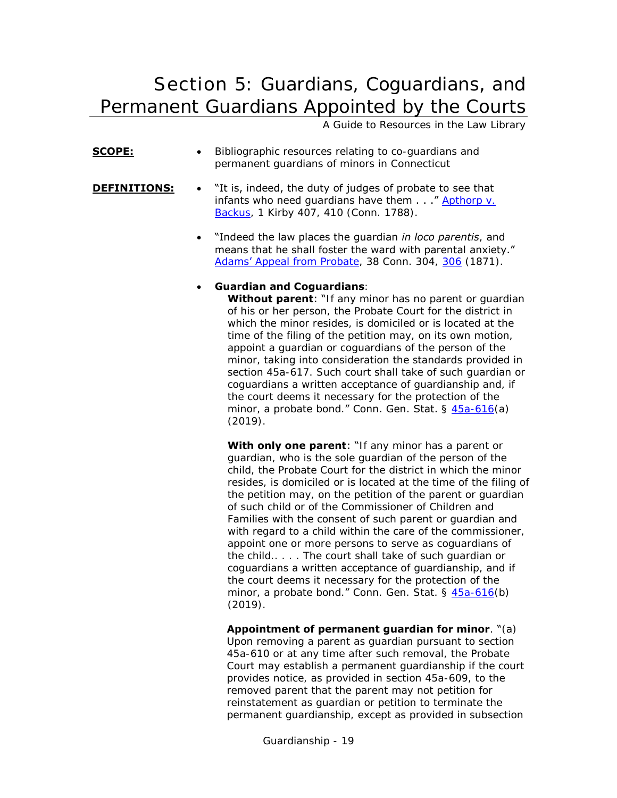<span id="page-18-0"></span>Section 5: Guardians, Coguardians, and Permanent Guardians Appointed by the Courts

A Guide to Resources in the Law Library

- **SCOPE:** Bibliographic resources relating to co-guardians and permanent guardians of minors in Connecticut
- **DEFINITIONS:** . The statistic of judges of probate to see that infants who need guardians have them  $\ldots$  " Apthorp  $\vee$ . [Backus,](http://books.google.com/books?id=uLEaAAAAYAAJ&dq=kirby) 1 Kirby 407, 410 (Conn. 1788).
	- "Indeed the law places the guardian *in loco parentis*, and means that he shall foster the ward with parental anxiety." [Adams' Appeal from Probate](http://books.google.com/books?id=W9gaAAAAYAAJ&dq=%22Adams%E2%80%99%20Appeal%20from%20Probate%22&pg=PA304#v=onepage&q=%22Adams%E2%80%99%20Appeal%20from%20Probate%22&f=false), 38 Conn. 304, [306](http://books.google.com/books?id=W9gaAAAAYAAJ&dq=%22Adams%E2%80%99%20Appeal%20from%20Probate%22&pg=PA306#v=onepage&q=%22Adams%E2%80%99%20Appeal%20from%20Probate%22&f=false) (1871).

### **Guardian and Coguardians**:

**Without parent:** "If any minor has no parent or guardian of his or her person, the Probate Court for the district in which the minor resides, is domiciled or is located at the time of the filing of the petition may, on its own motion, appoint a guardian or coguardians of the person of the minor, taking into consideration the standards provided in section 45a-617. Such court shall take of such guardian or coguardians a written acceptance of guardianship and, if the court deems it necessary for the protection of the minor, a probate bond." Conn. Gen. Stat. § [45a-616\(](https://www.cga.ct.gov/current/pub/chap_802h.htm#sec_45a-616)a) (2019).

**With only one parent:** "If any minor has a parent or guardian, who is the sole guardian of the person of the child, the Probate Court for the district in which the minor resides, is domiciled or is located at the time of the filing of the petition may, on the petition of the parent or guardian of such child or of the Commissioner of Children and Families with the consent of such parent or guardian and with regard to a child within the care of the commissioner, appoint one or more persons to serve as coguardians of the child.. . . . The court shall take of such guardian or coguardians a written acceptance of guardianship, and if the court deems it necessary for the protection of the minor, a probate bond." Conn. Gen. Stat. § [45a-616\(](https://www.cga.ct.gov/current/pub/chap_802h.htm#sec_45a-616)b) (2019).

**Appointment of permanent guardian for minor**. "(a) Upon removing a parent as guardian pursuant to section 45a-610 or at any time after such removal, the Probate Court may establish a permanent guardianship if the court provides notice, as provided in section 45a-609, to the removed parent that the parent may not petition for reinstatement as guardian or petition to terminate the permanent guardianship, except as provided in subsection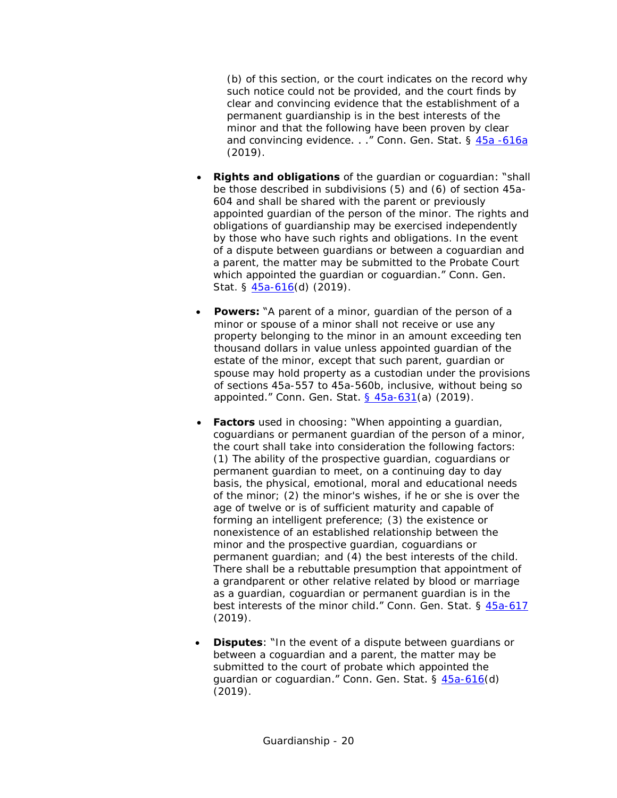(b) of this section, or the court indicates on the record why such notice could not be provided, and the court finds by clear and convincing evidence that the establishment of a permanent guardianship is in the best interests of the minor and that the following have been proven by clear and convincing evidence. . . " Conn. Gen. Stat. § 45a -616a (2019).

- **Rights and obligations** of the guardian or coguardian: "shall be those described in subdivisions (5) and (6) of section 45a-604 and shall be shared with the parent or previously appointed guardian of the person of the minor. The rights and obligations of guardianship may be exercised independently by those who have such rights and obligations. In the event of a dispute between guardians or between a coguardian and a parent, the matter may be submitted to the Probate Court which appointed the guardian or coguardian." Conn. Gen. Stat. § [45a-616\(](https://www.cga.ct.gov/current/pub/chap_802h.htm#sec_45a-616)d) (2019).
- **Powers:** "A parent of a minor, quardian of the person of a minor or spouse of a minor shall not receive or use any property belonging to the minor in an amount exceeding ten thousand dollars in value unless appointed guardian of the estate of the minor, except that such parent, guardian or spouse may hold property as a custodian under the provisions of sections 45a-557 to 45a-560b, inclusive, without being so appointed." Conn. Gen. Stat. [§ 45a-631\(](http://www.cga.ct.gov/current/pub/chap_802h.htm#sec_45a-631)a) (2019).
- **Factors** used in choosing: "When appointing a quardian, coguardians or permanent guardian of the person of a minor, the court shall take into consideration the following factors: (1) The ability of the prospective guardian, coguardians or permanent guardian to meet, on a continuing day to day basis, the physical, emotional, moral and educational needs of the minor; (2) the minor's wishes, if he or she is over the age of twelve or is of sufficient maturity and capable of forming an intelligent preference; (3) the existence or nonexistence of an established relationship between the minor and the prospective guardian, coguardians or permanent guardian; and (4) the best interests of the child. There shall be a rebuttable presumption that appointment of a grandparent or other relative related by blood or marriage as a guardian, coguardian or permanent guardian is in the best interests of the minor child." Conn. Gen. Stat. § [45a-617](https://www.cga.ct.gov/current/pub/chap_802h.htm#sec_45a-617) (2019).
- **Disputes:** "In the event of a dispute between quardians or between a coguardian and a parent, the matter may be submitted to the court of probate which appointed the guardian or coguardian." Conn. Gen. Stat. § [45a-616\(](https://www.cga.ct.gov/current/pub/chap_802h.htm#sec_45a-616)d) (2019).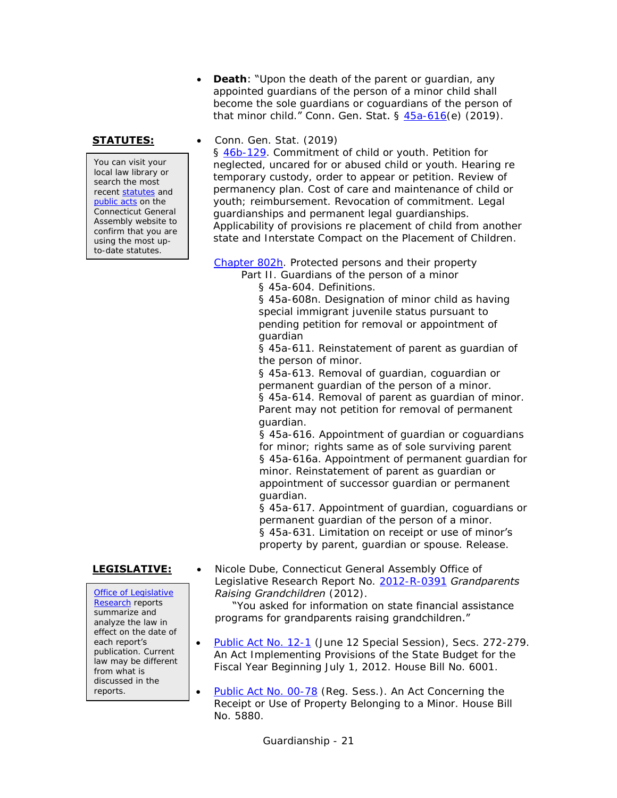**Death:** "Upon the death of the parent or quardian, any appointed guardians of the person of a minor child shall become the sole guardians or coguardians of the person of that minor child." Conn. Gen. Stat. § [45a-616\(](https://www.cga.ct.gov/current/pub/chap_802h.htm#sec_45a-616)e) (2019).

You can visit your local law library or search the most recent [statutes](http://search.cga.state.ct.us/r/statute/dtsearch_form.asp) and [public acts](http://search.cga.state.ct.us/r/adv/dtsearch_form.asp) on the Connecticut General Assembly website to confirm that you are using the most upto-date statutes.

### **STATUTES:** • Conn. Gen. Stat. (2019)

§ [46b-129.](https://www.cga.ct.gov/current/pub/chap_815t.htm#sec_46b-129) Commitment of child or youth. Petition for neglected, uncared for or abused child or youth. Hearing re temporary custody, order to appear or petition. Review of permanency plan. Cost of care and maintenance of child or youth; reimbursement. Revocation of commitment. Legal guardianships and permanent legal guardianships. Applicability of provisions re placement of child from another state and Interstate Compact on the Placement of Children.

[Chapter 802h.](http://www.cga.ct.gov/current/pub/chap_802h.htm) Protected persons and their property

Part II. Guardians of the person of a minor

§ 45a-604. Definitions.

§ 45a-608n. Designation of minor child as having special immigrant juvenile status pursuant to pending petition for removal or appointment of guardian

§ 45a-611. Reinstatement of parent as guardian of the person of minor.

§ 45a-613. Removal of guardian, coguardian or permanent guardian of the person of a minor. § 45a-614. Removal of parent as quardian of minor.

Parent may not petition for removal of permanent guardian.

§ 45a-616. Appointment of guardian or coguardians for minor; rights same as of sole surviving parent § 45a-616a. Appointment of permanent guardian for minor. Reinstatement of parent as guardian or appointment of successor guardian or permanent guardian.

§ 45a-617. Appointment of guardian, coguardians or permanent guardian of the person of a minor. § 45a-631. Limitation on receipt or use of minor's property by parent, guardian or spouse. Release.

[Office of Legislative](http://www.cga.ct.gov/olr/default.asp)  [Research](http://www.cga.ct.gov/olr/default.asp) reports summarize and analyze the law in effect on the date of each report's publication. Current law may be different from what is discussed in the reports.

**LEGISLATIVE:** • Nicole Dube, Connecticut General Assembly Office of Legislative Research Report No. [2012-R-0391](http://www.cga.ct.gov/2012/rpt/2012-R-0391.htm) *Grandparents Raising Grandchildren* (2012).

 "You asked for information on state financial assistance programs for grandparents raising grandchildren."

- [Public Act No. 12-1](http://cga.ct.gov/2012/ACT/PA/2012PA-00001-R00HB-06001SS2-PA.htm) (June 12 Special Session), Secs. 272-279. An Act Implementing Provisions of the State Budget for the Fiscal Year Beginning July 1, 2012. House Bill No. 6001.
- [Public Act No. 00-78](http://www.cga.ct.gov/2000/act/pa/2000PA-00078-R00HB-05880-PA.htm) (Reg. Sess.). An Act Concerning the Receipt or Use of Property Belonging to a Minor. House Bill No. 5880.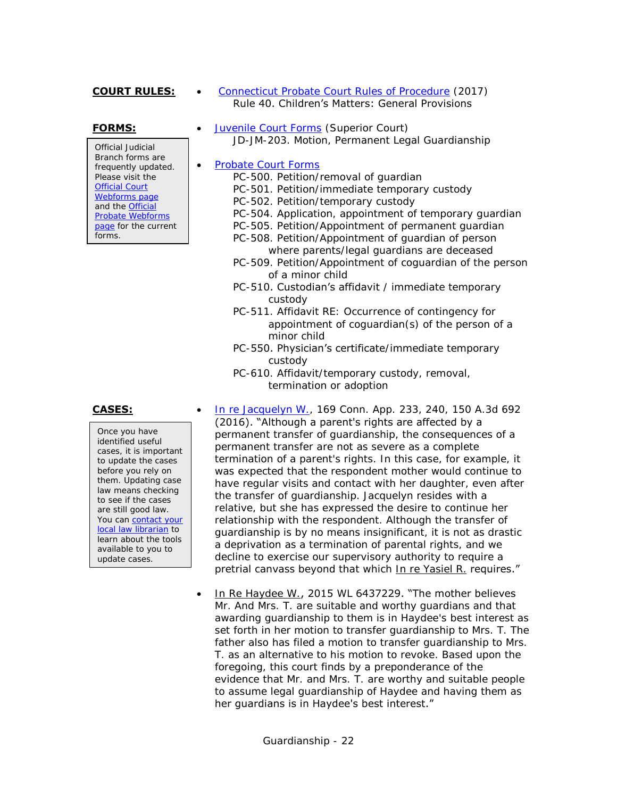### **COURT RULES:** • [Connecticut Probate Court Rules of Procedure](http://www.ctprobate.gov/Documents/Probate%20Court%20Rules%20of%20Procedure.pdf) (2017) Rule 40. Children's Matters: General Provisions

Official Judicial Branch forms are frequently updated. Please visit the [Official Court](http://www.jud.ct.gov/webforms/)  [Webforms page](http://www.jud.ct.gov/webforms/) and the [Official](http://www.ctprobate.gov/Pages/Probate-Court-Forms.aspx)  [Probate Webforms](http://www.ctprobate.gov/Pages/Probate-Court-Forms.aspx)  [page](http://www.ctprobate.gov/Pages/Probate-Court-Forms.aspx) for the current forms.

Once you have identified useful cases, it is important to update the cases before you rely on them. Updating case law means checking to see if the cases are still good law. You can contact your [local law librarian](https://www.jud.ct.gov/lawlib/staff.htm) to learn about the tools available to you to update cases.

**FORMS:** • [Juvenile Court Forms](http://www.jud.ct.gov/webforms/default.aspx?load_catg=Juvenile#searchTable) (Superior Court) JD-JM-203. Motion, Permanent Legal Guardianship

### • [Probate Court Forms](http://www.ctprobate.gov/Pages/Probate-Court-Forms.aspx)

- PC-500. Petition/removal of guardian
- PC-501. Petition/immediate temporary custody
- PC-502. Petition/temporary custody
- PC-504. Application, appointment of temporary guardian
- PC-505. Petition/Appointment of permanent guardian
- PC-508. Petition/Appointment of guardian of person where parents/legal guardians are deceased
- PC-509. Petition/Appointment of coguardian of the person of a minor child
- PC-510. Custodian's affidavit / immediate temporary custody
- PC-511. Affidavit RE: Occurrence of contingency for appointment of coguardian(s) of the person of a minor child
- PC-550. Physician's certificate/immediate temporary custody
- PC-610. Affidavit/temporary custody, removal, termination or adoption
- **CASES: [In re Jacquelyn W.,](https://scholar.google.com/scholar_case?case=16186146644985116126) 169 Conn. App. 233, 240, 150 A.3d 692** (2016). "Although a parent's rights are affected by a permanent transfer of guardianship, the consequences of a permanent transfer are not as severe as a complete termination of a parent's rights. In this case, for example, it was expected that the respondent mother would continue to have regular visits and contact with her daughter, even after the transfer of guardianship. Jacquelyn resides with a relative, but she has expressed the desire to continue her relationship with the respondent. Although the transfer of guardianship is by no means insignificant, it is not as drastic a deprivation as a termination of parental rights, and we decline to exercise our supervisory authority to require a pretrial canvass beyond that which In re Yasiel R. requires."
	- In Re Haydee W., 2015 WL 6437229. "The mother believes Mr. And Mrs. T. are suitable and worthy guardians and that awarding guardianship to them is in Haydee's best interest as set forth in her motion to transfer guardianship to Mrs. T. The father also has filed a motion to transfer guardianship to Mrs. T. as an alternative to his motion to revoke. Based upon the foregoing, this court finds by a preponderance of the evidence that Mr. and Mrs. T. are worthy and suitable people to assume legal guardianship of Haydee and having them as her guardians is in Haydee's best interest."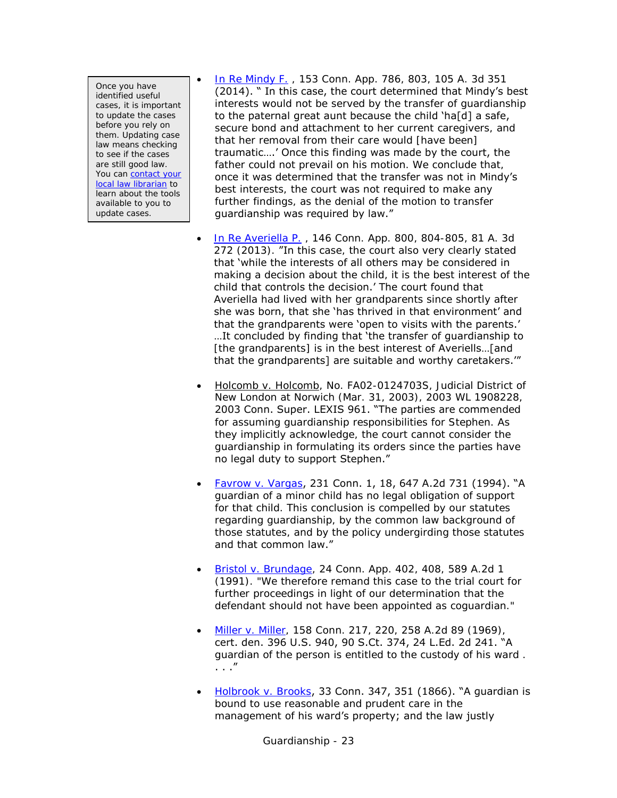Once you have identified useful cases, it is important to update the cases before you rely on them. Updating case law means checking to see if the cases are still good law. You can [contact your](https://www.jud.ct.gov/lawlib/staff.htm)  [local law librarian](https://www.jud.ct.gov/lawlib/staff.htm) to learn about the tools available to you to update cases.

- [In Re Mindy F.](https://scholar.google.com/scholar_case?case=1376117172967992565&q=in+re+mindy+f&hl=en&as_sdt=4,7) , 153 Conn. App. 786, 803, 105 A. 3d 351 (2014). " In this case, the court determined that Mindy's best interests would not be served by the transfer of guardianship to the paternal great aunt because the child 'ha[d] a safe, secure bond and attachment to her current caregivers, and that her removal from their care would [have been] traumatic….' Once this finding was made by the court, the father could not prevail on his motion. We conclude that, once it was determined that the transfer was not in Mindy's best interests, the court was not required to make any further findings, as the denial of the motion to transfer guardianship was required by law."
- [In Re Averiella P.](http://scholar.google.com/scholar_case?case=2583853294484535937) , 146 Conn. App. 800, 804-805, 81 A. 3d 272 (2013). "In this case, the court also very clearly stated that 'while the interests of all others may be considered in making a decision about the child, it is the best interest of the child that controls the decision.' The court found that Averiella had lived with her grandparents since shortly after she was born, that she 'has thrived in that environment' and that the grandparents were 'open to visits with the parents.' …It concluded by finding that 'the transfer of guardianship to [the grandparents] is in the best interest of Averiells...[and that the grandparents] are suitable and worthy caretakers.'"
- Holcomb v. Holcomb, No. FA02-0124703S, Judicial District of New London at Norwich (Mar. 31, 2003), 2003 WL 1908228, 2003 Conn. Super. LEXIS 961. "The parties are commended for assuming guardianship responsibilities for Stephen. As they implicitly acknowledge, the court cannot consider the guardianship in formulating its orders since the parties have no legal duty to support Stephen."
- [Favrow v. Vargas](http://scholar.google.com/scholar_case?case=3996256709959533011), 231 Conn. 1, 18, 647 A.2d 731 (1994). "A guardian of a minor child has no legal obligation of support for that child. This conclusion is compelled by our statutes regarding guardianship, by the common law background of those statutes, and by the policy undergirding those statutes and that common law."
- [Bristol v. Brundage,](http://scholar.google.com/scholar_case?case=14287962493801002291) 24 Conn. App. 402, 408, 589 A.2d 1 (1991). "We therefore remand this case to the trial court for further proceedings in light of our determination that the defendant should not have been appointed as coguardian."
- [Miller v. Miller,](http://scholar.google.com/scholar_case?case=7444733702315357647) 158 Conn. 217, 220, 258 A.2d 89 (1969), cert. den. 396 U.S. 940, 90 S.Ct. 374, 24 L.Ed. 2d 241. "A guardian of the person is entitled to the custody of his ward . . . ."
- $\bullet$  [Holbrook v. Brooks](http://books.google.com/books?id=C9gaAAAAYAAJ&dq=%22Holbrook%20v.%20Brooks%22&pg=PA347#v=onepage&q=%22Holbrook%20v.%20Brooks%22&f=false), 33 Conn. 347, 351 (1866). "A guardian is bound to use reasonable and prudent care in the management of his ward's property; and the law justly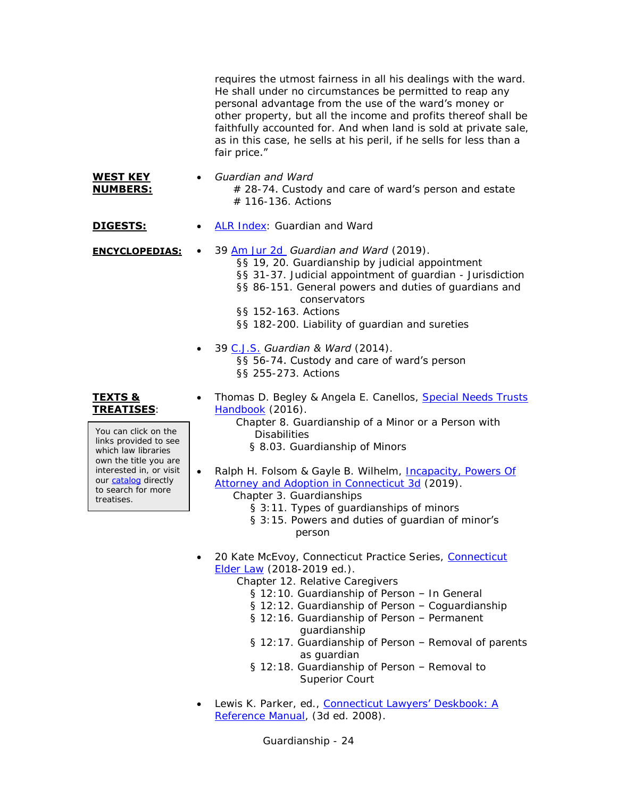requires the utmost fairness in all his dealings with the ward. He shall under no circumstances be permitted to reap any personal advantage from the use of the ward's money or other property, but all the income and profits thereof shall be faithfully accounted for. And when land is sold at private sale, as in this case, he sells at his peril, if he sells for less than a fair price."

### **WEST KEY NUMBERS:** *Guardian and Ward*  $# 28-74$ . Custody and care of ward's person and estate # 116-136. Actions

- **DIGESTS:** [ALR Index:](https://csjd-agent.auto-graphics.com/mvc/PersistentLink?key=xXaAGZfU5r8ldFWPbboRNA%3d%3d) Guardian and Ward
- **ENCYCLOPEDIAS:** 39 [Am Jur 2d](https://csjd-agent.auto-graphics.com/mvc/PersistentLink?key=X5EzqROsd%2bgrxaHpaRO7FQ%3d%3d) *Guardian and Ward* (2019). §§ 19, 20. Guardianship by judicial appointment §§ 31-37. Judicial appointment of guardian - Jurisdiction §§ 86-151. General powers and duties of guardians and conservators §§ 152-163. Actions §§ 182-200. Liability of guardian and sureties
	- 39 [C.J.S.](https://csjd-agent.auto-graphics.com/mvc/PersistentLink?key=ZlMU9tKV61M6Oo%2fA1nSmsw%3d%3d) *Guardian & Ward* (2014). §§ 56-74. Custody and care of ward's person §§ 255-273. Actions

### **TEXTS & TREATISES**:

You can click on the links provided to see which law libraries own the title you are interested in, or visit our [catalog](http://csjd-agent.auto-graphics.com/MVC/) directly to search for more treatises.

- Thomas D. Begley & Angela E. Canellos, Special Needs Trusts [Handbook](https://csjd-agent.auto-graphics.com/mvc/PersistentLink?key=tMZCaTaa2rrl3N8XEfP82zbU6hTRioXO0iZ5EJnONzk%3d) (2016).
	- Chapter 8. Guardianship of a Minor or a Person with **Disabilities** 
		- § 8.03. Guardianship of Minors
- Ralph H. Folsom & Gayle B. Wilhelm, [Incapacity, Powers Of](https://csjd-agent.auto-graphics.com/mvc/PersistentLink?key=6SSJucBiEyoD%2fj0eB8IGxA%3d%3d)  [Attorney and Adoption in Connecticut 3d](https://csjd-agent.auto-graphics.com/mvc/PersistentLink?key=6SSJucBiEyoD%2fj0eB8IGxA%3d%3d) (2019).
	- Chapter 3. Guardianships
		- § 3:11. Types of guardianships of minors
		- § 3:15. Powers and duties of quardian of minor's person
- 20 Kate McEvoy, [Connecticut](https://csjd-agent.auto-graphics.com/mvc/PersistentLink?key=bVMUhTkiLh5hUldSr5Q2Cqt3xQn8CBkt3YNV0Y%2bfWnA%3d) Practice Series, Connecticut [Elder Law](https://csjd-agent.auto-graphics.com/mvc/PersistentLink?key=bVMUhTkiLh5hUldSr5Q2Cqt3xQn8CBkt3YNV0Y%2bfWnA%3d) (2018-2019 ed.).
	- Chapter 12. Relative Caregivers
		- § 12:10. Guardianship of Person In General
		- § 12:12. Guardianship of Person Coguardianship
		- § 12:16. Guardianship of Person Permanent guardianship
		- § 12:17. Guardianship of Person Removal of parents as guardian
		- § 12:18. Guardianship of Person Removal to Superior Court
- **.** Lewis K. Parker, ed., Connecticut Lawyers' Deskbook: A [Reference Manual,](http://csjd-agent.auto-graphics.com/mvc/PersistentLink?key=KK1YeBKPl6uT8wock214gEuuamxxzyRE5jYNBdoIZRY%3d) (3d ed. 2008).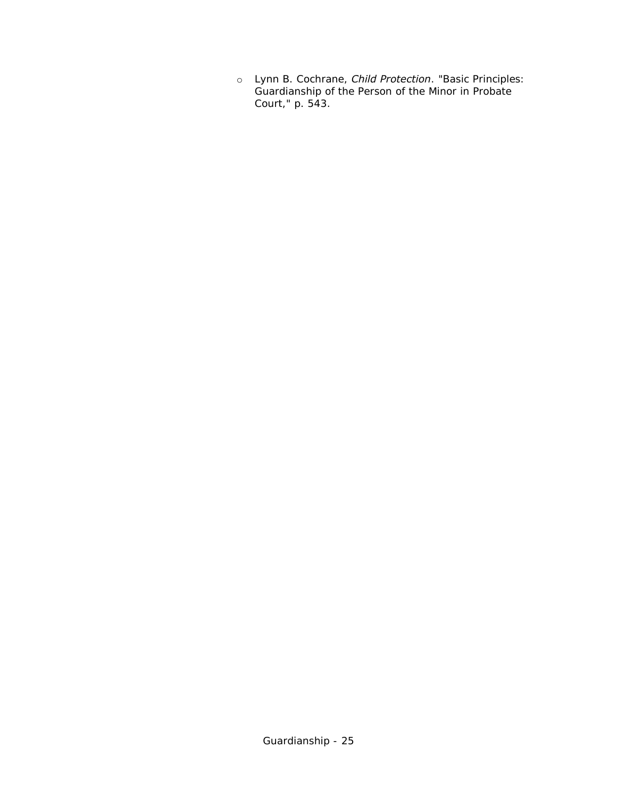o Lynn B. Cochrane, *Child Protection*. "Basic Principles: Guardianship of the Person of the Minor in Probate Court," p. 543.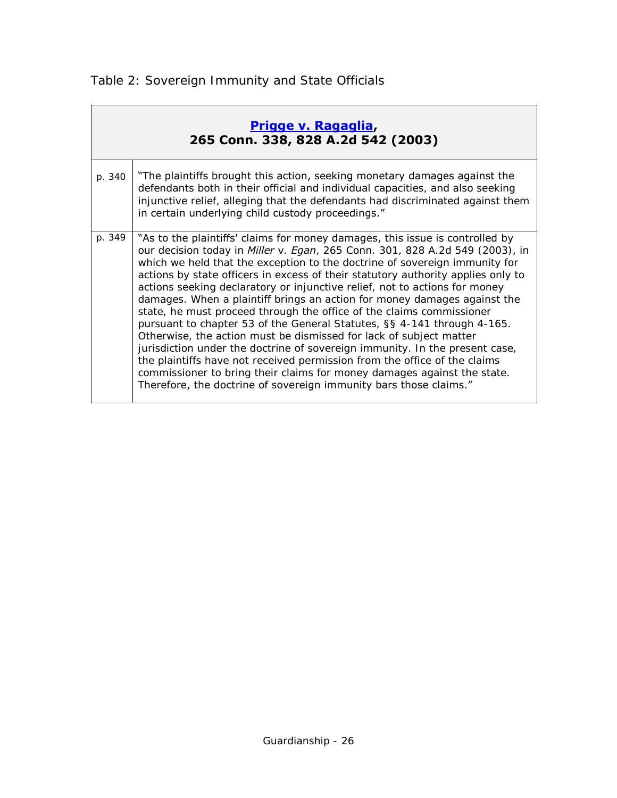<span id="page-25-0"></span>

| Prigge v. Ragaglia,<br>265 Conn. 338, 828 A.2d 542 (2003) |                                                                                                                                                                                                                                                                                                                                                                                                                                                                                                                                                                                                                                                                                                                                                                                                                                                                                                                                                                                                                                       |  |  |  |
|-----------------------------------------------------------|---------------------------------------------------------------------------------------------------------------------------------------------------------------------------------------------------------------------------------------------------------------------------------------------------------------------------------------------------------------------------------------------------------------------------------------------------------------------------------------------------------------------------------------------------------------------------------------------------------------------------------------------------------------------------------------------------------------------------------------------------------------------------------------------------------------------------------------------------------------------------------------------------------------------------------------------------------------------------------------------------------------------------------------|--|--|--|
| p. 340                                                    | "The plaintiffs brought this action, seeking monetary damages against the<br>defendants both in their official and individual capacities, and also seeking<br>injunctive relief, alleging that the defendants had discriminated against them<br>in certain underlying child custody proceedings."                                                                                                                                                                                                                                                                                                                                                                                                                                                                                                                                                                                                                                                                                                                                     |  |  |  |
| p. 349                                                    | "As to the plaintiffs' claims for money damages, this issue is controlled by<br>our decision today in <i>Miller v. Egan</i> , 265 Conn. 301, 828 A.2d 549 (2003), in<br>which we held that the exception to the doctrine of sovereign immunity for<br>actions by state officers in excess of their statutory authority applies only to<br>actions seeking declaratory or injunctive relief, not to actions for money<br>damages. When a plaintiff brings an action for money damages against the<br>state, he must proceed through the office of the claims commissioner<br>pursuant to chapter 53 of the General Statutes, §§ 4-141 through 4-165.<br>Otherwise, the action must be dismissed for lack of subject matter<br>jurisdiction under the doctrine of sovereign immunity. In the present case,<br>the plaintiffs have not received permission from the office of the claims<br>commissioner to bring their claims for money damages against the state.<br>Therefore, the doctrine of sovereign immunity bars those claims." |  |  |  |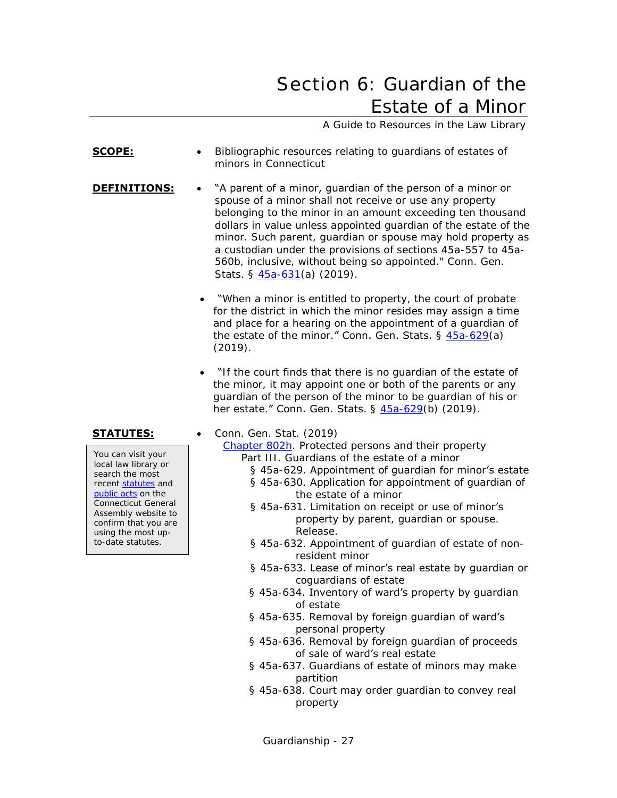## <span id="page-26-0"></span>Section 6: Guardian of the Estate of a Minor

A Guide to Resources in the Law Library

- <span id="page-26-1"></span>**SCOPE:** • Bibliographic resources relating to quardians of estates of minors in Connecticut
- **DEFINITIONS:** . . "A parent of a minor, quardian of the person of a minor or spouse of a minor shall not receive or use any property belonging to the minor in an amount exceeding ten thousand dollars in value unless appointed guardian of the estate of the minor. Such parent, guardian or spouse may hold property as a custodian under the provisions of sections 45a-557 to 45a-560b, inclusive, without being so appointed." Conn. Gen. Stats. § [45a-631\(](https://www.cga.ct.gov/current/pub/chap_802h.htm#sec_45a-631)a) (2019).
	- "When a minor is entitled to property, the court of probate for the district in which the minor resides may assign a time and place for a hearing on the appointment of a guardian of the estate of the minor." Conn. Gen. Stats. § [45a-629\(](https://www.cga.ct.gov/current/pub/chap_802h.htm#sec_45a-629)a) (2019).
	- "If the court finds that there is no guardian of the estate of the minor, it may appoint one or both of the parents or any guardian of the person of the minor to be guardian of his or her estate." Conn. Gen. Stats. § [45a-629\(](https://www.cga.ct.gov/current/pub/chap_802h.htm#sec_45a-629)b) (2019).

You can visit your local law library or search the most recent [statutes](http://search.cga.state.ct.us/r/statute/dtsearch_form.asp) and [public acts](http://search.cga.state.ct.us/r/adv/dtsearch_form.asp) on the Connecticut General Assembly website to confirm that you are using the most upto-date statutes.

**STATUTES:** • Conn. Gen. Stat. (2019)

[Chapter 802h.](http://www.cga.ct.gov/current/pub/chap_802h.htm) Protected persons and their property Part III. Guardians of the estate of a minor

- § 45a-629. Appointment of quardian for minor's estate
- § 45a-630. Application for appointment of guardian of the estate of a minor
- § 45a-631. Limitation on receipt or use of minor's property by parent, guardian or spouse. Release.
- § 45a-632. Appointment of guardian of estate of nonresident minor
- § 45a-633. Lease of minor's real estate by quardian or coguardians of estate
- § 45a-634. Inventory of ward's property by guardian of estate
- § 45a-635. Removal by foreign guardian of ward's personal property
- § 45a-636. Removal by foreign guardian of proceeds of sale of ward's real estate
- § 45a-637. Guardians of estate of minors may make partition
- § 45a-638. Court may order guardian to convey real property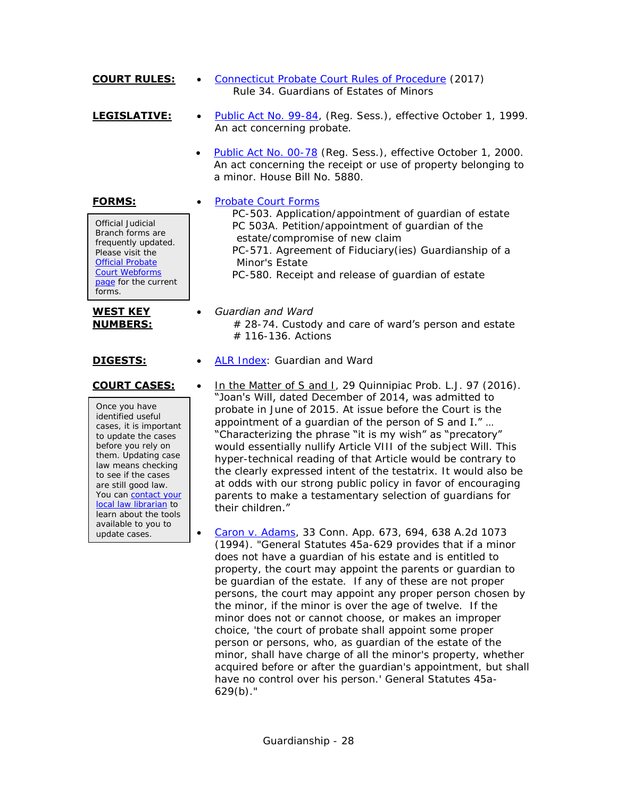- **COURT RULES:** [Connecticut Probate Court Rules of Procedure](http://www.ctprobate.gov/Documents/Probate%20Court%20Rules%20of%20Procedure.pdf) (2017) Rule 34. Guardians of Estates of Minors
- LEGISLATIVE: **•** [Public Act No. 99-84,](http://cga.ct.gov/ps99/Act/pa/1999PA-00084-R00HB-06685-PA.htm) (Reg. Sess.), effective October 1, 1999. An act concerning probate.
	- [Public Act No. 00-78](http://www.cga.ct.gov/2000/act/pa/2000PA-00078-R00HB-05880-PA.htm) (Reg. Sess.), effective October 1, 2000. An act concerning the receipt or use of property belonging to a minor. House Bill No. 5880.

**FORMS:** • [Probate Court Forms](http://www.ctprobate.gov/Pages/Probate-Court-Forms.aspx)

Official Judicial Branch forms are frequently updated. Please visit the [Official Probate](http://www.ctprobate.gov/Pages/Probate-Court-Forms.aspx)  [Court Webforms](http://www.ctprobate.gov/Pages/Probate-Court-Forms.aspx)  [page](http://www.ctprobate.gov/Pages/Probate-Court-Forms.aspx) for the current forms.

### **WEST KEY NUMBERS:**

Once you have identified useful cases, it is important to update the cases before you rely on them. Updating case law means checking to see if the cases are still good law. You can contact your [local law librarian](http://www.jud.ct.gov/lawlib/staff.htm) to learn about the tools available to you to update cases.

- PC-503. Application/appointment of guardian of estate PC 503A. Petition/appointment of guardian of the estate/compromise of new claim PC-571. Agreement of Fiduciary(ies) Guardianship of a Minor's Estate PC-580. Receipt and release of guardian of estate
- *Guardian and Ward*  $# 28-74$ . Custody and care of ward's person and estate # 116-136. Actions
- **DIGESTS:** [ALR Index:](https://csjd-agent.auto-graphics.com/mvc/PersistentLink?key=kNHyCNWLG23ljcDYRBLylzhdmjksxSl7zZ5s3b%2fBm2Y%3d) Guardian and Ward
- **COURT CASES:** . In the Matter of S and I, 29 Quinnipiac Prob. L.J. 97 (2016). "Joan's Will, dated December of 2014, was admitted to probate in June of 2015. At issue before the Court is the appointment of a guardian of the person of S and I." … "Characterizing the phrase "it is my wish" as "precatory" would essentially nullify Article VIII of the subject Will. This hyper-technical reading of that Article would be contrary to the clearly expressed intent of the testatrix. It would also be at odds with our strong public policy in favor of encouraging parents to make a testamentary selection of guardians for their children."
	- [Caron v. Adams,](http://scholar.google.com/scholar_case?case=13280985865825088908) 33 Conn. App. 673, 694, 638 A.2d 1073 (1994). "General Statutes 45a-629 provides that if a minor does not have a guardian of his estate and is entitled to property, the court may appoint the parents or guardian to be guardian of the estate. If any of these are not proper persons, the court may appoint any proper person chosen by the minor, if the minor is over the age of twelve. If the minor does not or cannot choose, or makes an improper choice, 'the court of probate shall appoint some proper person or persons, who, as guardian of the estate of the minor, shall have charge of all the minor's property, whether acquired before or after the guardian's appointment, but shall have no control over his person.' General Statutes 45a-629(b)."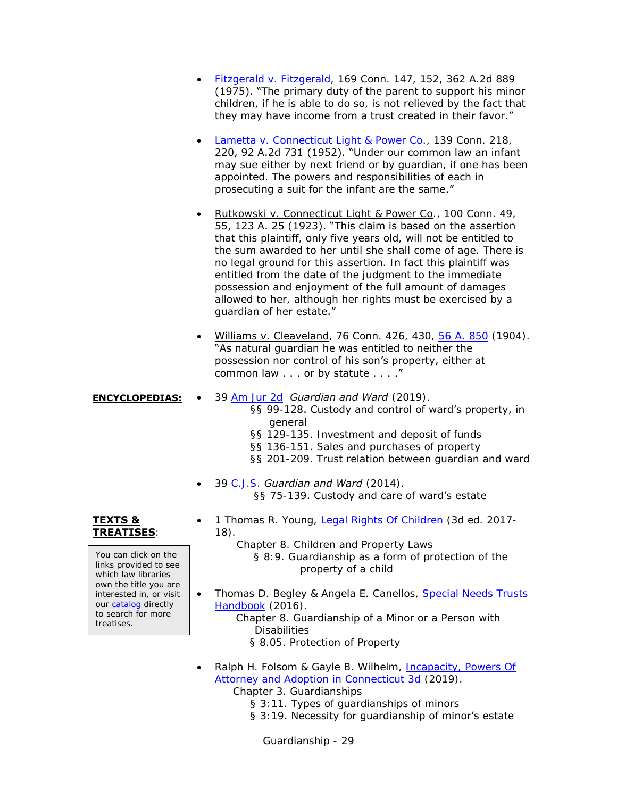- [Fitzgerald v. Fitzgerald,](http://scholar.google.com/scholar_case?case=11977236110868751291) 169 Conn. 147, 152, 362 A.2d 889 (1975). "The primary duty of the parent to support his minor children, if he is able to do so, is not relieved by the fact that they may have income from a trust created in their favor."
- [Lametta v. Connecticut Light & Power Co.](http://scholar.google.com/scholar_case?case=16191345416626758080), 139 Conn. 218, 220, 92 A.2d 731 (1952). "Under our common law an infant may sue either by next friend or by guardian, if one has been appointed. The powers and responsibilities of each in prosecuting a suit for the infant are the same."
- Rutkowski v. Connecticut Light & Power Co., 100 Conn. 49, 55, 123 A. 25 (1923). "This claim is based on the assertion that this plaintiff, only five years old, will not be entitled to the sum awarded to her until she shall come of age. There is no legal ground for this assertion. In fact this plaintiff was entitled from the date of the judgment to the immediate possession and enjoyment of the full amount of damages allowed to her, although her rights must be exercised by a guardian of her estate."
- Williams v. Cleaveland, 76 Conn. 426, 430, [56 A. 850](http://books.google.com/books?id=dfM7AAAAIAAJ&dq=%22atlantic%20reporter%2C%20volume%2056%22&pg=PA850#v=onepage&q=%22atlantic%20reporter,%20volume%2056%22&f=false) (1904). "As natural guardian he was entitled to neither the possession nor control of his son's property, either at common law . . . or by statute . . . ."

### **ENCYCLOPEDIAS:** 39 [Am Jur 2d](https://csjd-agent.auto-graphics.com/mvc/PersistentLink?key=X5EzqROsd%2bgrxaHpaRO7FQ%3d%3d) *Guardian and Ward* (2019).

§§ 99-128. Custody and control of ward's property, in general

- §§ 129-135. Investment and deposit of funds
- §§ 136-151. Sales and purchases of property
- §§ 201-209. Trust relation between guardian and ward
- 39 [C.J.S.](https://csjd-agent.auto-graphics.com/mvc/PersistentLink?key=ZlMU9tKV61M6Oo%2fA1nSmsw%3d%3d) *Guardian and Ward* (2014). §§ 75-139. Custody and care of ward's estate

### **TEXTS & TREATISES**:

You can click on the links provided to see which law libraries own the title you are interested in, or visit our [catalog](http://csjd-agent.auto-graphics.com/MVC/) directly to search for more treatises.

- 1 Thomas R. Young, [Legal Rights Of Children](https://csjd-agent.auto-graphics.com/mvc/PersistentLink?key=2b0EAbCpvbU%2frVLMWO7v2u9SPNgxeCw5Lo7SWjIJpVE%3d) (3d ed. 2017- 18).
	- Chapter 8. Children and Property Laws

 § 8:9. Guardianship as a form of protection of the property of a child

• Thomas D. Begley & Angela E. Canellos, Special Needs Trusts [Handbook](https://csjd-agent.auto-graphics.com/mvc/PersistentLink?key=tMZCaTaa2rrl3N8XEfP82zbU6hTRioXO0iZ5EJnONzk%3d) (2016).

> Chapter 8. Guardianship of a Minor or a Person with **Disabilities**

§ 8.05. Protection of Property

 Ralph H. Folsom & Gayle B. Wilhelm, [Incapacity, Powers Of](https://csjd-agent.auto-graphics.com/mvc/PersistentLink?key=6SSJucBiEyoD%2fj0eB8IGxA%3d%3d)  [Attorney and Adoption in Connecticut 3d](https://csjd-agent.auto-graphics.com/mvc/PersistentLink?key=6SSJucBiEyoD%2fj0eB8IGxA%3d%3d) (2019).

Chapter 3. Guardianships

- § 3:11. Types of guardianships of minors
- § 3:19. Necessity for guardianship of minor's estate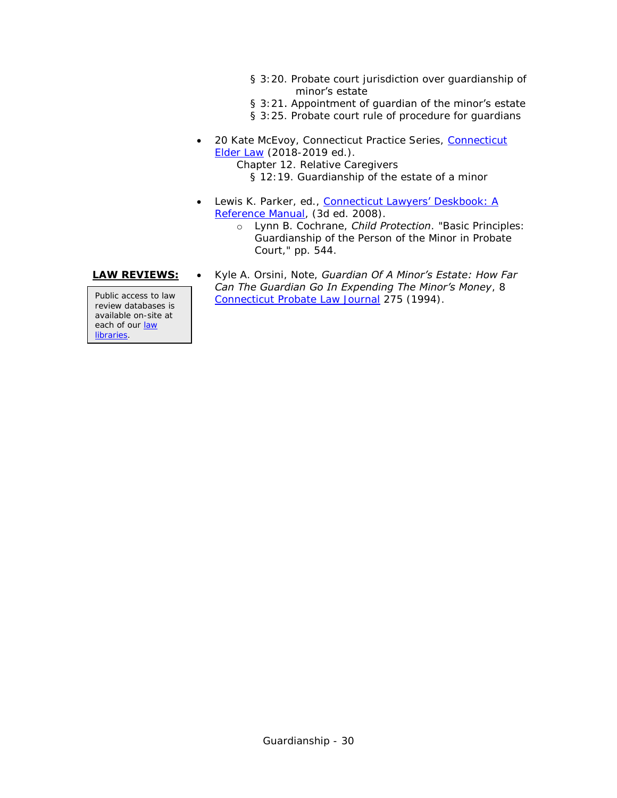- § 3:20. Probate court jurisdiction over guardianship of minor's estate
- § 3:21. Appointment of guardian of the minor's estate
- § 3:25. Probate court rule of procedure for guardians
- 20 Kate McEvoy, Connecticut Practice Series, [Connecticut](https://csjd-agent.auto-graphics.com/mvc/PersistentLink?key=bVMUhTkiLh5hUldSr5Q2Cqt3xQn8CBkt3YNV0Y%2bfWnA%3d)  [Elder Law](https://csjd-agent.auto-graphics.com/mvc/PersistentLink?key=bVMUhTkiLh5hUldSr5Q2Cqt3xQn8CBkt3YNV0Y%2bfWnA%3d) (2018-2019 ed.).

Chapter 12. Relative Caregivers § 12:19. Guardianship of the estate of a minor

- Lewis K. Parker, ed., Connecticut Lawyers' Deskbook: A [Reference Manual,](http://csjd-agent.auto-graphics.com/mvc/PersistentLink?key=KK1YeBKPl6uT8wock214gEuuamxxzyRE5jYNBdoIZRY%3d) (3d ed. 2008).
	- o Lynn B. Cochrane, *Child Protection*. "Basic Principles: Guardianship of the Person of the Minor in Probate Court," pp. 544.

review databases is available on-site at each of our [law](http://www.jud.ct.gov/lawlib/staff.htm)  [libraries.](http://www.jud.ct.gov/lawlib/staff.htm)

**LAW REVIEWS:** . Kyle A. Orsini, Note, *Guardian Of A Minor's Estate: How Far Can The Guardian Go In Expending The Minor's Money*, 8 Public access to law [Connecticut Probate Law Journal](https://csjd-agent.auto-graphics.com/mvc/PersistentLink?key=ABYl544vFqCWGUnB5V1Sxw%3d%3d) 275 (1994).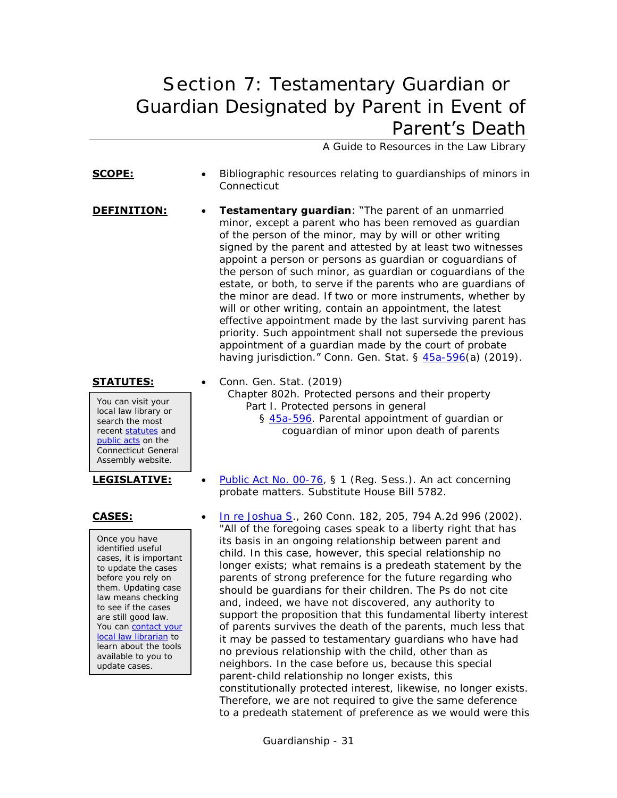## <span id="page-30-1"></span><span id="page-30-0"></span>Section 7: Testamentary Guardian or Guardian Designated by Parent in Event of Parent's Death

A Guide to Resources in the Law Library

**SCOPE:** • Bibliographic resources relating to guardianships of minors in **Connecticut DEFINITION:** • **Testamentary guardian**: "The parent of an unmarried minor, except a parent who has been removed as guardian of the person of the minor, may by will or other writing signed by the parent and attested by at least two witnesses appoint a person or persons as guardian or coguardians of the person of such minor, as guardian or coguardians of the estate, or both, to serve if the parents who are guardians of the minor are dead. If two or more instruments, whether by will or other writing, contain an appointment, the latest effective appointment made by the last surviving parent has priority. Such appointment shall not supersede the previous appointment of a guardian made by the court of probate having jurisdiction." Conn. Gen. Stat. § [45a-596\(](https://www.cga.ct.gov/current/pub/chap_802h.htm#sec_45a-596)a) (2019).

You can visit your local law library or search the most recent [statutes](http://search.cga.state.ct.us/r/statute/dtsearch_form.asp) and [public acts](http://search.cga.state.ct.us/r/adv/dtsearch_form.asp) on the Connecticut General Assembly website.

Once you have identified useful cases, it is important to update the cases before you rely on them. Updating case law means checking to see if the cases are still good law. You can contact your [local law librarian](http://www.jud.ct.gov/lawlib/staff.htm) to learn about the tools available to you to update cases.

- **STATUTES:** Conn. Gen. Stat. (2019) Chapter 802h. Protected persons and their property Part I. Protected persons in general § [45a-596.](https://www.cga.ct.gov/current/pub/chap_802h.htm#sec_45a-596) Parental appointment of guardian or coguardian of minor upon death of parents
- **LEGISLATIVE:** . [Public Act No. 00-76,](http://www.cga.ct.gov/2000/act/pa/2000PA-00076-R00HB-05782-PA.htm) § 1 (Reg. Sess.). An act concerning probate matters. Substitute House Bill 5782.
- **CASES:** [In re Joshua S.](http://scholar.google.com/scholar_case?case=13934421581573563996), 260 Conn. 182, 205, 794 A.2d 996 (2002). "All of the foregoing cases speak to a liberty right that has its basis in an ongoing relationship between parent and child. In this case, however, this special relationship no longer exists; what remains is a predeath statement by the parents of strong preference for the future regarding who should be guardians for their children. The Ps do not cite and, indeed, we have not discovered, any authority to support the proposition that this fundamental liberty interest of parents survives the death of the parents, much less that it may be passed to testamentary guardians who have had no previous relationship with the child, other than as neighbors. In the case before us, because this special parent-child relationship no longer exists, this constitutionally protected interest, likewise, no longer exists. Therefore, we are not required to give the same deference to a predeath statement of preference as we would were this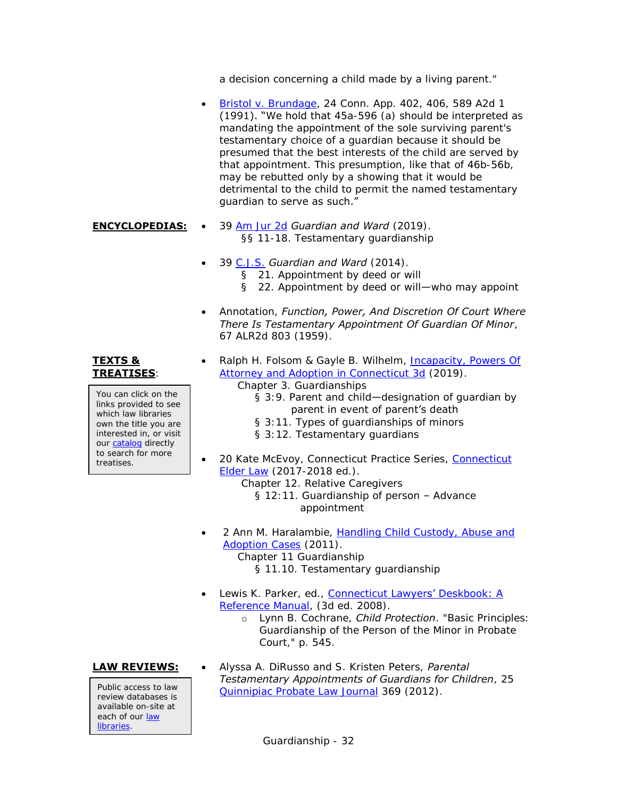a decision concerning a child made by a living parent."

- [Bristol v. Brundage,](http://scholar.google.com/scholar_case?case=14287962493801002291) 24 Conn. App. 402, 406, 589 A2d 1 (1991). "We hold that 45a-596 (a) should be interpreted as mandating the appointment of the sole surviving parent's testamentary choice of a guardian because it should be presumed that the best interests of the child are served by that appointment. This presumption, like that of 46b-56b, may be rebutted only by a showing that it would be detrimental to the child to permit the named testamentary guardian to serve as such."
- **ENCYCLOPEDIAS:** 39 [Am Jur 2d](https://csjd-agent.auto-graphics.com/mvc/PersistentLink?key=X5EzqROsd%2bgrxaHpaRO7FQ%3d%3d) *Guardian and Ward* (2019). §§ 11-18. Testamentary guardianship
	- 39 [C.J.S.](https://csjd-agent.auto-graphics.com/mvc/PersistentLink?key=ZlMU9tKV61M6Oo%2fA1nSmsw%3d%3d) *Guardian and Ward* (2014). § 21. Appointment by deed or will § 22. Appointment by deed or will—who may appoint
	- Annotation, *Function, Power, And Discretion Of Court Where There Is Testamentary Appointment Of Guardian Of Minor*, 67 ALR2d 803 (1959).
	- Ralph H. Folsom & Gayle B. Wilhelm, Incapacity, Powers Of [Attorney and Adoption in Connecticut 3d](https://csjd-agent.auto-graphics.com/mvc/PersistentLink?key=6SSJucBiEyoD%2fj0eB8IGxA%3d%3d) (2019).
		- Chapter 3. Guardianships
			- § 3:9. Parent and child—designation of guardian by parent in event of parent's death
			- § 3:11. Types of guardianships of minors
			- § 3:12. Testamentary guardians
	- 20 Kate McEvoy, [Connecticut](https://csjd-agent.auto-graphics.com/mvc/PersistentLink?key=bVMUhTkiLh5hUldSr5Q2Cqt3xQn8CBkt3YNV0Y%2bfWnA%3d) Practice Series, Connecticut [Elder Law](https://csjd-agent.auto-graphics.com/mvc/PersistentLink?key=bVMUhTkiLh5hUldSr5Q2Cqt3xQn8CBkt3YNV0Y%2bfWnA%3d) (2017-2018 ed.).
		- Chapter 12. Relative Caregivers
			- § 12:11. Guardianship of person Advance appointment
	- 2 Ann M. Haralambie, [Handling Child Custody, Abuse and](https://csjd-agent.auto-graphics.com/mvc/PersistentLink?key=sTH7wVy%2bf9fjOjNsgaMsSu848QFZKTIkehJn5XVmFw0%3d)  [Adoption Cases](https://csjd-agent.auto-graphics.com/mvc/PersistentLink?key=sTH7wVy%2bf9fjOjNsgaMsSu848QFZKTIkehJn5XVmFw0%3d) (2011). Chapter 11 Guardianship § 11.10. Testamentary guardianship
	- Lewis K. Parker, ed., Connecticut [Lawyers' Deskbook: A](http://csjd-agent.auto-graphics.com/mvc/PersistentLink?key=KK1YeBKPl6uT8wock214gEuuamxxzyRE5jYNBdoIZRY%3d) 
		- [Reference Manual,](http://csjd-agent.auto-graphics.com/mvc/PersistentLink?key=KK1YeBKPl6uT8wock214gEuuamxxzyRE5jYNBdoIZRY%3d) (3d ed. 2008).
			- o Lynn B. Cochrane, *Child Protection*. "Basic Principles: Guardianship of the Person of the Minor in Probate Court," p. 545.

review databases is available on-site at each of our law [libraries.](http://www.jud.ct.gov/lawlib/staff.htm)

**LAW REVIEWS:** . Alyssa A. DiRusso and S. Kristen Peters, *Parental Testamentary Appointments of Guardians for Children*, 25 Public access to law Duinnipiac [Probate Law Journal](https://csjd-agent.auto-graphics.com/mvc/PersistentLink?key=%2fHz0wAc6QVtZ9L6Y29K31w%3d%3d) 369 (2012).

Guardianship - 32

### **TEXTS & TREATISES**:

You can click on the links provided to see which law libraries own the title you are interested in, or visit our [catalog](http://csjd-agent.auto-graphics.com/MVC/) directly to search for more treatises.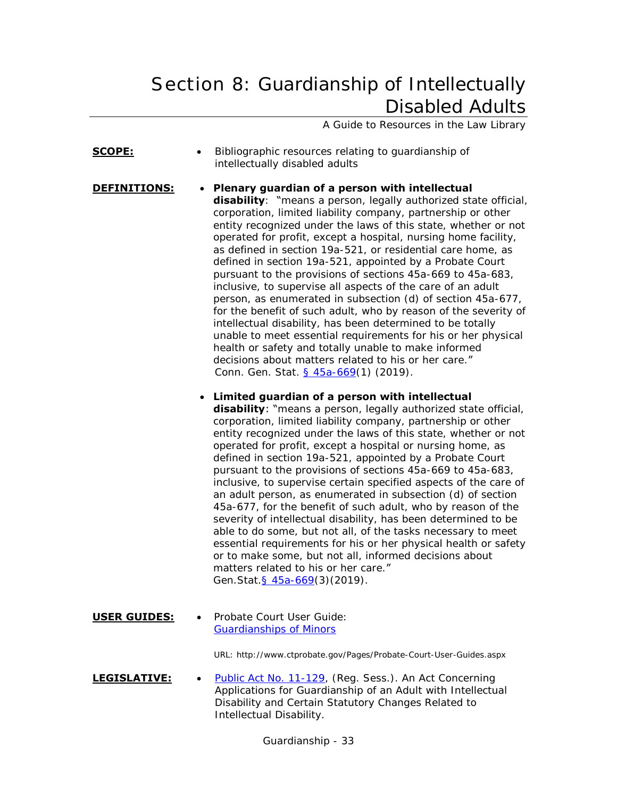# <span id="page-32-0"></span>Section 8: Guardianship of Intellectually Disabled Adults

A Guide to Resources in the Law Library

- **SCOPE:** Bibliographic resources relating to quardianship of intellectually disabled adults
- **DEFINITIONS: Plenary guardian of a person with intellectual disability**: "means a person, legally authorized state official, corporation, limited liability company, partnership or other entity recognized under the laws of this state, whether or not operated for profit, except a hospital, nursing home facility, as defined in section 19a-521, or residential care home, as defined in section 19a-521, appointed by a Probate Court pursuant to the provisions of sections 45a-669 to 45a-683, inclusive, to supervise all aspects of the care of an adult person, as enumerated in subsection (d) of section 45a-677, for the benefit of such adult, who by reason of the severity of intellectual disability, has been determined to be totally unable to meet essential requirements for his or her physical health or safety and totally unable to make informed decisions about matters related to his or her care." Conn. Gen. Stat. [§ 45a-669\(](https://www.cga.ct.gov/current/pub/chap_802h.htm#sec_45a-669)1) (2019).
	- **Limited guardian of a person with intellectual**

**disability**: "means a person, legally authorized state official, corporation, limited liability company, partnership or other entity recognized under the laws of this state, whether or not operated for profit, except a hospital or nursing home, as defined in section 19a-521, appointed by a Probate Court pursuant to the provisions of sections 45a-669 to 45a-683, inclusive, to supervise certain specified aspects of the care of an adult person, as enumerated in subsection (d) of section 45a-677, for the benefit of such adult, who by reason of the severity of intellectual disability, has been determined to be able to do some, but not all, of the tasks necessary to meet essential requirements for his or her physical health or safety or to make some, but not all, informed decisions about matters related to his or her care." Gen.Stat[.§ 45a-669\(](https://www.cga.ct.gov/current/pub/chap_802h.htm#sec_45a-669)3)(2019).

**USER GUIDES:** . Probate Court User Guide: [Guardianships of Minors](http://www.ctprobate.gov/Documents/User%20Guide%20-%20Guardians%20of%20Minors.pdf)

URL: http://www.ctprobate.gov/Pages/Probate-Court-User-Guides.aspx

**LEGISLATIVE:** . [Public Act No. 11-129,](http://www.cga.ct.gov/2011/act/pa/2011PA-00129-R00HB-06440-PA.htm) (Reg. Sess.). An Act Concerning Applications for Guardianship of an Adult with Intellectual Disability and Certain Statutory Changes Related to Intellectual Disability.

Guardianship - 33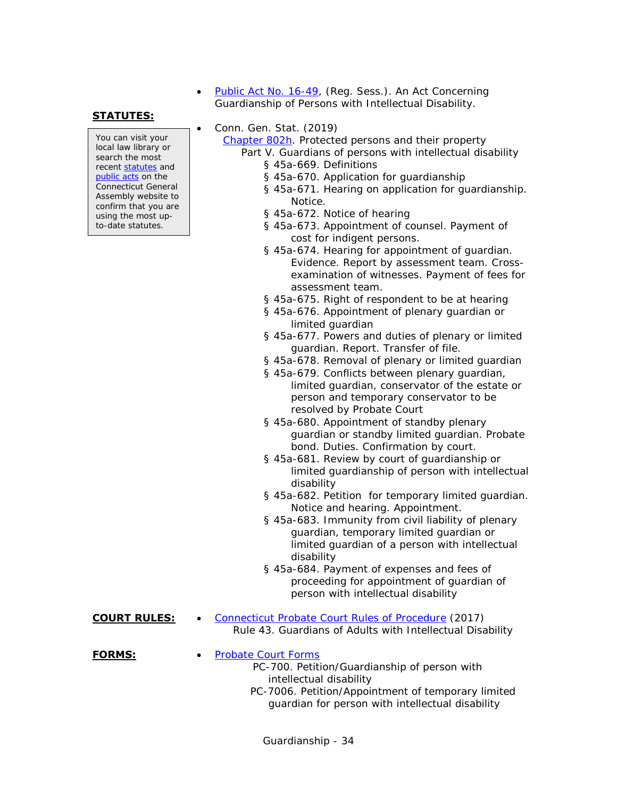[Public Act No. 16-49,](https://www.cga.ct.gov/2016/ACT/pa/2016PA-00049-R00HB-05255-PA.htm) (Reg. Sess.). An Act Concerning Guardianship of Persons with Intellectual Disability.

### **STATUTES:**

You can visit your local law library or search the most recent [statutes](http://search.cga.state.ct.us/r/statute/dtsearch_form.asp) and [public acts](http://search.cga.state.ct.us/r/adv/dtsearch_form.asp) on the Connecticut General Assembly website to confirm that you are using the most upto-date statutes.

Conn. Gen. Stat. (2019)

[Chapter 802h.](http://www.cga.ct.gov/current/pub/chap_802h.htm) Protected persons and their property Part V. Guardians of persons with intellectual disability

- § 45a-669. Definitions
- § 45a-670. Application for guardianship
- § 45a-671. Hearing on application for guardianship. Notice.
- § 45a-672. Notice of hearing
- § 45a-673. Appointment of counsel. Payment of cost for indigent persons.
- § 45a-674. Hearing for appointment of guardian. Evidence. Report by assessment team. Crossexamination of witnesses. Payment of fees for assessment team.
- § 45a-675. Right of respondent to be at hearing
- § 45a-676. Appointment of plenary guardian or limited guardian
- § 45a-677. Powers and duties of plenary or limited guardian. Report. Transfer of file.
- § 45a-678. Removal of plenary or limited guardian
- § 45a-679. Conflicts between plenary guardian, limited guardian, conservator of the estate or person and temporary conservator to be resolved by Probate Court
- § 45a-680. Appointment of standby plenary guardian or standby limited guardian. Probate bond. Duties. Confirmation by court.
- § 45a-681. Review by court of guardianship or limited guardianship of person with intellectual disability
- § 45a-682. Petition for temporary limited guardian. Notice and hearing. Appointment.
- § 45a-683. Immunity from civil liability of plenary guardian, temporary limited guardian or limited guardian of a person with intellectual disability
- § 45a-684. Payment of expenses and fees of proceeding for appointment of guardian of person with intellectual disability
- **COURT RULES:** . [Connecticut Probate Court Rules of Procedure](http://www.ctprobate.gov/Documents/Probate%20Court%20Rules%20of%20Procedure.pdf) (2017) Rule 43. Guardians of Adults with Intellectual Disability

**FORMS:** • [Probate Court Forms](http://www.ctprobate.gov/Pages/Probate-Court-Forms.aspx)

- PC-700. Petition/Guardianship of person with intellectual disability
- PC-7006. Petition/Appointment of temporary limited guardian for person with intellectual disability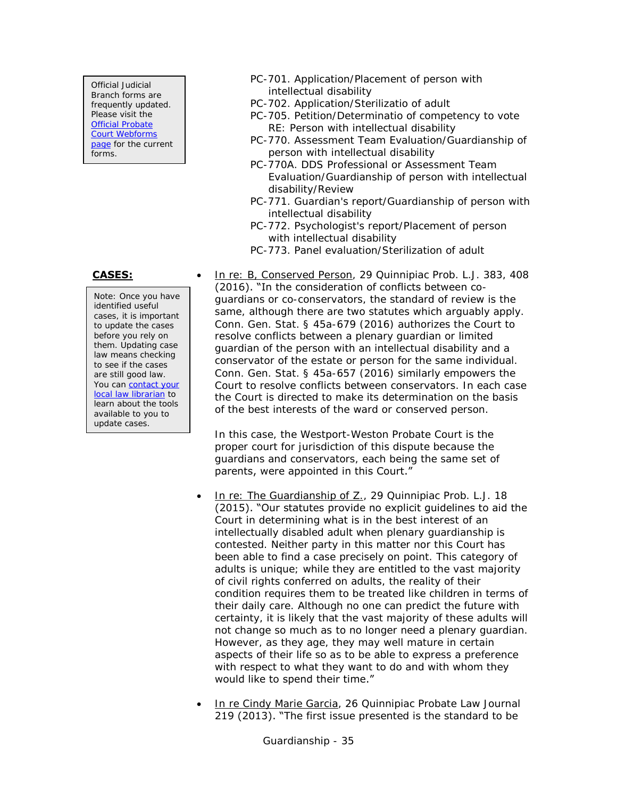Official Judicial Branch forms are frequently updated. Please visit the **Official Probate** [Court Webforms](http://www.ctprobate.gov/Pages/Probate-Court-Forms.aspx)  [page](http://www.ctprobate.gov/Pages/Probate-Court-Forms.aspx) for the current forms.

Note: Once you have identified useful cases, it is important to update the cases before you rely on them. Updating case law means checking to see if the cases are still good law. You can **contact your** [local law librarian](http://www.jud.ct.gov/lawlib/staff.htm) to learn about the tools available to you to update cases.

- PC-701. Application/Placement of person with intellectual disability
- PC-702. Application/Sterilizatio of adult
- PC-705. Petition/Determinatio of competency to vote RE: Person with intellectual disability
- PC-770. Assessment Team Evaluation/Guardianship of person with intellectual disability
- PC-770A. DDS Professional or Assessment Team Evaluation/Guardianship of person with intellectual disability/Review
- PC-771. Guardian's report/Guardianship of person with intellectual disability
- PC-772. Psychologist's report/Placement of person with intellectual disability
- PC-773. Panel evaluation/Sterilization of adult

**CASES:** In re: B, Conserved Person, 29 Quinnipiac Prob. L.J. 383, 408 (2016). "In the consideration of conflicts between coguardians or co-conservators, the standard of review is the same, although there are two statutes which arguably apply. Conn. Gen. Stat. § 45a-679 (2016) authorizes the Court to resolve conflicts between a plenary guardian or limited guardian of the person with an intellectual disability and a conservator of the estate or person for the same individual. Conn. Gen. Stat. § 45a-657 (2016) similarly empowers the Court to resolve conflicts between conservators. In each case the Court is directed to make its determination on the basis of the best interests of the ward or conserved person.

> In this case, the Westport-Weston Probate Court is the proper court for jurisdiction of this dispute because the guardians and conservators, each being the same set of parents, were appointed in this Court."

- In re: The Guardianship of Z., 29 Quinnipiac Prob. L.J. 18 (2015). "Our statutes provide no explicit guidelines to aid the Court in determining what is in the best interest of an intellectually disabled adult when plenary guardianship is contested. Neither party in this matter nor this Court has been able to find a case precisely on point. This category of adults is unique; while they are entitled to the vast majority of civil rights conferred on adults, the reality of their condition requires them to be treated like children in terms of their daily care. Although no one can predict the future with certainty, it is likely that the vast majority of these adults will not change so much as to no longer need a plenary guardian. However, as they age, they may well mature in certain aspects of their life so as to be able to express a preference with respect to what they want to do and with whom they would like to spend their time."
- In re Cindy Marie Garcia, 26 Quinnipiac Probate Law Journal 219 (2013). "The first issue presented is the standard to be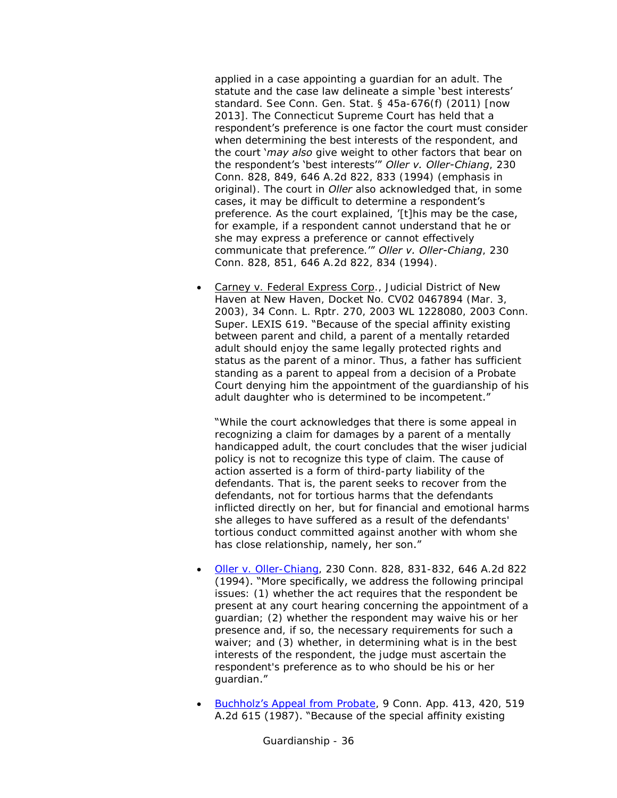applied in a case appointing a guardian for an adult. The statute and the case law delineate a simple 'best interests' standard. See Conn. Gen. Stat. § 45a-676(f) (2011) [now 2013]. The Connecticut Supreme Court has held that a respondent's preference is one factor the court must consider when determining the best interests of the respondent, and the court '*may also* give weight to other factors that bear on the respondent's 'best interests'" *Oller v. Oller-Chiang*, 230 Conn. 828, 849, 646 A.2d 822, 833 (1994) (emphasis in original). The court in *Oller* also acknowledged that, in some cases, it may be difficult to determine a respondent's preference. As the court explained, '[t]his may be the case, for example, if a respondent cannot understand that he or she may express a preference or cannot effectively communicate that preference.'" *Oller v. Oller-Chiang*, 230 Conn. 828, 851, 646 A.2d 822, 834 (1994).

 Carney v. Federal Express Corp., Judicial District of New Haven at New Haven, Docket No. CV02 0467894 (Mar. 3, 2003), 34 Conn. L. Rptr. 270, 2003 WL 1228080, 2003 Conn. Super. LEXIS 619. "Because of the special affinity existing between parent and child, a parent of a mentally retarded adult should enjoy the same legally protected rights and status as the parent of a minor. Thus, a father has sufficient standing as a parent to appeal from a decision of a Probate Court denying him the appointment of the guardianship of his adult daughter who is determined to be incompetent."

"While the court acknowledges that there is some appeal in recognizing a claim for damages by a parent of a mentally handicapped adult, the court concludes that the wiser judicial policy is not to recognize this type of claim. The cause of action asserted is a form of third-party liability of the defendants. That is, the parent seeks to recover from the defendants, not for tortious harms that the defendants inflicted directly on her, but for financial and emotional harms she alleges to have suffered as a result of the defendants' tortious conduct committed against another with whom she has close relationship, namely, her son."

- [Oller v. Oller-Chiang,](http://scholar.google.com/scholar_case?case=5378612858795639657) 230 Conn. 828, 831-832, 646 A.2d 822 (1994). "More specifically, we address the following principal issues: (1) whether the act requires that the respondent be present at any court hearing concerning the appointment of a guardian; (2) whether the respondent may waive his or her presence and, if so, the necessary requirements for such a waiver; and (3) whether, in determining what is in the best interests of the respondent, the judge must ascertain the respondent's preference as to who should be his or her guardian."
- [Buchholz's Appeal from Probate](http://scholar.google.com/scholar_case?case=55981807337474183), 9 Conn. App. 413, 420, 519 A.2d 615 (1987). "Because of the special affinity existing

Guardianship - 36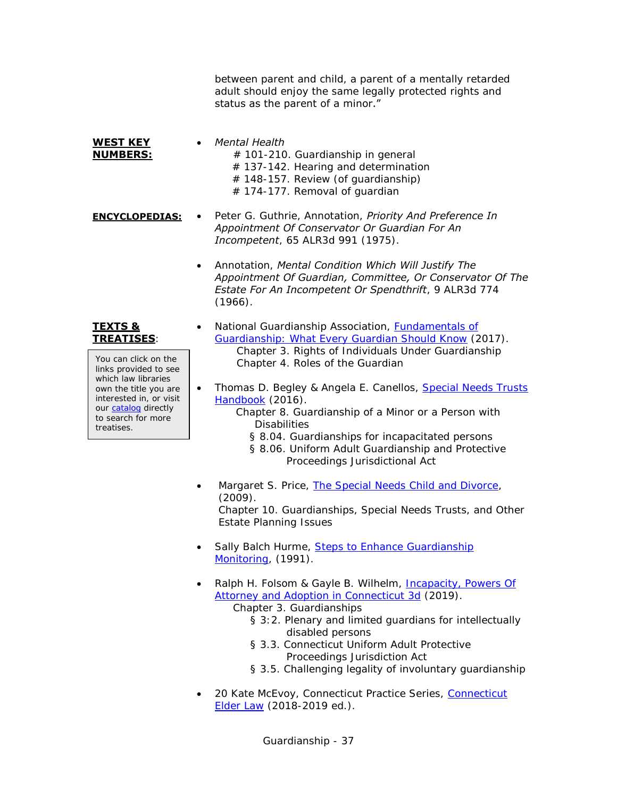between parent and child, a parent of a mentally retarded adult should enjoy the same legally protected rights and status as the parent of a minor."

**WEST KEY NUMBERS:** *Mental Health*

- # 101-210. Guardianship in general
- # 137-142. Hearing and determination
- $#$  148-157. Review (of quardianship)
- # 174-177. Removal of guardian
- **ENCYCLOPEDIAS:** . Peter G. Guthrie, Annotation, *Priority And Preference In Appointment Of Conservator Or Guardian For An Incompetent*, 65 ALR3d 991 (1975).
	- Annotation, *Mental Condition Which Will Justify The Appointment Of Guardian, Committee, Or Conservator Of The Estate For An Incompetent Or Spendthrift*, 9 ALR3d 774 (1966).

### **TEXTS & TREATISES**:

You can click on the links provided to see which law libraries own the title you are interested in, or visit our [catalog](http://csjd-agent.auto-graphics.com/MVC/) directly to search for more treatises.

- National Guardianship Association, [Fundamentals of](https://csjd-agent.auto-graphics.com/mvc/PersistentLink?key=RrNG7gQgeKtp6CZwi%2fNkpL%2fyNH9ZRa%2bri0R02GI4ixg%3d)  [Guardianship: What Every Guardian Should Know](https://csjd-agent.auto-graphics.com/mvc/PersistentLink?key=RrNG7gQgeKtp6CZwi%2fNkpL%2fyNH9ZRa%2bri0R02GI4ixg%3d) (2017). Chapter 3. Rights of Individuals Under Guardianship Chapter 4. Roles of the Guardian
- Thomas D. Begley & Angela E. Canellos, Special Needs Trusts [Handbook](https://csjd-agent.auto-graphics.com/mvc/PersistentLink?key=tMZCaTaa2rrl3N8XEfP82zbU6hTRioXO0iZ5EJnONzk%3d) (2016).
	- Chapter 8. Guardianship of a Minor or a Person with **Disabilities** 
		- § 8.04. Guardianships for incapacitated persons
		- § 8.06. Uniform Adult Guardianship and Protective Proceedings Jurisdictional Act
- Margaret S. Price, [The Special Needs Child and Divorce,](http://csjd-agent.auto-graphics.com/mvc/PersistentLink?key=Cd%2b7ERCCvk%2fAJYkpbZFHvHtrYJAGSTwATvmPhtp5xWM%3d) (2009).

Chapter 10. Guardianships, Special Needs Trusts, and Other Estate Planning Issues

- Sally Balch Hurme, Steps to Enhance Guardianship [Monitoring,](http://csjd-agent.auto-graphics.com/mvc/PersistentLink?key=KmggBuMWzfqtHgnBpQCw6w%3d%3d) (1991).
- Ralph H. Folsom & Gayle B. Wilhelm, [Incapacity, Powers Of](https://csjd-agent.auto-graphics.com/mvc/PersistentLink?key=6SSJucBiEyoD%2fj0eB8IGxA%3d%3d)  [Attorney and Adoption in Connecticut 3d](https://csjd-agent.auto-graphics.com/mvc/PersistentLink?key=6SSJucBiEyoD%2fj0eB8IGxA%3d%3d) (2019).

Chapter 3. Guardianships

- § 3:2. Plenary and limited guardians for intellectually disabled persons
- § 3.3. Connecticut Uniform Adult Protective Proceedings Jurisdiction Act
- § 3.5. Challenging legality of involuntary guardianship
- 20 Kate McEvoy, [Connecticut](https://csjd-agent.auto-graphics.com/mvc/PersistentLink?key=bVMUhTkiLh5hUldSr5Q2Cqt3xQn8CBkt3YNV0Y%2bfWnA%3d) Practice Series, Connecticut [Elder Law](https://csjd-agent.auto-graphics.com/mvc/PersistentLink?key=bVMUhTkiLh5hUldSr5Q2Cqt3xQn8CBkt3YNV0Y%2bfWnA%3d) (2018-2019 ed.).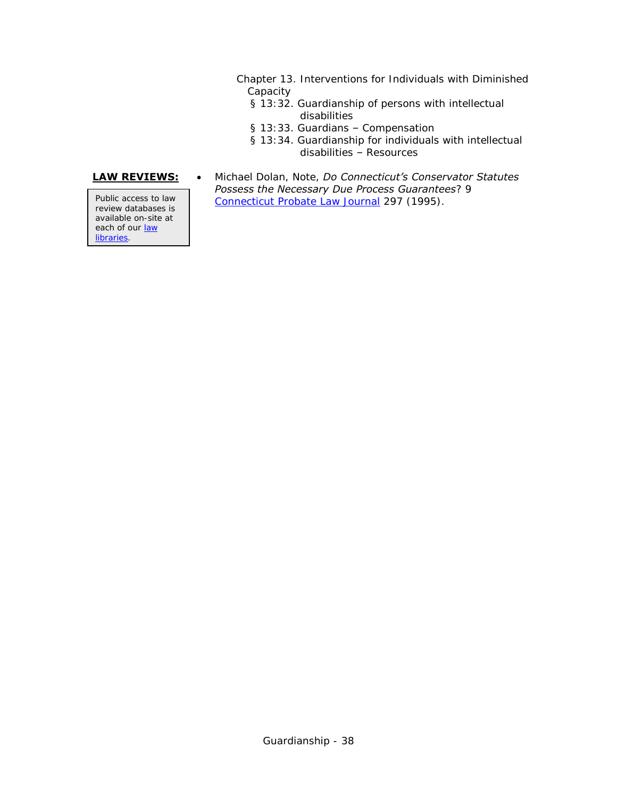- Chapter 13. Interventions for Individuals with Diminished Capacity
	- § 13:32. Guardianship of persons with intellectual disabilities
	- § 13:33. Guardians Compensation
	- § 13:34. Guardianship for individuals with intellectual disabilities – Resources

review databases is available on-site at each of our law [libraries.](http://www.jud.ct.gov/lawlib/staff.htm)

**LAW REVIEWS:** . Michael Dolan, Note, *Do Connecticut's Conservator Statutes Possess the Necessary Due Process Guarantees*? 9 Public access to law [Connecticut Probate Law Journal](https://csjd-agent.auto-graphics.com/mvc/PersistentLink?key=OXFVnGeScuQ22r3R4NAXjA%3d%3d) 297 (1995).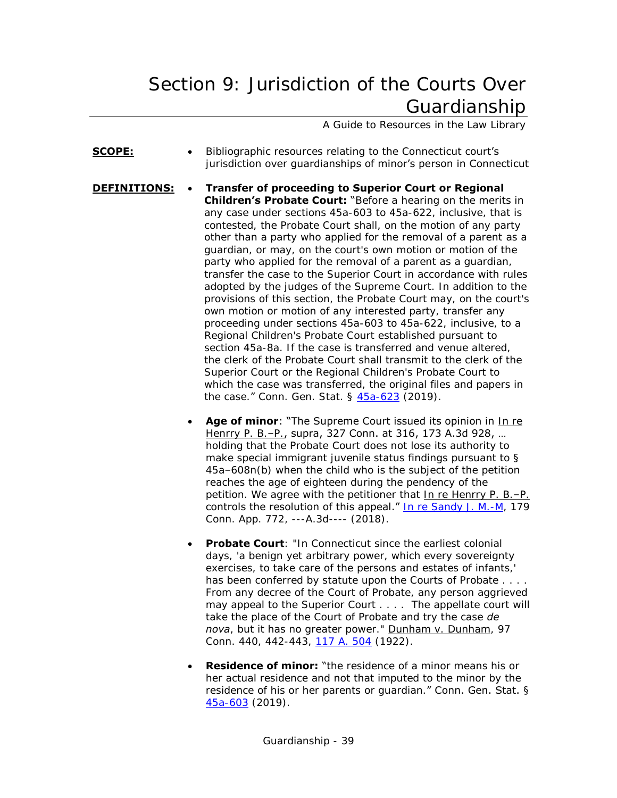# <span id="page-38-0"></span>Section 9: Jurisdiction of the Courts Over Guardianship

A Guide to Resources in the Law Library

- **SCOPE:** Bibliographic resources relating to the Connecticut court's jurisdiction over guardianships of minor's person in Connecticut
- **DEFINITIONS: Transfer of proceeding to Superior Court or Regional Children's Probate Court:** "Before a hearing on the merits in any case under sections 45a-603 to 45a-622, inclusive, that is contested, the Probate Court shall, on the motion of any party other than a party who applied for the removal of a parent as a guardian, or may, on the court's own motion or motion of the party who applied for the removal of a parent as a guardian, transfer the case to the Superior Court in accordance with rules adopted by the judges of the Supreme Court. In addition to the provisions of this section, the Probate Court may, on the court's own motion or motion of any interested party, transfer any proceeding under sections 45a-603 to 45a-622, inclusive, to a Regional Children's Probate Court established pursuant to section 45a-8a. If the case is transferred and venue altered, the clerk of the Probate Court shall transmit to the clerk of the Superior Court or the Regional Children's Probate Court to which the case was transferred, the original files and papers in the case." Conn. Gen. Stat. § [45a-623](https://www.cga.ct.gov/current/pub/chap_802h.htm#sec_45a-623) (2019).
	- **Age of minor:** "The Supreme Court issued its opinion in In re Henrry P. B.–P., supra, 327 Conn. at 316, 173 A.3d 928, … holding that the Probate Court does not lose its authority to make special immigrant juvenile status findings pursuant to § 45a–608n(b) when the child who is the subject of the petition reaches the age of eighteen during the pendency of the petition. We agree with the petitioner that In re Henrry P. B.–P. controls the resolution of this appeal." [In re Sandy J. M.-M,](https://scholar.google.com/scholar_case?case=5070826238746908409&q=In+re+Sandy+J.+M.-M&hl=en&as_sdt=4,7) 179 Conn. App. 772, ---A.3d---- (2018).
	- **Probate Court**: "In Connecticut since the earliest colonial days, 'a benign yet arbitrary power, which every sovereignty exercises, to take care of the persons and estates of infants,' has been conferred by statute upon the Courts of Probate . . . . From any decree of the Court of Probate, any person aggrieved may appeal to the Superior Court . . . . The appellate court will take the place of the Court of Probate and try the case *de nova*, but it has no greater power." Dunham v. Dunham, 97 Conn. 440, 442-443, [117 A. 504](http://books.google.com/books?id=isfzAAAAMAAJ&dq=atlantic%20reporter%2C%20%22volume%20117%22&pg=PA504#v=onepage&q=atlantic%20reporter,%20%22volume%20117%22&f=false) (1922).
	- **Residence of minor:** "the residence of a minor means his or her actual residence and not that imputed to the minor by the residence of his or her parents or guardian." Conn. Gen. Stat. § [45a-603](https://www.cga.ct.gov/current/pub/chap_802h.htm#sec_45a-603) (2019).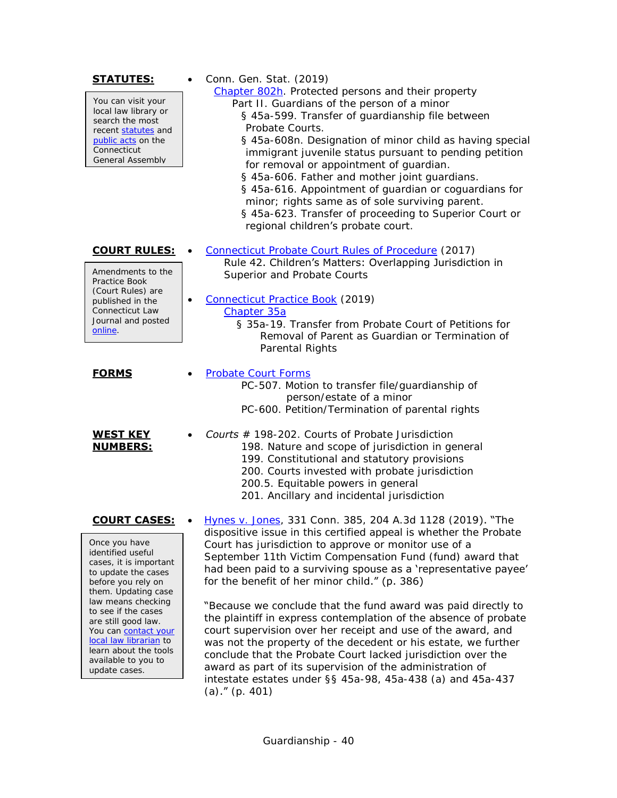| <u>STATUTES:</u><br>You can visit your<br>local law library or<br>search the most<br>recent statutes and<br>public acts on the<br>Connecticut<br>General Assembly                                                                                                                                                                              | Conn. Gen. Stat. (2019)<br>Chapter 802h. Protected persons and their property<br>Part II. Guardians of the person of a minor<br>§ 45a-599. Transfer of guardianship file between<br>Probate Courts.<br>§ 45a-608n. Designation of minor child as having special<br>immigrant juvenile status pursuant to pending petition<br>for removal or appointment of guardian.<br>§ 45a-606. Father and mother joint guardians.<br>§ 45a-616. Appointment of guardian or coguardians for<br>minor; rights same as of sole surviving parent.<br>§ 45a-623. Transfer of proceeding to Superior Court or<br>regional children's probate court.                                                                                                                                                                                                                              |
|------------------------------------------------------------------------------------------------------------------------------------------------------------------------------------------------------------------------------------------------------------------------------------------------------------------------------------------------|----------------------------------------------------------------------------------------------------------------------------------------------------------------------------------------------------------------------------------------------------------------------------------------------------------------------------------------------------------------------------------------------------------------------------------------------------------------------------------------------------------------------------------------------------------------------------------------------------------------------------------------------------------------------------------------------------------------------------------------------------------------------------------------------------------------------------------------------------------------|
| <b>COURT RULES:</b><br>Amendments to the<br>Practice Book<br>(Court Rules) are<br>published in the<br>Connecticut Law<br>Journal and posted<br>online.                                                                                                                                                                                         | Connecticut Probate Court Rules of Procedure (2017)<br>Rule 42. Children's Matters: Overlapping Jurisdiction in<br>Superior and Probate Courts<br>Connecticut Practice Book (2019)<br>Chapter 35a<br>§ 35a-19. Transfer from Probate Court of Petitions for<br>Removal of Parent as Guardian or Termination of<br>Parental Rights                                                                                                                                                                                                                                                                                                                                                                                                                                                                                                                              |
| <b>FORMS</b><br><b>WEST KEY</b><br><b>NUMBERS:</b>                                                                                                                                                                                                                                                                                             | <b>Probate Court Forms</b><br>PC-507. Motion to transfer file/guardianship of<br>person/estate of a minor<br>PC-600. Petition/Termination of parental rights<br><b>Courts</b> $#$ 198-202. Courts of Probate Jurisdiction<br>198. Nature and scope of jurisdiction in general<br>199. Constitutional and statutory provisions<br>200. Courts invested with probate jurisdiction<br>200.5. Equitable powers in general<br>201. Ancillary and incidental jurisdiction                                                                                                                                                                                                                                                                                                                                                                                            |
| <b>COURT CASES:</b><br>Once you have<br>identified useful<br>cases, it is important<br>to update the cases<br>before you rely on<br>them. Updating case<br>law means checking<br>to see if the cases<br>are still good law.<br>You can contact your<br>local law librarian to<br>learn about the tools<br>available to you to<br>update cases. | Hynes v. Jones, 331 Conn. 385, 204 A.3d 1128 (2019). "The<br>dispositive issue in this certified appeal is whether the Probate<br>Court has jurisdiction to approve or monitor use of a<br>September 11th Victim Compensation Fund (fund) award that<br>had been paid to a surviving spouse as a 'representative payee'<br>for the benefit of her minor child." (p. 386)<br>"Because we conclude that the fund award was paid directly to<br>the plaintiff in express contemplation of the absence of probate<br>court supervision over her receipt and use of the award, and<br>was not the property of the decedent or his estate, we further<br>conclude that the Probate Court lacked jurisdiction over the<br>award as part of its supervision of the administration of<br>intestate estates under §§ 45a-98, 45a-438 (a) and 45a-437<br>(a)." $(p. 401)$ |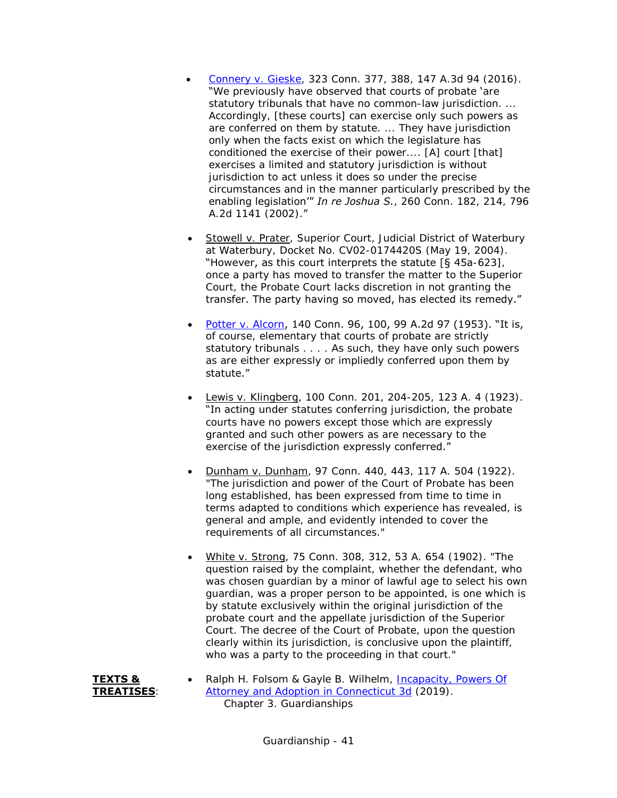- [Connery v. Gieske,](https://scholar.google.com/scholar_case?case=3402290798037789176) 323 Conn. 377, 388, 147 A.3d 94 (2016). "We previously have observed that courts of probate 'are statutory tribunals that have no common-law jurisdiction.... Accordingly, [these courts] can exercise only such powers as are conferred on them by statute. ... They have jurisdiction only when the facts exist on which the legislature has conditioned the exercise of their power.... [A] court [that] exercises a limited and statutory jurisdiction is without jurisdiction to act unless it does so under the precise circumstances and in the manner particularly prescribed by the enabling legislation'" *In re Joshua S.*, 260 Conn. 182, 214, 796 A.2d 1141 (2002)."
- Stowell v. Prater, Superior Court, Judicial District of Waterbury at Waterbury, Docket No. CV02-0174420S (May 19, 2004). "However, as this court interprets the statute [§ 45a-623], once a party has moved to transfer the matter to the Superior Court, the Probate Court lacks discretion in not granting the transfer. The party having so moved, has elected its remedy."
- [Potter v. Alcorn](http://scholar.google.com/scholar_case?case=16535154829946631937), 140 Conn. 96, 100, 99 A.2d 97 (1953). "It is, of course, elementary that courts of probate are strictly statutory tribunals . . . . As such, they have only such powers as are either expressly or impliedly conferred upon them by statute."
- Lewis v. Klingberg, 100 Conn. 201, 204-205, 123 A. 4 (1923). "In acting under statutes conferring jurisdiction, the probate courts have no powers except those which are expressly granted and such other powers as are necessary to the exercise of the jurisdiction expressly conferred."
- Dunham v. Dunham, 97 Conn. 440, 443, 117 A. 504 (1922). "The jurisdiction and power of the Court of Probate has been long established, has been expressed from time to time in terms adapted to conditions which experience has revealed, is general and ample, and evidently intended to cover the requirements of all circumstances."
- White v. Strong, 75 Conn. 308, 312, 53 A. 654 (1902). "The question raised by the complaint, whether the defendant, who was chosen guardian by a minor of lawful age to select his own guardian, was a proper person to be appointed, is one which is by statute exclusively within the original jurisdiction of the probate court and the appellate jurisdiction of the Superior Court. The decree of the Court of Probate, upon the question clearly within its jurisdiction, is conclusive upon the plaintiff, who was a party to the proceeding in that court."



Ralph H. Folsom & Gayle B. Wilhelm, Incapacity, Powers Of [Attorney and Adoption in Connecticut 3d](https://csjd-agent.auto-graphics.com/mvc/PersistentLink?key=6SSJucBiEyoD%2fj0eB8IGxA%3d%3d) (2019). Chapter 3. Guardianships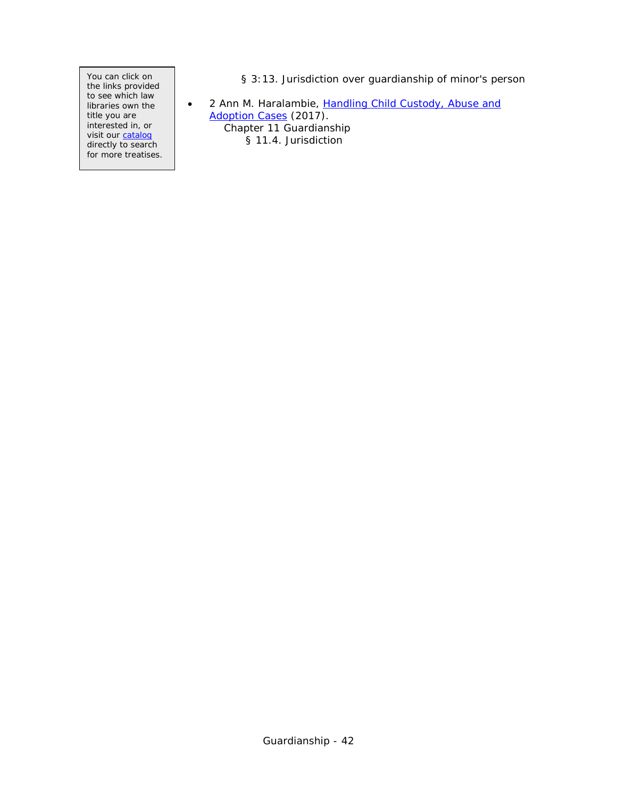You can click on the links provided to see which law libraries own the title you are interested in, or visit our [catalog](http://csjd-agent.auto-graphics.com/MVC/) directly to search for more treatises. § 3:13. Jurisdiction over guardianship of minor's person

• 2 Ann M. Haralambie, Handling Child Custody, Abuse and [Adoption Cases](https://csjd-agent.auto-graphics.com/mvc/PersistentLink?key=sTH7wVy%2bf9fjOjNsgaMsSu848QFZKTIkehJn5XVmFw0%3d) (2017). Chapter 11 Guardianship § 11.4. Jurisdiction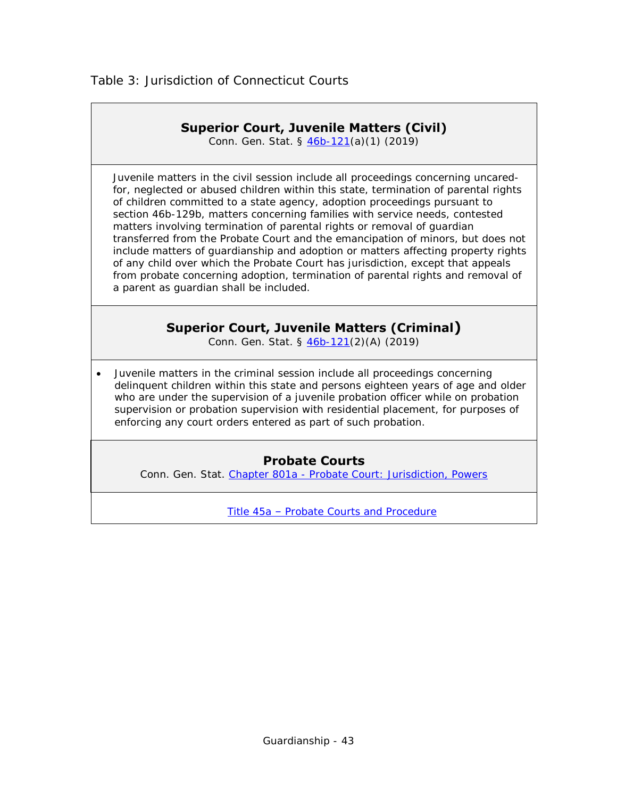## **Superior Court, Juvenile Matters (Civil)**

Conn. Gen. Stat. § [46b-121\(](https://www.cga.ct.gov/current/pub/chap_815t.htm#sec_46b-121)a)(1) (2019)

<span id="page-42-0"></span> Juvenile matters in the civil session include all proceedings concerning uncaredfor, neglected or abused children within this state, termination of parental rights of children committed to a state agency, adoption proceedings pursuant to section 46b-129b, matters concerning families with service needs, contested matters involving termination of parental rights or removal of guardian transferred from the Probate Court and the emancipation of minors, but does not include matters of guardianship and adoption or matters affecting property rights of any child over which the Probate Court has jurisdiction, except that appeals from probate concerning adoption, termination of parental rights and removal of a parent as guardian shall be included.

## **Superior Court, Juvenile Matters (Criminal)**

Conn. Gen. Stat. § [46b-121\(](https://www.cga.ct.gov/current/pub/chap_815t.htm#sec_46b-121)2)(A) (2019)

 Juvenile matters in the criminal session include all proceedings concerning delinquent children within this state and persons eighteen years of age and older who are under the supervision of a juvenile probation officer while on probation supervision or probation supervision with residential placement, for purposes of enforcing any court orders entered as part of such probation.

## **Probate Courts**

Conn. Gen. Stat. Chapter 801a - Probate Court: [Jurisdiction, Powers](https://www.cga.ct.gov/current/pub/chap_801a.htm)

Title 45a – [Probate Courts and Procedure](https://www.cga.ct.gov/current/pub/title_45a.htm)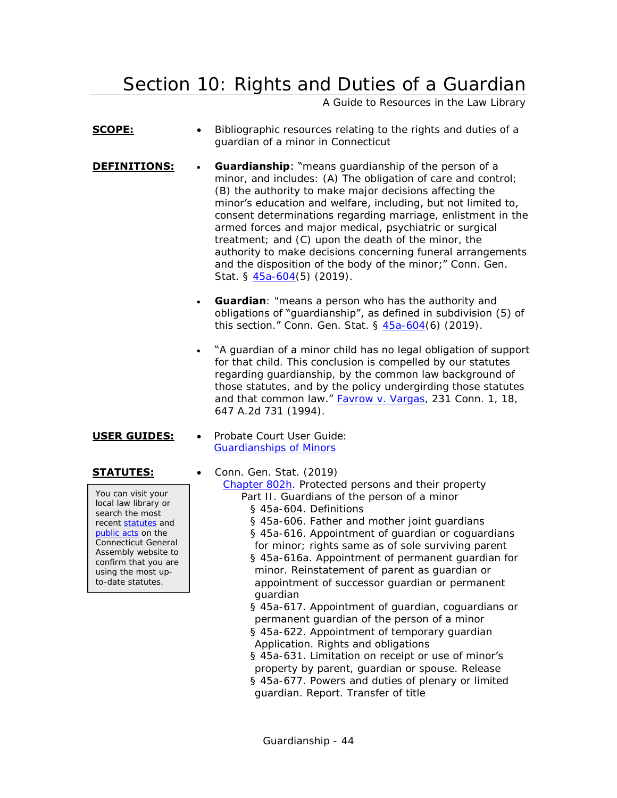# <span id="page-43-0"></span>Section 10: Rights and Duties of a Guardian

A Guide to Resources in the Law Library

- **SCOPE:** Bibliographic resources relating to the rights and duties of a guardian of a minor in Connecticut
- **DEFINITIONS:** Guardianship: "means quardianship of the person of a minor, and includes: (A) The obligation of care and control; (B) the authority to make major decisions affecting the minor's education and welfare, including, but not limited to, consent determinations regarding marriage, enlistment in the armed forces and major medical, psychiatric or surgical treatment; and (C) upon the death of the minor, the authority to make decisions concerning funeral arrangements and the disposition of the body of the minor;" Conn. Gen. Stat. § [45a-604\(](https://www.cga.ct.gov/current/pub/chap_802h.htm#sec_45a-604)5) (2019).
	- **Guardian**: "means a person who has the authority and obligations of "guardianship", as defined in subdivision (5) of this section." Conn. Gen. Stat. § [45a-604\(](https://www.cga.ct.gov/current/pub/chap_802h.htm#sec_45a-604)6) (2019).
	- "A guardian of a minor child has no legal obligation of support for that child. This conclusion is compelled by our statutes regarding guardianship, by the common law background of those statutes, and by the policy undergirding those statutes and that common law." **Favrow v. Vargas**, 231 Conn. 1, 18, 647 A.2d 731 (1994).
- **USER GUIDES:** . Probate Court User Guide: [Guardianships of Minors](http://www.ctprobate.gov/Documents/User%20Guide%20-%20Guardians%20of%20Minors.pdf)

You can visit your local law library or search the most recent [statutes](http://search.cga.state.ct.us/r/statute/dtsearch_form.asp) and [public acts](http://search.cga.state.ct.us/r/adv/dtsearch_form.asp) on the Connecticut General Assembly website to confirm that you are using the most upto-date statutes.

**STATUTES:** • Conn. Gen. Stat. (2019) [Chapter 802h.](http://www.cga.ct.gov/current/pub/chap_802h.htm) Protected persons and their property Part II. Guardians of the person of a minor § 45a-604. Definitions § 45a-606. Father and mother joint guardians § 45a-616. Appointment of guardian or coguardians for minor; rights same as of sole surviving parent § 45a-616a. Appointment of permanent guardian for minor. Reinstatement of parent as guardian or appointment of successor guardian or permanent guardian § 45a-617. Appointment of guardian, coguardians or permanent guardian of the person of a minor § 45a-622. Appointment of temporary guardian Application. Rights and obligations

§ 45a-631. Limitation on receipt or use of minor's property by parent, guardian or spouse. Release § 45a-677. Powers and duties of plenary or limited guardian. Report. Transfer of title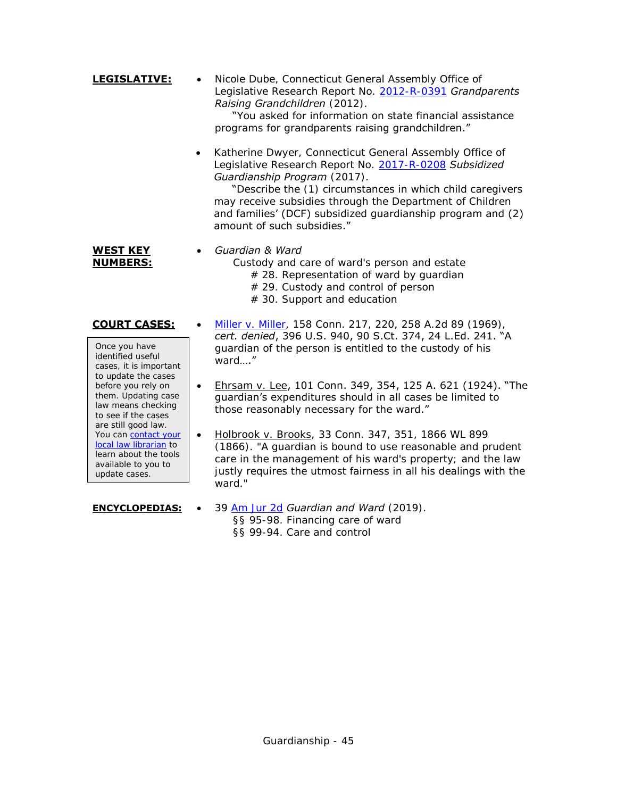- **LEGISLATIVE:** Nicole Dube, Connecticut General Assembly Office of Legislative Research Report No. [2012-R-0391](http://www.cga.ct.gov/2012/rpt/2012-R-0391.htm) *Grandparents Raising Grandchildren* (2012). "You asked for information on state financial assistance programs for grandparents raising grandchildren."
	- Katherine Dwyer, Connecticut General Assembly Office of Legislative Research Report No. [2017-R-0208](https://www.cga.ct.gov/2017/rpt/pdf/2017-R-0208.pdf) *Subsidized Guardianship Program* (2017).

"Describe the (1) circumstances in which child caregivers may receive subsidies through the Department of Children and families' (DCF) subsidized guardianship program and (2) amount of such subsidies."

### **WEST KEY NUMBERS:**

### *Guardian & Ward*

Custody and care of ward's person and estate # 28. Representation of ward by guardian

- # 29. Custody and control of person
- # 30. Support and education
- 

Once you have identified useful cases, it is important to update the cases before you rely on them. Updating case law means checking to see if the cases are still good law. You can [contact your](http://www.jud.ct.gov/lawlib/staff.htm)  [local law librarian](http://www.jud.ct.gov/lawlib/staff.htm) to learn about the tools available to you to update cases.

- **COURT CASES:** . [Miller v. Miller,](http://scholar.google.com/scholar_case?case=7444733702315357647) 158 Conn. 217, 220, 258 A.2d 89 (1969), *cert. denied*, 396 U.S. 940, 90 S.Ct. 374, 24 L.Ed. 241. "A guardian of the person is entitled to the custody of his ward…."
	- Ehrsam v. Lee, 101 Conn. 349, 354, 125 A. 621 (1924). "The guardian's expenditures should in all cases be limited to those reasonably necessary for the ward."
	- Holbrook v. Brooks, 33 Conn. 347, 351, 1866 WL 899 (1866). "A guardian is bound to use reasonable and prudent care in the management of his ward's property; and the law justly requires the utmost fairness in all his dealings with the ward."
- **ENCYCLOPEDIAS:**  39 [Am Jur 2d](https://csjd-agent.auto-graphics.com/mvc/PersistentLink?key=X5EzqROsd%2bgrxaHpaRO7FQ%3d%3d) *Guardian and Ward* (2019). §§ 95-98. Financing care of ward §§ 99-94. Care and control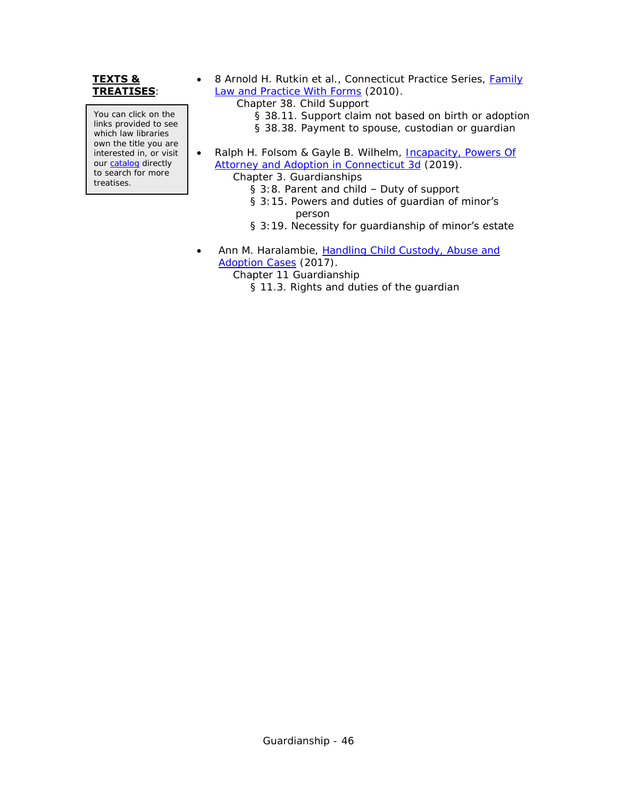### **TEXTS & TREATISES**:

You can click on the links provided to see which law libraries own the title you are interested in, or visit our [catalog](http://csjd-agent.auto-graphics.com/MVC/) directly to search for more treatises.

- 8 Arnold H. Rutkin et al., Connecticut Practice Series, Family [Law and Practice With Forms](https://csjd-agent.auto-graphics.com/mvc/PersistentLink?key=btBYhDs2yx50fRFzDjrsljjHS5OIlh4amCW1BuvGTkY%3d) (2010).
	- Chapter 38. Child Support
		- § 38.11. Support claim not based on birth or adoption
		- § 38.38. Payment to spouse, custodian or guardian
- Ralph H. Folsom & Gayle B. Wilhelm, Incapacity, Powers Of [Attorney and Adoption in Connecticut 3d](https://csjd-agent.auto-graphics.com/mvc/PersistentLink?key=6SSJucBiEyoD%2fj0eB8IGxA%3d%3d) (2019).

Chapter 3. Guardianships

- § 3:8. Parent and child Duty of support
- § 3:15. Powers and duties of guardian of minor's person
- § 3:19. Necessity for guardianship of minor's estate
- Ann M. Haralambie, [Handling Child Custody, Abuse and](https://csjd-agent.auto-graphics.com/mvc/PersistentLink?key=sTH7wVy%2bf9fjOjNsgaMsSu848QFZKTIkehJn5XVmFw0%3d)  [Adoption Cases](https://csjd-agent.auto-graphics.com/mvc/PersistentLink?key=sTH7wVy%2bf9fjOjNsgaMsSu848QFZKTIkehJn5XVmFw0%3d) (2017).
	- Chapter 11 Guardianship
		- § 11.3. Rights and duties of the guardian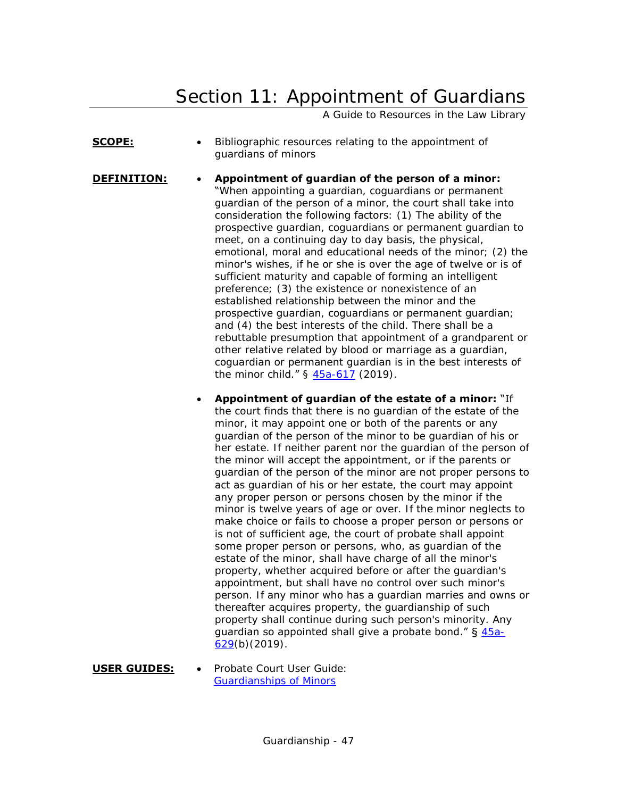# <span id="page-46-0"></span>Section 11: Appointment of Guardians

A Guide to Resources in the Law Library

- **SCOPE:** Bibliographic resources relating to the appointment of guardians of minors
- **DEFINITION: Appointment of guardian of the person of a minor:** "When appointing a guardian, coguardians or permanent guardian of the person of a minor, the court shall take into consideration the following factors: (1) The ability of the prospective guardian, coguardians or permanent guardian to meet, on a continuing day to day basis, the physical, emotional, moral and educational needs of the minor; (2) the minor's wishes, if he or she is over the age of twelve or is of sufficient maturity and capable of forming an intelligent preference; (3) the existence or nonexistence of an established relationship between the minor and the prospective guardian, coguardians or permanent guardian; and (4) the best interests of the child. There shall be a rebuttable presumption that appointment of a grandparent or other relative related by blood or marriage as a guardian, coguardian or permanent guardian is in the best interests of the minor child." § [45a-617](https://www.cga.ct.gov/current/pub/chap_802h.htm#sec_45a-617) (2019).
	- **Appointment of guardian of the estate of a minor:** "If the court finds that there is no guardian of the estate of the minor, it may appoint one or both of the parents or any guardian of the person of the minor to be guardian of his or her estate. If neither parent nor the guardian of the person of the minor will accept the appointment, or if the parents or guardian of the person of the minor are not proper persons to act as guardian of his or her estate, the court may appoint any proper person or persons chosen by the minor if the minor is twelve years of age or over. If the minor neglects to make choice or fails to choose a proper person or persons or is not of sufficient age, the court of probate shall appoint some proper person or persons, who, as guardian of the estate of the minor, shall have charge of all the minor's property, whether acquired before or after the guardian's appointment, but shall have no control over such minor's person. If any minor who has a guardian marries and owns or thereafter acquires property, the guardianship of such property shall continue during such person's minority. Any guardian so appointed shall give a probate bond."  $\S$  [45a-](https://www.cga.ct.gov/current/pub/chap_802h.htm#sec_45a-629)[629\(](https://www.cga.ct.gov/current/pub/chap_802h.htm#sec_45a-629)b)(2019).
- **USER GUIDES:** . Probate Court User Guide: [Guardianships of Minors](http://www.ctprobate.gov/Documents/User%20Guide%20-%20Guardians%20of%20Minors.pdf)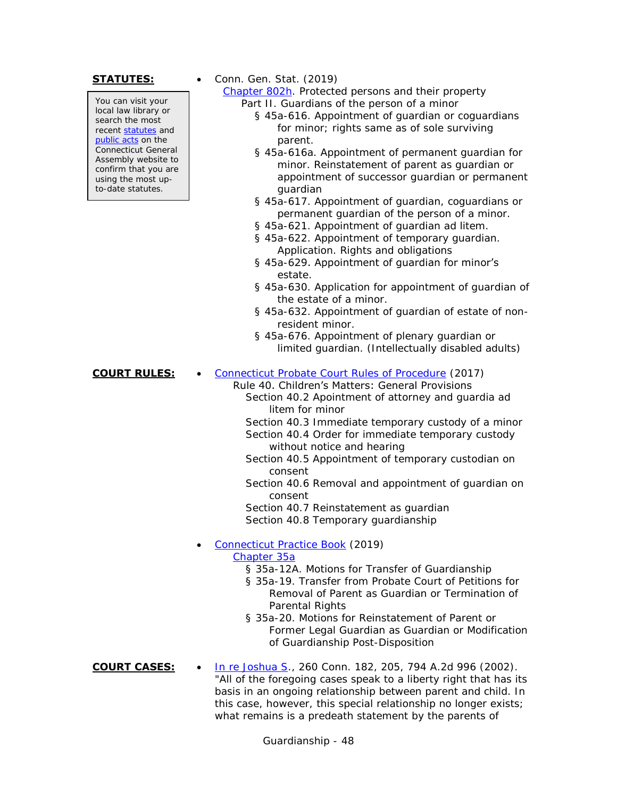You can visit your local law library or search the most recent [statutes](http://search.cga.state.ct.us/r/statute/dtsearch_form.asp) and [public acts](http://search.cga.state.ct.us/r/adv/dtsearch_form.asp) on the Connecticut General Assembly website to confirm that you are using the most upto-date statutes.

**STATUTES:** • Conn. Gen. Stat. (2019)

[Chapter 802h.](http://www.cga.ct.gov/current/pub/chap_802h.htm) Protected persons and their property Part II. Guardians of the person of a minor

- § 45a-616. Appointment of guardian or coguardians for minor; rights same as of sole surviving parent.
- § 45a-616a. Appointment of permanent guardian for minor. Reinstatement of parent as guardian or appointment of successor guardian or permanent guardian
- § 45a-617. Appointment of guardian, coguardians or permanent guardian of the person of a minor.
- § 45a-621. Appointment of guardian ad litem.
- § 45a-622. Appointment of temporary guardian. Application. Rights and obligations
- § 45a-629. Appointment of guardian for minor's estate.
- § 45a-630. Application for appointment of guardian of the estate of a minor.
- § 45a-632. Appointment of guardian of estate of nonresident minor.
- § 45a-676. Appointment of plenary guardian or limited guardian. (Intellectually disabled adults)

### **COURT RULES:** . [Connecticut Probate Court Rules of Procedure](http://www.ctprobate.gov/Documents/Probate%20Court%20Rules%20of%20Procedure.pdf) (2017)

### Rule 40. Children's Matters: General Provisions

Section 40.2 Apointment of attorney and guardia ad litem for minor

Section 40.3 Immediate temporary custody of a minor

- Section 40.4 Order for immediate temporary custody without notice and hearing
- Section 40.5 Appointment of temporary custodian on consent
- Section 40.6 Removal and appointment of guardian on consent

Section 40.7 Reinstatement as guardian Section 40.8 Temporary guardianship

### [Connecticut Practice Book](http://www.jud.ct.gov/pb.htm) (2019)

### [Chapter 35a](http://www.jud.ct.gov/Publications/PracticeBook/PB.pdf#page=366)

- § 35a-12A. Motions for Transfer of Guardianship
- § 35a-19. Transfer from Probate Court of Petitions for Removal of Parent as Guardian or Termination of Parental Rights
- § 35a-20. Motions for Reinstatement of Parent or Former Legal Guardian as Guardian or Modification of Guardianship Post-Disposition

### **COURT CASES:** [In re Joshua S.](http://scholar.google.com/scholar_case?case=13934421581573563996), 260 Conn. 182, 205, 794 A.2d 996 (2002). "All of the foregoing cases speak to a liberty right that has its basis in an ongoing relationship between parent and child. In this case, however, this special relationship no longer exists; what remains is a predeath statement by the parents of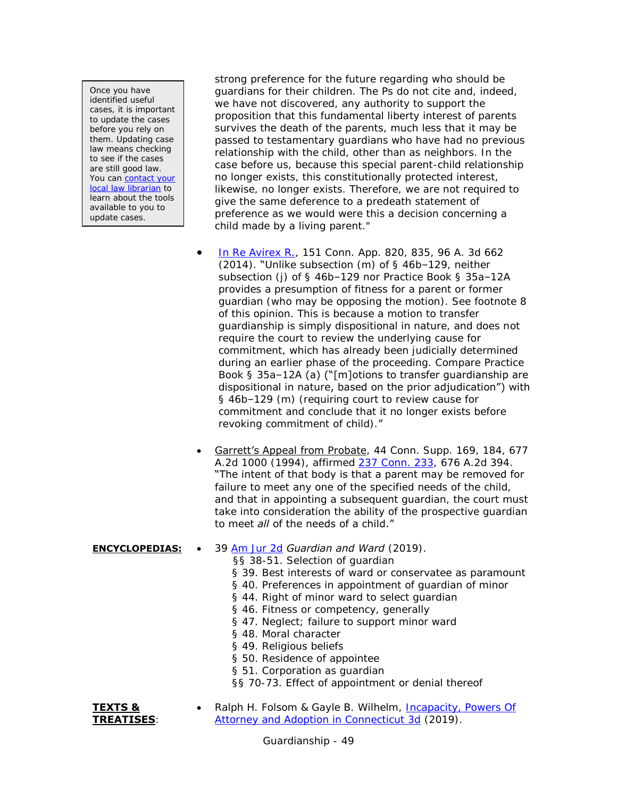Once you have identified useful cases, it is important to update the cases before you rely on them. Updating case law means checking to see if the cases are still good law. You can contact your [local law librarian](https://www.jud.ct.gov/lawlib/staff.htm) to learn about the tools available to you to update cases.

strong preference for the future regarding who should be guardians for their children. The Ps do not cite and, indeed, we have not discovered, any authority to support the proposition that this fundamental liberty interest of parents survives the death of the parents, much less that it may be passed to testamentary guardians who have had no previous relationship with the child, other than as neighbors. In the case before us, because this special parent-child relationship no longer exists, this constitutionally protected interest, likewise, no longer exists. Therefore, we are not required to give the same deference to a predeath statement of preference as we would were this a decision concerning a child made by a living parent."

- [In Re Avirex R.,](http://scholar.google.com/scholar_case?case=11062879710026245236&q=151+Conn.+App.+820&hl=en&as_sdt=4,7) 151 Conn. App. 820, 835, 96 A. 3d 662 (2014). "Unlike subsection (m) of § 46b–129, neither subsection (j) of § 46b–129 nor Practice Book § 35a–12A provides a presumption of fitness for a parent or former guardian (who may be opposing the motion). See footnote 8 of this opinion. This is because a motion to transfer guardianship is simply dispositional in nature, and does not require the court to review the underlying cause for commitment, which has already been judicially determined during an earlier phase of the proceeding. Compare Practice Book § 35a–12A (a) ("[m]otions to transfer guardianship are dispositional in nature, based on the prior adjudication") with § 46b–129 (m) (requiring court to review cause for commitment and conclude that it no longer exists before revoking commitment of child)."
- Garrett's Appeal from Probate, 44 Conn. Supp. 169, 184, 677 A.2d 1000 (1994), affirmed [237 Conn. 233,](http://scholar.google.com/scholar_case?case=10617979236877765197) 676 A.2d 394. "The intent of that body is that a parent may be removed for failure to meet any one of the specified needs of the child, and that in appointing a subsequent guardian, the court must take into consideration the ability of the prospective guardian to meet *all* of the needs of a child."

### **ENCYCLOPEDIAS:** • 39 [Am Jur 2d](https://csjd-agent.auto-graphics.com/mvc/PersistentLink?key=X5EzqROsd%2bgrxaHpaRO7FQ%3d%3d) *Guardian and Ward* (2019).

- §§ 38-51. Selection of guardian
- § 39. Best interests of ward or conservatee as paramount
- § 40. Preferences in appointment of guardian of minor
- § 44. Right of minor ward to select guardian
- § 46. Fitness or competency, generally
- § 47. Neglect; failure to support minor ward
- § 48. Moral character
- § 49. Religious beliefs
- § 50. Residence of appointee
- § 51. Corporation as quardian
- §§ 70-73. Effect of appointment or denial thereof

### **TEXTS & TREATISES**:

 Ralph H. Folsom & Gayle B. Wilhelm, [Incapacity, Powers Of](https://csjd-agent.auto-graphics.com/mvc/PersistentLink?key=6SSJucBiEyoD%2fj0eB8IGxA%3d%3d)  [Attorney and Adoption in Connecticut 3d](https://csjd-agent.auto-graphics.com/mvc/PersistentLink?key=6SSJucBiEyoD%2fj0eB8IGxA%3d%3d) (2019).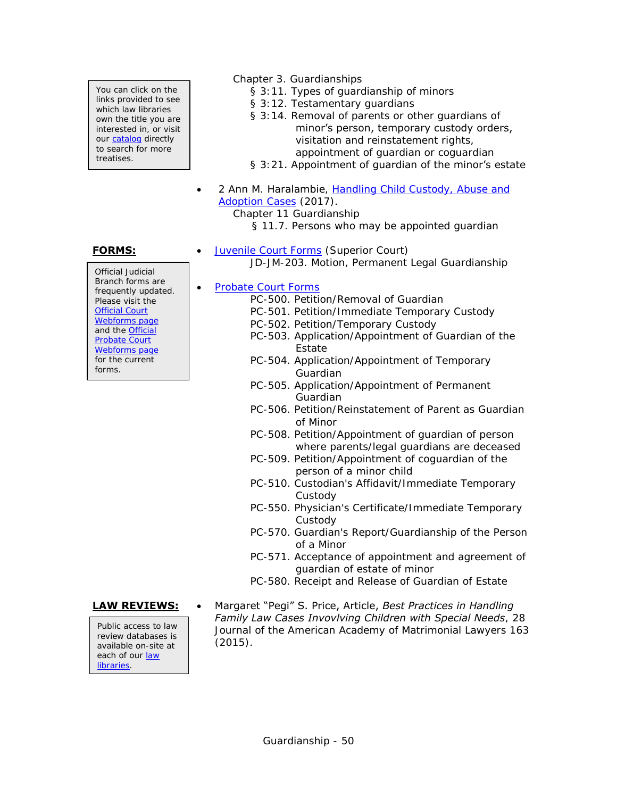You can click on the links provided to see which law libraries own the title you are interested in, or visit our [catalog](http://csjd-agent.auto-graphics.com/MVC/) directly to search for more treatises.

Official Judicial Branch forms are frequently updated. Please visit the [Official Court](http://www.jud.ct.gov/webforms/)  [Webforms page](http://www.jud.ct.gov/webforms/) and the [Official](http://www.ctprobate.gov/Pages/Probate-Court-Forms.aspx)  [Probate Court](http://www.ctprobate.gov/Pages/Probate-Court-Forms.aspx)  [Webforms page](http://www.ctprobate.gov/Pages/Probate-Court-Forms.aspx) for the current forms.

Public access to law review databases is available on-site at each of our [law](http://www.jud.ct.gov/lawlib/staff.htm)  [libraries.](http://www.jud.ct.gov/lawlib/staff.htm)

- Chapter 3. Guardianships
	- § 3:11. Types of guardianship of minors
	- § 3:12. Testamentary guardians
	- § 3:14. Removal of parents or other guardians of minor's person, temporary custody orders, visitation and reinstatement rights, appointment of guardian or coguardian
	- § 3:21. Appointment of guardian of the minor's estate
- 2 Ann M. Haralambie, [Handling Child Custody, Abuse and](https://csjd-agent.auto-graphics.com/mvc/PersistentLink?key=sTH7wVy%2bf9fjOjNsgaMsSu848QFZKTIkehJn5XVmFw0%3d)  [Adoption Cases](https://csjd-agent.auto-graphics.com/mvc/PersistentLink?key=sTH7wVy%2bf9fjOjNsgaMsSu848QFZKTIkehJn5XVmFw0%3d) (2017).
	- Chapter 11 Guardianship

§ 11.7. Persons who may be appointed guardian

- **FORMS:** [Juvenile Court Forms](http://www.jud.ct.gov/webforms/default.aspx?load_catg=Juvenile#searchTable) (Superior Court)
	- JD-JM-203. Motion, Permanent Legal Guardianship

### • [Probate Court Forms](http://www.ctprobate.gov/Pages/Probate-Court-Forms.aspx)

- PC-500. Petition/Removal of Guardian
- PC-501. Petition/Immediate Temporary Custody
- PC-502. Petition/Temporary Custody
- PC-503. Application/Appointment of Guardian of the Estate
- PC-504. Application/Appointment of Temporary Guardian
- PC-505. Application/Appointment of Permanent Guardian
- PC-506. Petition/Reinstatement of Parent as Guardian of Minor
- PC-508. Petition/Appointment of guardian of person where parents/legal guardians are deceased
- PC-509. Petition/Appointment of coguardian of the person of a minor child
- PC-510. Custodian's Affidavit/Immediate Temporary Custody
- PC-550. Physician's Certificate/Immediate Temporary Custody
- PC-570. Guardian's Report/Guardianship of the Person of a Minor
- PC-571. Acceptance of appointment and agreement of guardian of estate of minor
- PC-580. Receipt and Release of Guardian of Estate
- **LAW REVIEWS:** Margaret "Pegi" S. Price, Article, *Best Practices in Handling Family Law Cases Invovlving Children with Special Needs*, 28 Journal of the American Academy of Matrimonial Lawyers 163 (2015).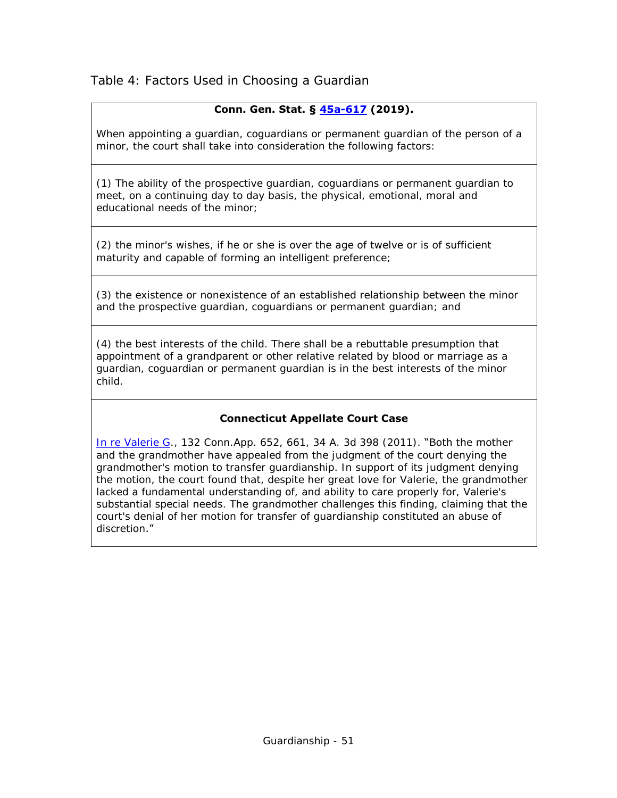<span id="page-50-0"></span>Table 4: Factors Used in Choosing a Guardian

## **Conn. Gen. Stat. § [45a-617](https://www.cga.ct.gov/current/pub/chap_802h.htm#sec_45a-617) (2019).**

When appointing a guardian, coguardians or permanent guardian of the person of a minor, the court shall take into consideration the following factors:

(1) The ability of the prospective guardian, coguardians or permanent guardian to meet, on a continuing day to day basis, the physical, emotional, moral and educational needs of the minor;

(2) the minor's wishes, if he or she is over the age of twelve or is of sufficient maturity and capable of forming an intelligent preference;

(3) the existence or nonexistence of an established relationship between the minor and the prospective guardian, coguardians or permanent guardian; and

(4) the best interests of the child. There shall be a rebuttable presumption that appointment of a grandparent or other relative related by blood or marriage as a guardian, coguardian or permanent guardian is in the best interests of the minor child.

### **Connecticut Appellate Court Case**

[In re Valerie G.](http://scholar.google.com/scholar_case?case=8446137361391516293), 132 Conn. App. 652, 661, 34 A. 3d 398 (2011). "Both the mother and the grandmother have appealed from the judgment of the court denying the grandmother's motion to transfer guardianship. In support of its judgment denying the motion, the court found that, despite her great love for Valerie, the grandmother lacked a fundamental understanding of, and ability to care properly for, Valerie's substantial special needs. The grandmother challenges this finding, claiming that the court's denial of her motion for transfer of guardianship constituted an abuse of discretion."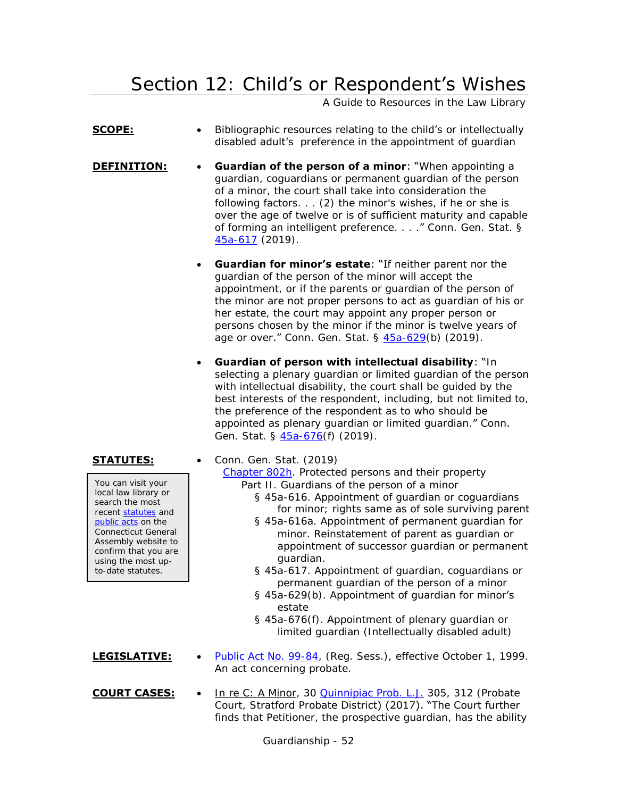# <span id="page-51-0"></span>Section 12: Child's or Respondent's Wishes

A Guide to Resources in the Law Library

- **SCOPE:** Bibliographic resources relating to the child's or intellectually disabled adult's preference in the appointment of guardian
- **DEFINITION:** Guardian of the person of a minor: "When appointing a guardian, coguardians or permanent guardian of the person of a minor, the court shall take into consideration the following factors. . . (2) the minor's wishes, if he or she is over the age of twelve or is of sufficient maturity and capable of forming an intelligent preference. . . ." Conn. Gen. Stat. § [45a-617](https://www.cga.ct.gov/current/pub/chap_802h.htm#sec_45a-617) (2019).
	- **Guardian for minor's estate**: "If neither parent nor the guardian of the person of the minor will accept the appointment, or if the parents or guardian of the person of the minor are not proper persons to act as guardian of his or her estate, the court may appoint any proper person or persons chosen by the minor if the minor is twelve years of age or over." Conn. Gen. Stat. § [45a-629\(](https://www.cga.ct.gov/current/pub/chap_802h.htm#sec_45a-629)b) (2019).
	- **Guardian of person with intellectual disability**: "In selecting a plenary guardian or limited guardian of the person with intellectual disability, the court shall be guided by the best interests of the respondent, including, but not limited to, the preference of the respondent as to who should be appointed as plenary guardian or limited guardian." Conn. Gen. Stat. § [45a-676\(](https://www.cga.ct.gov/current/pub/chap_802h.htm#sec_45a-676)f) (2019).

You can visit your local law library or search the most recent [statutes](http://search.cga.state.ct.us/r/statute/dtsearch_form.asp) and [public acts](http://search.cga.state.ct.us/r/adv/dtsearch_form.asp) on the Connecticut General Assembly website to confirm that you are using the most upto-date statutes.

**STATUTES:** • Conn. Gen. Stat. (2019)

[Chapter 802h.](http://www.cga.ct.gov/current/pub/chap_802h.htm) Protected persons and their property Part II. Guardians of the person of a minor

- § 45a-616. Appointment of guardian or coguardians for minor; rights same as of sole surviving parent
- § 45a-616a. Appointment of permanent guardian for minor. Reinstatement of parent as guardian or appointment of successor guardian or permanent guardian.
- § 45a-617. Appointment of guardian, coguardians or permanent guardian of the person of a minor
- § 45a-629(b). Appointment of quardian for minor's estate
- § 45a-676(f). Appointment of plenary guardian or limited guardian (Intellectually disabled adult)
- LEGISLATIVE: . [Public Act No. 99-84,](http://cga.ct.gov/ps99/Act/pa/1999PA-00084-R00HB-06685-PA.htm) (Reg. Sess.), effective October 1, 1999. An act concerning probate.
- **COURT CASES:** . In re C: A Minor, 30 [Quinnipiac Prob. L.J.](https://csjd-agent.auto-graphics.com/mvc/PersistentLink?key=%2fHz0wAc6QVtZ9L6Y29K31w%3d%3d) 305, 312 (Probate Court, Stratford Probate District) (2017). "The Court further finds that Petitioner, the prospective guardian, has the ability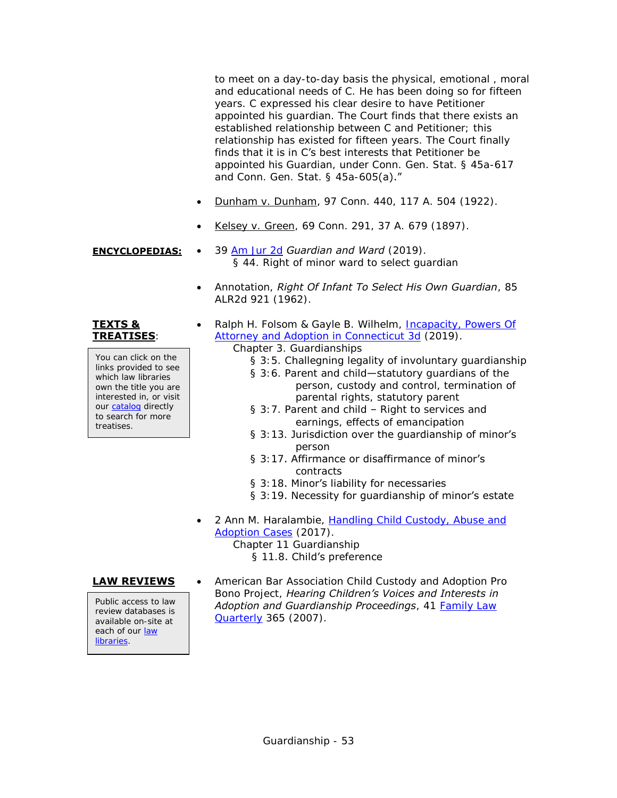to meet on a day-to-day basis the physical, emotional , moral and educational needs of C. He has been doing so for fifteen years. C expressed his clear desire to have Petitioner appointed his guardian. The Court finds that there exists an established relationship between C and Petitioner; this relationship has existed for fifteen years. The Court finally finds that it is in C's best interests that Petitioner be appointed his Guardian, under Conn. Gen. Stat. § 45a-617 and Conn. Gen. Stat. § 45a-605(a)."

- Dunham v. Dunham, 97 Conn. 440, 117 A. 504 (1922).
- Kelsey v. Green, 69 Conn. 291, 37 A. 679 (1897).
- **ENCYCLOPEDIAS:** 39 [Am Jur 2d](https://csjd-agent.auto-graphics.com/mvc/PersistentLink?key=X5EzqROsd%2bgrxaHpaRO7FQ%3d%3d) *Guardian and Ward* (2019). § 44. Right of minor ward to select guardian
	- Annotation, *Right Of Infant To Select His Own Guardian*, 85 ALR2d 921 (1962).

### **TEXTS & TREATISES**:

You can click on the links provided to see which law libraries own the title you are interested in, or visit our [catalog](http://csjd-agent.auto-graphics.com/MVC/) directly to search for more treatises.

Ralph H. Folsom & Gayle B. Wilhelm, Incapacity, Powers Of [Attorney and Adoption in Connecticut 3d](https://csjd-agent.auto-graphics.com/mvc/PersistentLink?key=6SSJucBiEyoD%2fj0eB8IGxA%3d%3d) (2019).

Chapter 3. Guardianships

- § 3:5. Challegning legality of involuntary guardianship
- § 3:6. Parent and child—statutory guardians of the person, custody and control, termination of parental rights, statutory parent
- § 3:7. Parent and child Right to services and earnings, effects of emancipation
- § 3:13. Jurisdiction over the guardianship of minor's person
- § 3:17. Affirmance or disaffirmance of minor's contracts
- § 3:18. Minor's liability for necessaries
- § 3:19. Necessity for guardianship of minor's estate
- 2 Ann M. Haralambie, [Handling Child Custody, Abuse and](https://csjd-agent.auto-graphics.com/mvc/PersistentLink?key=sTH7wVy%2bf9fjOjNsgaMsSu848QFZKTIkehJn5XVmFw0%3d)  [Adoption Cases](https://csjd-agent.auto-graphics.com/mvc/PersistentLink?key=sTH7wVy%2bf9fjOjNsgaMsSu848QFZKTIkehJn5XVmFw0%3d) (2017).

Chapter 11 Guardianship

§ 11.8. Child's preference

Public access to law review databases is available on-site at each of our [law](http://www.jud.ct.gov/lawlib/staff.htm)  [libraries.](http://www.jud.ct.gov/lawlib/staff.htm)

**LAW REVIEWS** . American Bar Association Child Custody and Adoption Pro Bono Project, *Hearing Children's Voices and Interests in Adoption and Guardianship Proceedings*, 41 [Family Law](https://csjd-agent.auto-graphics.com/mvc/PersistentLink?key=Cq5WhCanhfwD9nEpoFgp8g%3d%3d)  [Quarterly](https://csjd-agent.auto-graphics.com/mvc/PersistentLink?key=Cq5WhCanhfwD9nEpoFgp8g%3d%3d) 365 (2007).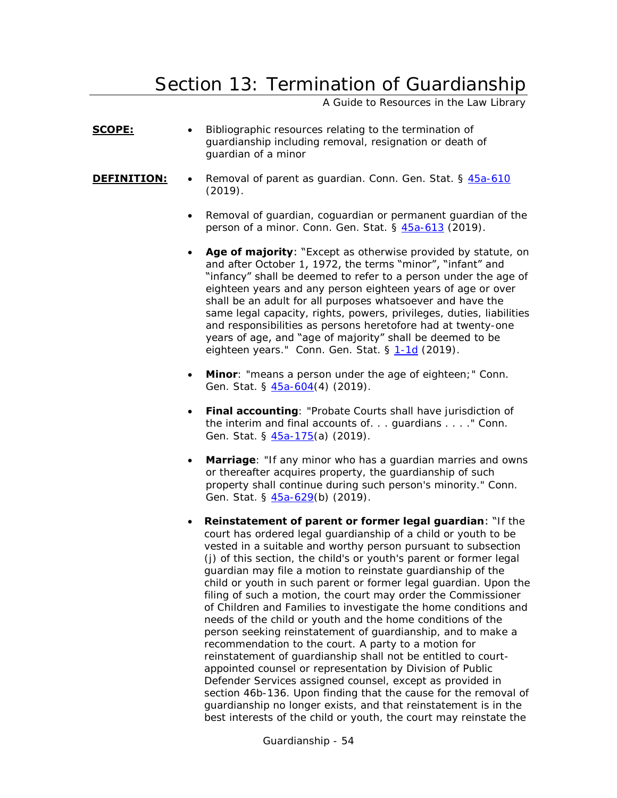## <span id="page-53-0"></span>Section 13: Termination of Guardianship

A Guide to Resources in the Law Library

- **SCOPE:** Bibliographic resources relating to the termination of guardianship including removal, resignation or death of guardian of a minor
- **DEFINITION:** . Removal of parent as quardian. Conn. Gen. Stat. § [45a-610](https://www.cga.ct.gov/current/pub/chap_802h.htm#sec_45a-610)  $(2019)$ .
	- Removal of guardian, coguardian or permanent guardian of the person of a minor. Conn. Gen. Stat. § [45a-613](https://www.cga.ct.gov/current/pub/chap_802h.htm#sec_45a-613) (2019).
	- **Age of majority:** "Except as otherwise provided by statute, on and after October 1, 1972, the terms "minor", "infant" and "infancy" shall be deemed to refer to a person under the age of eighteen years and any person eighteen years of age or over shall be an adult for all purposes whatsoever and have the same legal capacity, rights, powers, privileges, duties, liabilities and responsibilities as persons heretofore had at twenty-one years of age, and "age of majority" shall be deemed to be eighteen years." Conn. Gen. Stat. § [1-1d](https://www.cga.ct.gov/current/pub/chap_001.htm#sec_1-1d) (2019).
	- **Minor**: "means a person under the age of eighteen;" Conn. Gen. Stat. § [45a-604\(](https://www.cga.ct.gov/current/pub/chap_802h.htm#sec_45a-604)4) (2019).
	- **Final accounting**: "Probate Courts shall have jurisdiction of the interim and final accounts of. . . guardians . . . ." Conn. Gen. Stat. § [45a-175\(](https://www.cga.ct.gov/current/pub/chap_801b.htm#sec_45a-175)a) (2019).
	- **Marriage**: "If any minor who has a quardian marries and owns or thereafter acquires property, the guardianship of such property shall continue during such person's minority." Conn. Gen. Stat. § [45a-629\(](https://www.cga.ct.gov/current/pub/chap_802h.htm#sec_45a-629)b) (2019).
	- **Reinstatement of parent or former legal guardian**: "If the court has ordered legal guardianship of a child or youth to be vested in a suitable and worthy person pursuant to subsection (j) of this section, the child's or youth's parent or former legal guardian may file a motion to reinstate guardianship of the child or youth in such parent or former legal guardian. Upon the filing of such a motion, the court may order the Commissioner of Children and Families to investigate the home conditions and needs of the child or youth and the home conditions of the person seeking reinstatement of guardianship, and to make a recommendation to the court. A party to a motion for reinstatement of guardianship shall not be entitled to courtappointed counsel or representation by Division of Public Defender Services assigned counsel, except as provided in section 46b-136. Upon finding that the cause for the removal of guardianship no longer exists, and that reinstatement is in the best interests of the child or youth, the court may reinstate the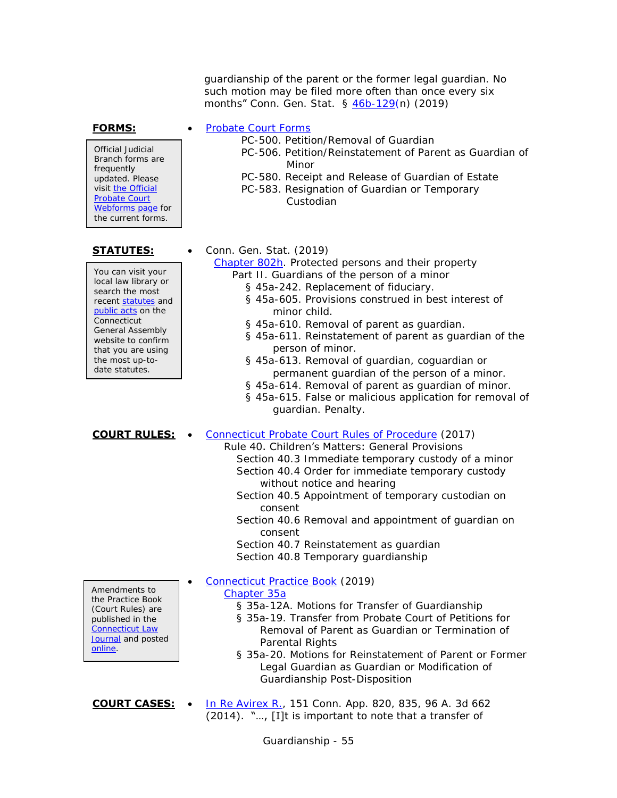guardianship of the parent or the former legal guardian. No such motion may be filed more often than once every six months" Conn. Gen. Stat. § [46b-129\(](https://www.cga.ct.gov/current/pub/chap_815t.htm#sec_46b-129)n) (2019)

Official Judicial Branch forms are frequently updated. Please visit the Official [Probate Court](http://www.ctprobate.gov/Pages/Probate-Court-Forms.aspx)  [Webforms page](http://www.ctprobate.gov/Pages/Probate-Court-Forms.aspx) for the current forms.

You can visit your local law library or search the most recent [statutes](http://search.cga.state.ct.us/r/statute/dtsearch_form.asp) and [public acts](http://search.cga.state.ct.us/r/adv/dtsearch_form.asp) on the **Connecticut** General Assembly website to confirm that you are using the most up-todate statutes.

- **FORMS:** [Probate Court Forms](http://www.ctprobate.gov/Pages/Probate-Court-Forms.aspx)
	- PC-500. Petition/Removal of Guardian
	- PC-506. Petition/Reinstatement of Parent as Guardian of Minor
	- PC-580. Receipt and Release of Guardian of Estate
	- PC-583. Resignation of Guardian or Temporary Custodian

### **STATUTES:** • Conn. Gen. Stat. (2019)

[Chapter 802h.](http://www.cga.ct.gov/current/pub/chap_802h.htm) Protected persons and their property

- Part II. Guardians of the person of a minor
	- § 45a-242. Replacement of fiduciary. § 45a-605. Provisions construed in best interest of
		- minor child.
	- § 45a-610. Removal of parent as guardian.
	- § 45a-611. Reinstatement of parent as guardian of the person of minor.
	- § 45a-613. Removal of guardian, coguardian or permanent guardian of the person of a minor.
	- § 45a-614. Removal of parent as guardian of minor.
	- § 45a-615. False or malicious application for removal of guardian. Penalty.

## **COURT RULES:** . [Connecticut Probate Court Rules of Procedure](http://www.ctprobate.gov/Documents/Probate%20Court%20Rules%20of%20Procedure.pdf) (2017)

### Rule 40. Children's Matters: General Provisions

- Section 40.3 Immediate temporary custody of a minor Section 40.4 Order for immediate temporary custody without notice and hearing
- Section 40.5 Appointment of temporary custodian on consent
- Section 40.6 Removal and appointment of guardian on consent
- Section 40.7 Reinstatement as guardian

Section 40.8 Temporary guardianship

[Connecticut Practice Book](http://www.jud.ct.gov/pb.htm) (2019)

### [Chapter 35a](http://www.jud.ct.gov/Publications/PracticeBook/PB.pdf#page=366)

- § 35a-12A. Motions for Transfer of Guardianship
- § 35a-19. Transfer from Probate Court of Petitions for Removal of Parent as Guardian or Termination of Parental Rights
- § 35a-20. Motions for Reinstatement of Parent or Former Legal Guardian as Guardian or Modification of Guardianship Post-Disposition

**COURT CASES:** . [In Re Avirex R.,](http://scholar.google.com/scholar_case?case=11062879710026245236&q=151+Conn.+App.+820&hl=en&as_sdt=4,7) 151 Conn. App. 820, 835, 96 A. 3d 662 (2014). "…, [I]t is important to note that a transfer of

Amendments to the Practice Book (Court Rules) are published in the [Connecticut Law](https://jud.ct.gov/lawjournal/)  [Journal](https://jud.ct.gov/lawjournal/) and posted [online.](https://www.jud.ct.gov/pb.htm)